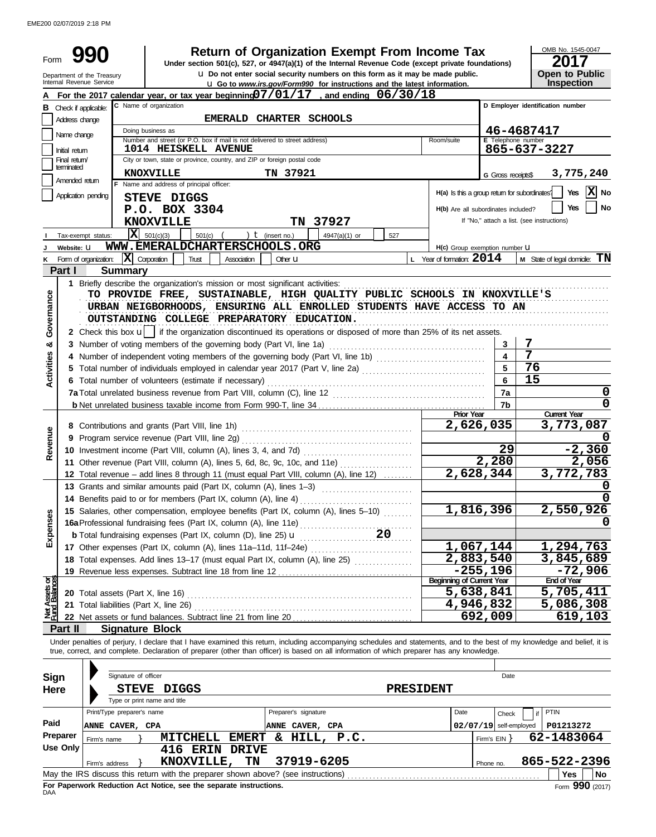| Form                       |                               |                                                                                   |                                             |                 |                                                                            |                      | <b>Return of Organization Exempt From Income Tax</b><br>Under section 501(c), 527, or 4947(a)(1) of the Internal Revenue Code (except private foundations)                                                                                                                                                               |                  |                                  |                                               | OMB No. 1545-0047<br>2017                  |             |
|----------------------------|-------------------------------|-----------------------------------------------------------------------------------|---------------------------------------------|-----------------|----------------------------------------------------------------------------|----------------------|--------------------------------------------------------------------------------------------------------------------------------------------------------------------------------------------------------------------------------------------------------------------------------------------------------------------------|------------------|----------------------------------|-----------------------------------------------|--------------------------------------------|-------------|
|                            |                               | Department of the Treasury<br>Internal Revenue Service                            |                                             |                 |                                                                            |                      | U Do not enter social security numbers on this form as it may be made public.<br>U Go to www.irs.gov/Form990 for instructions and the latest information.                                                                                                                                                                |                  |                                  |                                               | <b>Open to Public</b><br>Inspection        |             |
|                            |                               |                                                                                   |                                             |                 |                                                                            |                      | For the 2017 calendar year, or tax year beginning $07/01/17$ , and ending $06/30/18$                                                                                                                                                                                                                                     |                  |                                  |                                               |                                            |             |
|                            | <b>B</b> Check if applicable: |                                                                                   | C Name of organization                      |                 |                                                                            |                      |                                                                                                                                                                                                                                                                                                                          |                  |                                  |                                               | D Employer identification number           |             |
|                            | Address change                |                                                                                   |                                             |                 | EMERALD                                                                    |                      | CHARTER SCHOOLS                                                                                                                                                                                                                                                                                                          |                  |                                  |                                               |                                            |             |
|                            | Name change                   |                                                                                   | Doing business as                           |                 | Number and street (or P.O. box if mail is not delivered to street address) |                      |                                                                                                                                                                                                                                                                                                                          |                  | Room/suite                       | E Telephone number                            | 46-4687417                                 |             |
|                            | Initial return                |                                                                                   | <b>1014 HEISKELL AVENUE</b>                 |                 |                                                                            |                      |                                                                                                                                                                                                                                                                                                                          |                  |                                  |                                               | 865-637-3227                               |             |
|                            | Final return/<br>terminated   |                                                                                   |                                             |                 | City or town, state or province, country, and ZIP or foreign postal code   |                      |                                                                                                                                                                                                                                                                                                                          |                  |                                  |                                               |                                            |             |
|                            | Amended return                |                                                                                   | <b>KNOXVILLE</b>                            |                 |                                                                            | TN 37921             |                                                                                                                                                                                                                                                                                                                          |                  |                                  | G Gross receipts\$                            | 3,775,240                                  |             |
|                            |                               |                                                                                   | F Name and address of principal officer:    |                 |                                                                            |                      |                                                                                                                                                                                                                                                                                                                          |                  |                                  | H(a) Is this a group return for subordinates? | Yes                                        | X <br>No    |
|                            | Application pending           |                                                                                   | STEVE DIGGS                                 |                 |                                                                            |                      |                                                                                                                                                                                                                                                                                                                          |                  |                                  |                                               |                                            |             |
|                            |                               |                                                                                   | P.O. BOX 3304                               |                 |                                                                            |                      |                                                                                                                                                                                                                                                                                                                          |                  |                                  | H(b) Are all subordinates included?           | Yes                                        | No          |
|                            |                               |                                                                                   | <b>KNOXVILLE</b>                            |                 |                                                                            |                      | TN 37927                                                                                                                                                                                                                                                                                                                 |                  |                                  |                                               | If "No," attach a list. (see instructions) |             |
|                            | Tax-exempt status:            |                                                                                   | X<br>501(c)(3)                              | 501(c)          | WWW.EMERALDCHARTERSCHOOLS.ORG                                              | ) $t$ (insert no.)   | 4947(a)(1) or                                                                                                                                                                                                                                                                                                            | 527              |                                  |                                               |                                            |             |
|                            | Website: U                    | Form of organization:                                                             | $ \mathbf{X} $ Corporation                  | Trust           |                                                                            | Other <b>LI</b>      |                                                                                                                                                                                                                                                                                                                          |                  | L Year of formation: $2014$      | H(c) Group exemption number U                 | <b>M</b> State of legal domicile: $TN$     |             |
| Κ                          | Part I                        | <b>Summary</b>                                                                    |                                             |                 | Association                                                                |                      |                                                                                                                                                                                                                                                                                                                          |                  |                                  |                                               |                                            |             |
|                            |                               | 1 Briefly describe the organization's mission or most significant activities:     |                                             |                 |                                                                            |                      |                                                                                                                                                                                                                                                                                                                          |                  |                                  |                                               |                                            |             |
| Governance                 |                               |                                                                                   |                                             |                 |                                                                            |                      | TO PROVIDE FREE, SUSTAINABLE, HIGH QUALITY PUBLIC SCHOOLS IN KNOXVILLE'S<br>URBAN NEIGBORHOODS, ENSURING ALL ENROLLED STUDENTS HAVE ACCESS TO AN<br>OUTSTANDING COLLEGE PREPARATORY EDUCATION.                                                                                                                           |                  |                                  |                                               |                                            |             |
|                            |                               |                                                                                   |                                             |                 |                                                                            |                      | 2 Check this box $\mathsf{u}$   if the organization discontinued its operations or disposed of more than 25% of its net assets.                                                                                                                                                                                          |                  |                                  |                                               |                                            |             |
| ೲ                          |                               | 3 Number of voting members of the governing body (Part VI, line 1a)               |                                             |                 |                                                                            |                      |                                                                                                                                                                                                                                                                                                                          |                  |                                  | 3                                             | 7                                          |             |
| <b>Activities</b>          |                               |                                                                                   |                                             |                 |                                                                            |                      | 4 Number of independent voting members of the governing body (Part VI, line 1b)                                                                                                                                                                                                                                          |                  |                                  |                                               | 7<br>76                                    |             |
|                            | 5.                            |                                                                                   |                                             |                 |                                                                            |                      | Total number of individuals employed in calendar year 2017 (Part V, line 2a) [[[[[[[[[[[[[[[[[[[[[[[[[[[[[[[[                                                                                                                                                                                                            |                  |                                  | 6                                             | 15                                         |             |
|                            |                               | 6 Total number of volunteers (estimate if necessary)                              |                                             |                 |                                                                            |                      |                                                                                                                                                                                                                                                                                                                          |                  |                                  |                                               |                                            | O           |
|                            |                               |                                                                                   |                                             |                 |                                                                            |                      |                                                                                                                                                                                                                                                                                                                          |                  |                                  | 7a<br>7b                                      |                                            |             |
|                            |                               |                                                                                   |                                             |                 |                                                                            |                      |                                                                                                                                                                                                                                                                                                                          |                  | <b>Prior Year</b>                |                                               | <b>Current Year</b>                        |             |
|                            |                               | 8 Contributions and grants (Part VIII, line 1h)                                   |                                             |                 |                                                                            |                      |                                                                                                                                                                                                                                                                                                                          |                  |                                  | 2,626,035                                     | 3,773,087                                  |             |
|                            |                               | 9 Program service revenue (Part VIII, line 2g)                                    |                                             |                 |                                                                            |                      |                                                                                                                                                                                                                                                                                                                          |                  |                                  |                                               |                                            |             |
| Revenue                    |                               | 10 Investment income (Part VIII, column (A), lines 3, 4, and 7d)                  |                                             |                 |                                                                            |                      |                                                                                                                                                                                                                                                                                                                          |                  |                                  | 29                                            |                                            | $-2,360$    |
|                            |                               | 11 Other revenue (Part VIII, column (A), lines 5, 6d, 8c, 9c, 10c, and 11e)       |                                             |                 |                                                                            |                      |                                                                                                                                                                                                                                                                                                                          |                  |                                  | 2,280                                         |                                            | 2,056       |
|                            |                               |                                                                                   |                                             |                 |                                                                            |                      | 12 Total revenue – add lines 8 through 11 (must equal Part VIII, column (A), line 12)                                                                                                                                                                                                                                    |                  |                                  | 2,628,344                                     | 3,772,783                                  |             |
|                            |                               | 13 Grants and similar amounts paid (Part IX, column (A), lines 1–3)               |                                             |                 |                                                                            |                      |                                                                                                                                                                                                                                                                                                                          |                  |                                  |                                               |                                            | 0           |
|                            |                               | 14 Benefits paid to or for members (Part IX, column (A), line 4)                  |                                             |                 |                                                                            |                      |                                                                                                                                                                                                                                                                                                                          |                  |                                  |                                               |                                            | $\mathbf 0$ |
|                            |                               |                                                                                   |                                             |                 |                                                                            |                      | 15 Salaries, other compensation, employee benefits (Part IX, column (A), lines 5-10)                                                                                                                                                                                                                                     |                  |                                  | 1,816,396                                     | 2,550,926                                  |             |
| Expenses                   |                               |                                                                                   |                                             |                 |                                                                            |                      |                                                                                                                                                                                                                                                                                                                          |                  |                                  |                                               |                                            |             |
|                            |                               |                                                                                   |                                             |                 |                                                                            |                      |                                                                                                                                                                                                                                                                                                                          |                  |                                  |                                               |                                            |             |
|                            |                               | 17 Other expenses (Part IX, column (A), lines 11a-11d, 11f-24e)                   |                                             |                 |                                                                            |                      |                                                                                                                                                                                                                                                                                                                          |                  |                                  | 1,067,144                                     | <u>1,294,763</u>                           |             |
|                            |                               |                                                                                   |                                             |                 |                                                                            |                      | 18 Total expenses. Add lines 13-17 (must equal Part IX, column (A), line 25) [[[[[[[[[[[[[[[[[[[[[[[[[[[[[[[                                                                                                                                                                                                             |                  |                                  | 2,883,540<br>$-255, 196$                      | 3,845,689<br>$-72,906$                     |             |
|                            |                               |                                                                                   |                                             |                 |                                                                            |                      |                                                                                                                                                                                                                                                                                                                          |                  | <b>Beginning of Current Year</b> |                                               | <b>End of Year</b>                         |             |
|                            |                               |                                                                                   |                                             |                 |                                                                            |                      |                                                                                                                                                                                                                                                                                                                          |                  |                                  | 5,638,841                                     | 5,705,411                                  |             |
| t Assets or<br>Id Balances |                               |                                                                                   |                                             |                 |                                                                            |                      |                                                                                                                                                                                                                                                                                                                          |                  |                                  | 4,946,832                                     | 5,086,308                                  |             |
|                            |                               |                                                                                   |                                             |                 |                                                                            |                      |                                                                                                                                                                                                                                                                                                                          |                  |                                  | 692,009                                       | 619,103                                    |             |
|                            | Part II                       |                                                                                   | <b>Signature Block</b>                      |                 |                                                                            |                      |                                                                                                                                                                                                                                                                                                                          |                  |                                  |                                               |                                            |             |
|                            |                               |                                                                                   |                                             |                 |                                                                            |                      | Under penalties of perjury, I declare that I have examined this return, including accompanying schedules and statements, and to the best of my knowledge and belief, it is<br>true, correct, and complete. Declaration of preparer (other than officer) is based on all information of which preparer has any knowledge. |                  |                                  |                                               |                                            |             |
|                            |                               |                                                                                   | Signature of officer                        |                 |                                                                            |                      |                                                                                                                                                                                                                                                                                                                          |                  |                                  | Date                                          |                                            |             |
| <b>Sign</b>                |                               |                                                                                   |                                             |                 |                                                                            |                      |                                                                                                                                                                                                                                                                                                                          |                  |                                  |                                               |                                            |             |
| <b>Here</b>                |                               |                                                                                   | STEVE DIGGS<br>Type or print name and title |                 |                                                                            |                      |                                                                                                                                                                                                                                                                                                                          | <b>PRESIDENT</b> |                                  |                                               |                                            |             |
|                            |                               | Print/Type preparer's name                                                        |                                             |                 |                                                                            | Preparer's signature |                                                                                                                                                                                                                                                                                                                          |                  | Date                             | Check                                         | <b>PTIN</b><br>if                          |             |
| Paid                       |                               | ANNE CAVER, CPA                                                                   |                                             |                 |                                                                            | ANNE CAVER, CPA      |                                                                                                                                                                                                                                                                                                                          |                  |                                  | $02/07/19$ self-employed                      | P01213272                                  |             |
|                            | Preparer                      | Firm's name                                                                       |                                             | <b>MITCHELL</b> | <b>EMERT</b>                                                               | & HILL,              | P.C.                                                                                                                                                                                                                                                                                                                     |                  |                                  | Firm's EIN }                                  | 62-1483064                                 |             |
|                            | <b>Use Only</b>               |                                                                                   |                                             |                 | 416 ERIN DRIVE                                                             |                      |                                                                                                                                                                                                                                                                                                                          |                  |                                  |                                               |                                            |             |
|                            |                               | Firm's address                                                                    |                                             | KNOXVILLE,      | TN                                                                         |                      | 37919-6205                                                                                                                                                                                                                                                                                                               |                  |                                  | Phone no.                                     | 865-522-2396                               |             |
|                            |                               | May the IRS discuss this return with the preparer shown above? (see instructions) |                                             |                 |                                                                            |                      |                                                                                                                                                                                                                                                                                                                          |                  |                                  |                                               | Yes                                        | No          |

| May the IRS discuss this return with the preparer shown above? (see instructions) |  |      |  |  |  |  |  |  |
|-----------------------------------------------------------------------------------|--|------|--|--|--|--|--|--|
| For Paperwork Reduction Act Notice, see the separate instructions.<br>DAA         |  | Form |  |  |  |  |  |  |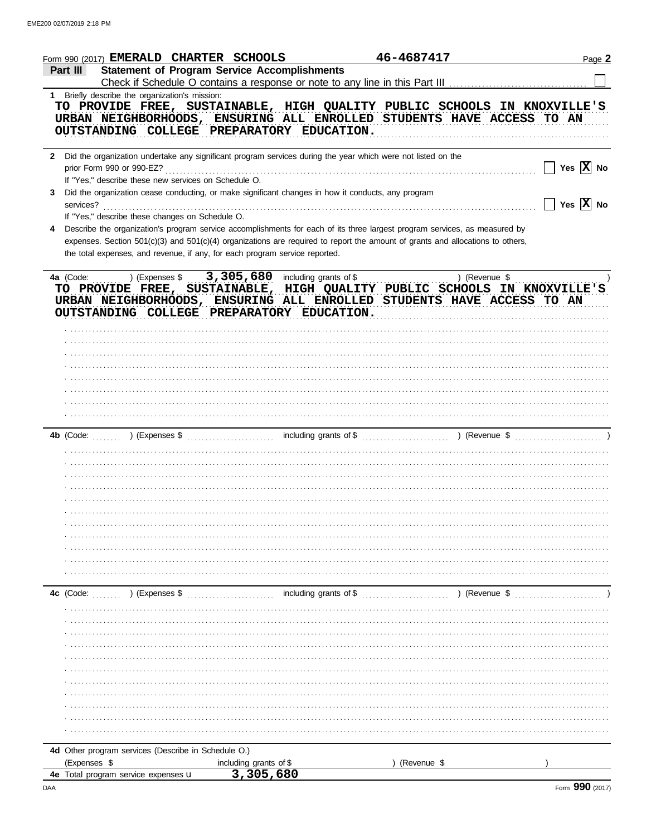|                |                                                | Form 990 (2017) EMERALD CHARTER SCHOOLS                                                                                                                                |                        |                                | 46-4687417                                                                                                                                                         | Page 2                             |
|----------------|------------------------------------------------|------------------------------------------------------------------------------------------------------------------------------------------------------------------------|------------------------|--------------------------------|--------------------------------------------------------------------------------------------------------------------------------------------------------------------|------------------------------------|
| Part III       |                                                | <b>Statement of Program Service Accomplishments</b>                                                                                                                    |                        |                                |                                                                                                                                                                    |                                    |
|                | 1 Briefly describe the organization's mission: |                                                                                                                                                                        |                        |                                |                                                                                                                                                                    |                                    |
|                |                                                | OUTSTANDING COLLEGE PREPARATORY EDUCATION.                                                                                                                             |                        |                                | TO PROVIDE FREE, SUSTAINABLE, HIGH QUALITY PUBLIC SCHOOLS IN KNOXVILLE'S<br>URBAN NEIGHBORHOODS, ENSURING ALL ENROLLED STUDENTS HAVE ACCESS TO AN                  |                                    |
|                |                                                | 2 Did the organization undertake any significant program services during the year which were not listed on the<br>If "Yes," describe these new services on Schedule O. |                        |                                |                                                                                                                                                                    | $\Box$ Yes $\overline{X}$ No       |
| 3<br>services? |                                                | Did the organization cease conducting, or make significant changes in how it conducts, any program<br>If "Yes," describe these changes on Schedule O.                  |                        |                                |                                                                                                                                                                    | $\Box$ Yes $\boxed{\textbf{X}}$ No |
| 4              |                                                |                                                                                                                                                                        |                        |                                | Describe the organization's program service accomplishments for each of its three largest program services, as measured by                                         |                                    |
|                |                                                | the total expenses, and revenue, if any, for each program service reported.                                                                                            |                        |                                | expenses. Section 501(c)(3) and 501(c)(4) organizations are required to report the amount of grants and allocations to others,                                     |                                    |
|                |                                                |                                                                                                                                                                        |                        |                                |                                                                                                                                                                    |                                    |
|                |                                                | OUTSTANDING COLLEGE PREPARATORY EDUCATION.                                                                                                                             |                        |                                | ) (Revenue \$<br>TO PROVIDE FREE, SUSTAINABLE, HIGH QUALITY PUBLIC SCHOOLS IN KNOXVILLE'S<br>URBAN NEIGHBORHOODS, ENSURING ALL ENROLLED STUDENTS HAVE ACCESS TO AN |                                    |
|                |                                                |                                                                                                                                                                        |                        |                                |                                                                                                                                                                    |                                    |
|                |                                                |                                                                                                                                                                        |                        |                                |                                                                                                                                                                    |                                    |
|                |                                                |                                                                                                                                                                        |                        |                                |                                                                                                                                                                    |                                    |
|                |                                                |                                                                                                                                                                        |                        |                                |                                                                                                                                                                    |                                    |
|                |                                                |                                                                                                                                                                        |                        |                                |                                                                                                                                                                    |                                    |
|                |                                                |                                                                                                                                                                        |                        |                                |                                                                                                                                                                    |                                    |
|                |                                                |                                                                                                                                                                        |                        |                                |                                                                                                                                                                    |                                    |
|                |                                                |                                                                                                                                                                        |                        |                                |                                                                                                                                                                    |                                    |
|                |                                                |                                                                                                                                                                        |                        |                                |                                                                                                                                                                    |                                    |
|                |                                                |                                                                                                                                                                        |                        |                                |                                                                                                                                                                    |                                    |
|                |                                                |                                                                                                                                                                        |                        |                                |                                                                                                                                                                    |                                    |
|                |                                                |                                                                                                                                                                        |                        |                                |                                                                                                                                                                    |                                    |
|                |                                                |                                                                                                                                                                        |                        |                                |                                                                                                                                                                    |                                    |
|                |                                                |                                                                                                                                                                        |                        |                                |                                                                                                                                                                    |                                    |
|                |                                                |                                                                                                                                                                        |                        |                                |                                                                                                                                                                    |                                    |
|                |                                                |                                                                                                                                                                        |                        |                                |                                                                                                                                                                    |                                    |
|                |                                                |                                                                                                                                                                        |                        |                                |                                                                                                                                                                    |                                    |
|                |                                                |                                                                                                                                                                        |                        |                                |                                                                                                                                                                    |                                    |
| 4c (Code:      | ) (Expenses \$                                 |                                                                                                                                                                        |                        | including grants of $\$\ldots$ | ) (Revenue \$                                                                                                                                                      |                                    |
|                |                                                |                                                                                                                                                                        |                        |                                |                                                                                                                                                                    |                                    |
|                |                                                |                                                                                                                                                                        |                        |                                |                                                                                                                                                                    |                                    |
|                |                                                |                                                                                                                                                                        |                        |                                |                                                                                                                                                                    |                                    |
|                |                                                |                                                                                                                                                                        |                        |                                |                                                                                                                                                                    |                                    |
|                |                                                |                                                                                                                                                                        |                        |                                |                                                                                                                                                                    |                                    |
|                |                                                |                                                                                                                                                                        |                        |                                |                                                                                                                                                                    |                                    |
|                |                                                |                                                                                                                                                                        |                        |                                |                                                                                                                                                                    |                                    |
|                |                                                |                                                                                                                                                                        |                        |                                |                                                                                                                                                                    |                                    |
|                |                                                |                                                                                                                                                                        |                        |                                |                                                                                                                                                                    |                                    |
|                |                                                |                                                                                                                                                                        |                        |                                |                                                                                                                                                                    |                                    |
|                | (Expenses \$                                   | 4d Other program services (Describe in Schedule O.)                                                                                                                    | including grants of \$ |                                | (Revenue \$                                                                                                                                                        |                                    |
|                | 4e Total program service expenses <b>u</b>     |                                                                                                                                                                        | 3,305,680              |                                |                                                                                                                                                                    |                                    |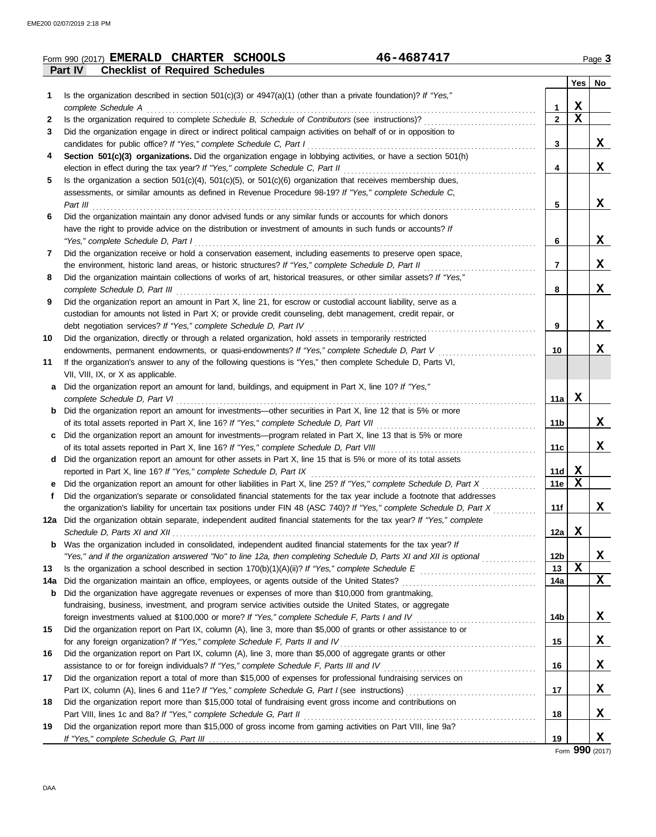|     | 46-4687417<br>Form 990 (2017) EMERALD CHARTER SCHOOLS                                                                                                                                          |                   |                  | Page 3 |
|-----|------------------------------------------------------------------------------------------------------------------------------------------------------------------------------------------------|-------------------|------------------|--------|
|     | <b>Checklist of Required Schedules</b><br>Part IV                                                                                                                                              |                   |                  |        |
|     |                                                                                                                                                                                                |                   | Yes              | No     |
| 1.  | Is the organization described in section $501(c)(3)$ or $4947(a)(1)$ (other than a private foundation)? If "Yes,"                                                                              |                   |                  |        |
|     | complete Schedule A                                                                                                                                                                            | 1<br>$\mathbf{2}$ | X<br>$\mathbf x$ |        |
| 2   |                                                                                                                                                                                                |                   |                  |        |
| 3   | Did the organization engage in direct or indirect political campaign activities on behalf of or in opposition to<br>candidates for public office? If "Yes," complete Schedule C, Part I        | 3                 |                  | X      |
| 4   | Section 501(c)(3) organizations. Did the organization engage in lobbying activities, or have a section 501(h)                                                                                  |                   |                  |        |
|     |                                                                                                                                                                                                | 4                 |                  | X      |
| 5   | Is the organization a section $501(c)(4)$ , $501(c)(5)$ , or $501(c)(6)$ organization that receives membership dues,                                                                           |                   |                  |        |
|     | assessments, or similar amounts as defined in Revenue Procedure 98-19? If "Yes," complete Schedule C,                                                                                          |                   |                  |        |
|     |                                                                                                                                                                                                | 5                 |                  | X      |
| 6   | Part III<br>Did the organization maintain any donor advised funds or any similar funds or accounts for which donors                                                                            |                   |                  |        |
|     | have the right to provide advice on the distribution or investment of amounts in such funds or accounts? If                                                                                    |                   |                  |        |
|     | "Yes," complete Schedule D, Part I                                                                                                                                                             | 6                 |                  | X      |
| 7   | Did the organization receive or hold a conservation easement, including easements to preserve open space,                                                                                      |                   |                  |        |
|     | the environment, historic land areas, or historic structures? If "Yes," complete Schedule D, Part II                                                                                           | 7                 |                  | X      |
| 8   | Did the organization maintain collections of works of art, historical treasures, or other similar assets? If "Yes,"                                                                            |                   |                  |        |
|     | complete Schedule D, Part III                                                                                                                                                                  | 8                 |                  | X      |
| 9   | Did the organization report an amount in Part X, line 21, for escrow or custodial account liability, serve as a                                                                                |                   |                  |        |
|     | custodian for amounts not listed in Part X; or provide credit counseling, debt management, credit repair, or                                                                                   |                   |                  |        |
|     | debt negotiation services? If "Yes," complete Schedule D, Part IV                                                                                                                              | 9                 |                  | X      |
| 10  | Did the organization, directly or through a related organization, hold assets in temporarily restricted                                                                                        |                   |                  |        |
|     | endowments, permanent endowments, or quasi-endowments? If "Yes," complete Schedule D, Part V                                                                                                   | 10                |                  | X      |
| 11  | If the organization's answer to any of the following questions is "Yes," then complete Schedule D, Parts VI,                                                                                   |                   |                  |        |
|     | VII, VIII, IX, or X as applicable.                                                                                                                                                             |                   |                  |        |
|     | a Did the organization report an amount for land, buildings, and equipment in Part X, line 10? If "Yes,"                                                                                       |                   |                  |        |
|     | complete Schedule D, Part VI                                                                                                                                                                   | 11a               | X                |        |
|     | <b>b</b> Did the organization report an amount for investments—other securities in Part X, line 12 that is 5% or more                                                                          |                   |                  |        |
|     |                                                                                                                                                                                                | 11b               |                  | X      |
|     | c Did the organization report an amount for investments—program related in Part X, line 13 that is 5% or more                                                                                  |                   |                  |        |
|     | of its total assets reported in Part X, line 16? If "Yes," complete Schedule D, Part VIII [[[[[[[[[[[[[[[[[[[[                                                                                 | 11c               |                  | x      |
|     | d Did the organization report an amount for other assets in Part X, line 15 that is 5% or more of its total assets                                                                             |                   |                  |        |
|     | reported in Part X, line 16? If "Yes," complete Schedule D, Part IX                                                                                                                            | 11d               | X                |        |
| е   | Did the organization report an amount for other liabilities in Part X, line 25? If "Yes," complete Schedule D, Part X                                                                          | <b>11e</b>        | X                |        |
| f   | Did the organization's separate or consolidated financial statements for the tax year include a footnote that addresses                                                                        |                   |                  |        |
|     | the organization's liability for uncertain tax positions under FIN 48 (ASC 740)? If "Yes," complete Schedule D, Part X                                                                         | 11f               |                  | X      |
| 12a | Did the organization obtain separate, independent audited financial statements for the tax year? If "Yes," complete                                                                            |                   |                  |        |
|     |                                                                                                                                                                                                | 12a               | X                |        |
|     | <b>b</b> Was the organization included in consolidated, independent audited financial statements for the tax year? If                                                                          |                   |                  |        |
|     | "Yes," and if the organization answered "No" to line 12a, then completing Schedule D, Parts XI and XII is optional                                                                             | 12 <sub>b</sub>   |                  | X      |
| 13  |                                                                                                                                                                                                | 13                | X                |        |
| 14a |                                                                                                                                                                                                | 14a               |                  | X      |
| b   | Did the organization have aggregate revenues or expenses of more than \$10,000 from grantmaking,                                                                                               |                   |                  |        |
|     | fundraising, business, investment, and program service activities outside the United States, or aggregate                                                                                      |                   |                  |        |
|     |                                                                                                                                                                                                | 14b               |                  | X      |
| 15  | Did the organization report on Part IX, column (A), line 3, more than \$5,000 of grants or other assistance to or                                                                              |                   |                  |        |
|     | for any foreign organization? If "Yes," complete Schedule F, Parts II and IV<br>[[[CORD REFERENCE PRISTS] and IV contents the content or content or content of the Schedule P and Schedule P a | 15                |                  | X      |
| 16  | Did the organization report on Part IX, column (A), line 3, more than \$5,000 of aggregate grants or other                                                                                     |                   |                  |        |
|     |                                                                                                                                                                                                | 16                |                  | X      |
| 17  | Did the organization report a total of more than \$15,000 of expenses for professional fundraising services on                                                                                 |                   |                  |        |
|     |                                                                                                                                                                                                | 17                |                  | X      |
| 18  | Did the organization report more than \$15,000 total of fundraising event gross income and contributions on                                                                                    |                   |                  |        |
|     |                                                                                                                                                                                                | 18                |                  | X      |
| 19  | Did the organization report more than \$15,000 of gross income from gaming activities on Part VIII, line 9a?                                                                                   |                   |                  |        |
|     |                                                                                                                                                                                                | 19                |                  | X      |

Form **990** (2017)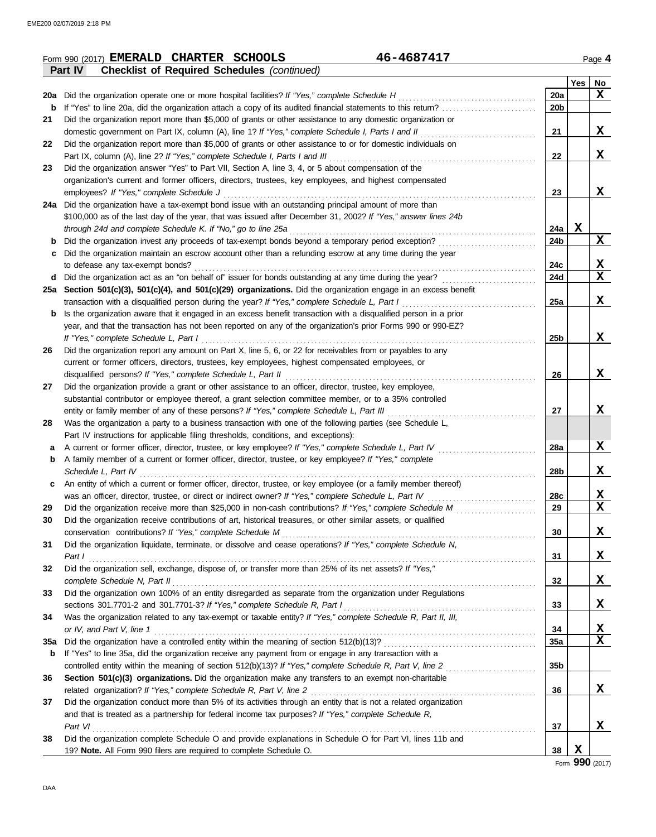|     | 46-4687417<br>Form 990 (2017) EMERALD CHARTER SCHOOLS                                                            |                 |     | Page 4                                             |
|-----|------------------------------------------------------------------------------------------------------------------|-----------------|-----|----------------------------------------------------|
|     | Part IV<br><b>Checklist of Required Schedules (continued)</b>                                                    |                 |     |                                                    |
|     |                                                                                                                  |                 | Yes | <b>No</b>                                          |
|     | 20a Did the organization operate one or more hospital facilities? If "Yes," complete Schedule H                  | 20a             |     | X                                                  |
| b   | If "Yes" to line 20a, did the organization attach a copy of its audited financial statements to this return?     | 20 <sub>b</sub> |     |                                                    |
| 21  | Did the organization report more than \$5,000 of grants or other assistance to any domestic organization or      |                 |     |                                                    |
|     | domestic government on Part IX, column (A), line 1? If "Yes," complete Schedule I, Parts I and II                | 21              |     | X                                                  |
| 22  | Did the organization report more than \$5,000 of grants or other assistance to or for domestic individuals on    |                 |     |                                                    |
|     | Part IX, column (A), line 2? If "Yes," complete Schedule I, Parts I and III                                      | 22              |     | X                                                  |
| 23  | Did the organization answer "Yes" to Part VII, Section A, line 3, 4, or 5 about compensation of the              |                 |     |                                                    |
|     | organization's current and former officers, directors, trustees, key employees, and highest compensated          |                 |     |                                                    |
|     | employees? If "Yes," complete Schedule J                                                                         | 23              |     | X                                                  |
|     | 24a Did the organization have a tax-exempt bond issue with an outstanding principal amount of more than          |                 |     |                                                    |
|     | \$100,000 as of the last day of the year, that was issued after December 31, 2002? If "Yes," answer lines 24b    |                 |     |                                                    |
|     | through 24d and complete Schedule K. If "No," go to line 25a                                                     | 24a             | X   |                                                    |
| b   | Did the organization invest any proceeds of tax-exempt bonds beyond a temporary period exception?                | 24b             |     | X                                                  |
| c   | Did the organization maintain an escrow account other than a refunding escrow at any time during the year        |                 |     |                                                    |
|     | to defease any tax-exempt bonds?                                                                                 | 24c             |     | X                                                  |
| d   | Did the organization act as an "on behalf of" issuer for bonds outstanding at any time during the year?          | 24d             |     | X                                                  |
|     | 25a Section 501(c)(3), 501(c)(4), and 501(c)(29) organizations. Did the organization engage in an excess benefit |                 |     |                                                    |
|     | transaction with a disqualified person during the year? If "Yes," complete Schedule L, Part I                    | 25a             |     | X                                                  |
| b   | Is the organization aware that it engaged in an excess benefit transaction with a disqualified person in a prior |                 |     |                                                    |
|     | year, and that the transaction has not been reported on any of the organization's prior Forms 990 or 990-EZ?     |                 |     |                                                    |
|     | If "Yes," complete Schedule L, Part I                                                                            | 25 <sub>b</sub> |     | X                                                  |
| 26  | Did the organization report any amount on Part X, line 5, 6, or 22 for receivables from or payables to any       |                 |     |                                                    |
|     | current or former officers, directors, trustees, key employees, highest compensated employees, or                |                 |     |                                                    |
|     | disqualified persons? If "Yes," complete Schedule L, Part II                                                     | 26              |     | X                                                  |
| 27  | Did the organization provide a grant or other assistance to an officer, director, trustee, key employee,         |                 |     |                                                    |
|     | substantial contributor or employee thereof, a grant selection committee member, or to a 35% controlled          |                 |     |                                                    |
|     | entity or family member of any of these persons? If "Yes," complete Schedule L, Part III                         | 27              |     | X                                                  |
| 28  | Was the organization a party to a business transaction with one of the following parties (see Schedule L,        |                 |     |                                                    |
|     | Part IV instructions for applicable filing thresholds, conditions, and exceptions):                              |                 |     |                                                    |
| а   | A current or former officer, director, trustee, or key employee? If "Yes," complete Schedule L, Part IV          | 28a             |     | X                                                  |
| b   | A family member of a current or former officer, director, trustee, or key employee? If "Yes," complete           |                 |     |                                                    |
|     | Schedule L, Part IV                                                                                              | 28b             |     | X                                                  |
|     | An entity of which a current or former officer, director, trustee, or key employee (or a family member thereof)  |                 |     |                                                    |
|     | was an officer, director, trustee, or direct or indirect owner? If "Yes," complete Schedule L, Part IV           | 28c             |     | X                                                  |
| 29  | Did the organization receive more than \$25,000 in non-cash contributions? If "Yes," complete Schedule M         | 29              |     | $\overline{\mathbf{X}}$                            |
| 30  | Did the organization receive contributions of art, historical treasures, or other similar assets, or qualified   |                 |     |                                                    |
|     | conservation contributions? If "Yes," complete Schedule M                                                        | 30              |     | X                                                  |
| 31  | Did the organization liquidate, terminate, or dissolve and cease operations? If "Yes," complete Schedule N,      |                 |     |                                                    |
|     | Part I                                                                                                           | 31              |     | X                                                  |
| 32  | Did the organization sell, exchange, dispose of, or transfer more than 25% of its net assets? If "Yes,"          |                 |     |                                                    |
|     | complete Schedule N, Part II                                                                                     | 32              |     | X                                                  |
| 33  | Did the organization own 100% of an entity disregarded as separate from the organization under Regulations       |                 |     | X                                                  |
|     | sections 301.7701-2 and 301.7701-3? If "Yes," complete Schedule R, Part I                                        | 33              |     |                                                    |
| 34  | Was the organization related to any tax-exempt or taxable entity? If "Yes," complete Schedule R, Part II, III,   |                 |     |                                                    |
|     | or IV, and Part V, line 1                                                                                        | 34              |     | $\overline{\mathbf{X}}$<br>$\overline{\mathbf{x}}$ |
| 35a |                                                                                                                  | 35a             |     |                                                    |
| b   | If "Yes" to line 35a, did the organization receive any payment from or engage in any transaction with a          |                 |     |                                                    |
|     | controlled entity within the meaning of section 512(b)(13)? If "Yes," complete Schedule R, Part V, line 2        | 35 <sub>b</sub> |     |                                                    |
| 36  | Section 501(c)(3) organizations. Did the organization make any transfers to an exempt non-charitable             |                 |     |                                                    |
|     | related organization? If "Yes," complete Schedule R, Part V, line 2                                              | 36              |     | X                                                  |
| 37  | Did the organization conduct more than 5% of its activities through an entity that is not a related organization |                 |     |                                                    |
|     | and that is treated as a partnership for federal income tax purposes? If "Yes," complete Schedule R,             |                 |     |                                                    |
|     | Part VI                                                                                                          | 37              |     | X                                                  |
| 38  | Did the organization complete Schedule O and provide explanations in Schedule O for Part VI, lines 11b and       |                 |     |                                                    |
|     | 19? Note. All Form 990 filers are required to complete Schedule O.                                               | 38              | X   |                                                    |

Form **990** (2017)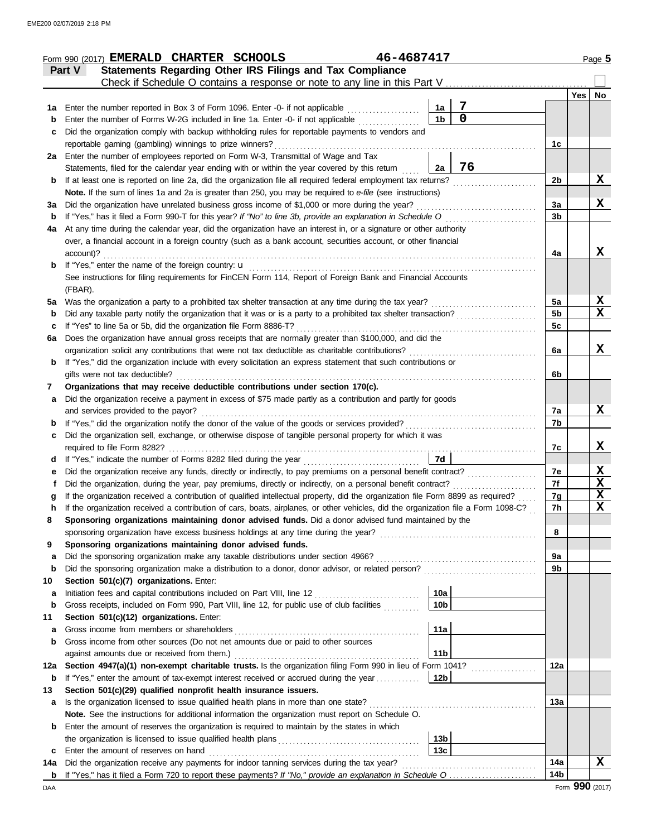|             | Form 990 (2017) EMERALD CHARTER SCHOOLS                                                                                                                                                                                                          | 46-4687417 |                                    |                |                |     | Page 5                  |
|-------------|--------------------------------------------------------------------------------------------------------------------------------------------------------------------------------------------------------------------------------------------------|------------|------------------------------------|----------------|----------------|-----|-------------------------|
|             | Statements Regarding Other IRS Filings and Tax Compliance<br>Part V                                                                                                                                                                              |            |                                    |                |                |     |                         |
|             | Check if Schedule O contains a response or note to any line in this Part V                                                                                                                                                                       |            |                                    |                |                |     |                         |
|             |                                                                                                                                                                                                                                                  |            |                                    |                |                | Yes | No                      |
| 1a          | Enter the number reported in Box 3 of Form 1096. Enter -0- if not applicable [                                                                                                                                                                   |            | 1a                                 | $\overline{7}$ |                |     |                         |
| b           | Enter the number of Forms W-2G included in line 1a. Enter -0- if not applicable <i>minimum</i>                                                                                                                                                   |            | 1 <sub>b</sub>                     | $\mathbf 0$    |                |     |                         |
| c           | Did the organization comply with backup withholding rules for reportable payments to vendors and                                                                                                                                                 |            |                                    |                |                |     |                         |
|             | reportable gaming (gambling) winnings to prize winners?                                                                                                                                                                                          |            |                                    |                | 1c             |     |                         |
| 2a          | Enter the number of employees reported on Form W-3, Transmittal of Wage and Tax                                                                                                                                                                  |            |                                    | 76             |                |     |                         |
|             | Statements, filed for the calendar year ending with or within the year covered by this return                                                                                                                                                    |            | 2a                                 |                |                |     |                         |
| b           |                                                                                                                                                                                                                                                  |            |                                    |                | 2 <sub>b</sub> |     | X                       |
|             | Note. If the sum of lines 1a and 2a is greater than 250, you may be required to e-file (see instructions)                                                                                                                                        |            |                                    |                | За             |     | X                       |
| За<br>b     | Did the organization have unrelated business gross income of \$1,000 or more during the year?<br>If "Yes," has it filed a Form 990-T for this year? If "No" to line 3b, provide an explanation in Schedule O                                     |            |                                    |                | 3 <sub>b</sub> |     |                         |
| 4a          | At any time during the calendar year, did the organization have an interest in, or a signature or other authority                                                                                                                                |            |                                    |                |                |     |                         |
|             | over, a financial account in a foreign country (such as a bank account, securities account, or other financial                                                                                                                                   |            |                                    |                |                |     |                         |
|             | account)?                                                                                                                                                                                                                                        |            |                                    |                | 4a             |     | X                       |
| b           | If "Yes," enter the name of the foreign country: u                                                                                                                                                                                               |            |                                    |                |                |     |                         |
|             | See instructions for filing requirements for FinCEN Form 114, Report of Foreign Bank and Financial Accounts                                                                                                                                      |            |                                    |                |                |     |                         |
|             | (FBAR).                                                                                                                                                                                                                                          |            |                                    |                |                |     |                         |
| 5а          | Was the organization a party to a prohibited tax shelter transaction at any time during the tax year?                                                                                                                                            |            |                                    |                | 5a             |     | <u>x</u>                |
| b           |                                                                                                                                                                                                                                                  |            |                                    |                | 5 <sub>b</sub> |     | X                       |
| c           | If "Yes" to line 5a or 5b, did the organization file Form 8886-T?                                                                                                                                                                                |            |                                    |                | 5 <sub>c</sub> |     |                         |
| 6a          | Does the organization have annual gross receipts that are normally greater than \$100,000, and did the                                                                                                                                           |            |                                    |                |                |     |                         |
|             | organization solicit any contributions that were not tax deductible as charitable contributions?                                                                                                                                                 |            |                                    |                | 6a             |     | X                       |
| b           | If "Yes," did the organization include with every solicitation an express statement that such contributions or                                                                                                                                   |            |                                    |                |                |     |                         |
|             | gifts were not tax deductible?                                                                                                                                                                                                                   |            |                                    |                | 6b             |     |                         |
| 7           | Organizations that may receive deductible contributions under section 170(c).                                                                                                                                                                    |            |                                    |                |                |     |                         |
| a           | Did the organization receive a payment in excess of \$75 made partly as a contribution and partly for goods                                                                                                                                      |            |                                    |                |                |     |                         |
|             | and services provided to the payor?                                                                                                                                                                                                              |            |                                    |                | 7a             |     | X                       |
| b           |                                                                                                                                                                                                                                                  |            |                                    |                | 7b             |     |                         |
| с           | Did the organization sell, exchange, or otherwise dispose of tangible personal property for which it was                                                                                                                                         |            |                                    |                |                |     |                         |
|             | required to file Form 8282?                                                                                                                                                                                                                      |            |                                    |                | 7c             |     | x                       |
| d           | If "Yes," indicate the number of Forms 8282 filed during the year                                                                                                                                                                                |            | 7d                                 |                |                |     |                         |
| е           |                                                                                                                                                                                                                                                  |            |                                    |                | 7e<br>7f       |     | X<br>X                  |
|             | Did the organization, during the year, pay premiums, directly or indirectly, on a personal benefit contract?<br>If the organization received a contribution of qualified intellectual property, did the organization file Form 8899 as required? |            |                                    |                | 7g             |     | X                       |
| h           | If the organization received a contribution of cars, boats, airplanes, or other vehicles, did the organization file a Form 1098-C?                                                                                                               |            |                                    |                | 7h             |     | $\overline{\mathbf{x}}$ |
| 8           | Sponsoring organizations maintaining donor advised funds. Did a donor advised fund maintained by the                                                                                                                                             |            |                                    |                |                |     |                         |
|             | sponsoring organization have excess business holdings at any time during the year?                                                                                                                                                               |            |                                    |                | 8              |     |                         |
| 9           | Sponsoring organizations maintaining donor advised funds.                                                                                                                                                                                        |            |                                    |                |                |     |                         |
| а           | Did the sponsoring organization make any taxable distributions under section 4966?                                                                                                                                                               |            |                                    |                | 9а             |     |                         |
| $\mathbf b$ | Did the sponsoring organization make a distribution to a donor, donor advisor, or related person?                                                                                                                                                |            |                                    |                | 9b             |     |                         |
| 10          | Section 501(c)(7) organizations. Enter:                                                                                                                                                                                                          |            |                                    |                |                |     |                         |
| а           | Initiation fees and capital contributions included on Part VIII, line 12 [11][11][11][11][11][11][11][11][11][                                                                                                                                   |            | 10a                                |                |                |     |                         |
| b           | Gross receipts, included on Form 990, Part VIII, line 12, for public use of club facilities                                                                                                                                                      |            | 10 <sub>b</sub>                    |                |                |     |                         |
| 11          | Section 501(c)(12) organizations. Enter:                                                                                                                                                                                                         |            |                                    |                |                |     |                         |
| а           | Gross income from members or shareholders                                                                                                                                                                                                        |            | 11a                                |                |                |     |                         |
| b           | Gross income from other sources (Do not net amounts due or paid to other sources                                                                                                                                                                 |            |                                    |                |                |     |                         |
|             | against amounts due or received from them.)                                                                                                                                                                                                      |            | 11 <sub>b</sub>                    |                |                |     |                         |
| 12a         | Section 4947(a)(1) non-exempt charitable trusts. Is the organization filing Form 990 in lieu of Form 1041?                                                                                                                                       |            |                                    |                | 12a            |     |                         |
| b           | If "Yes," enter the amount of tax-exempt interest received or accrued during the year                                                                                                                                                            |            | 12b                                |                |                |     |                         |
| 13          | Section 501(c)(29) qualified nonprofit health insurance issuers.                                                                                                                                                                                 |            |                                    |                |                |     |                         |
| a           | Is the organization licensed to issue qualified health plans in more than one state?                                                                                                                                                             |            |                                    |                | 13a            |     |                         |
|             | Note. See the instructions for additional information the organization must report on Schedule O.                                                                                                                                                |            |                                    |                |                |     |                         |
| b           | Enter the amount of reserves the organization is required to maintain by the states in which                                                                                                                                                     |            |                                    |                |                |     |                         |
|             | the organization is licensed to issue qualified health plans                                                                                                                                                                                     |            | 13 <sub>b</sub><br>13 <sub>c</sub> |                |                |     |                         |
| c<br>14a    | Enter the amount of reserves on hand<br>Did the organization receive any payments for indoor tanning services during the tax year?                                                                                                               |            |                                    |                | 14a            |     | x                       |
|             | <b>b</b> If "Yes," has it filed a Form 720 to report these payments? If "No," provide an explanation in Schedule O                                                                                                                               |            |                                    |                | 14b            |     |                         |
|             |                                                                                                                                                                                                                                                  |            |                                    |                |                |     |                         |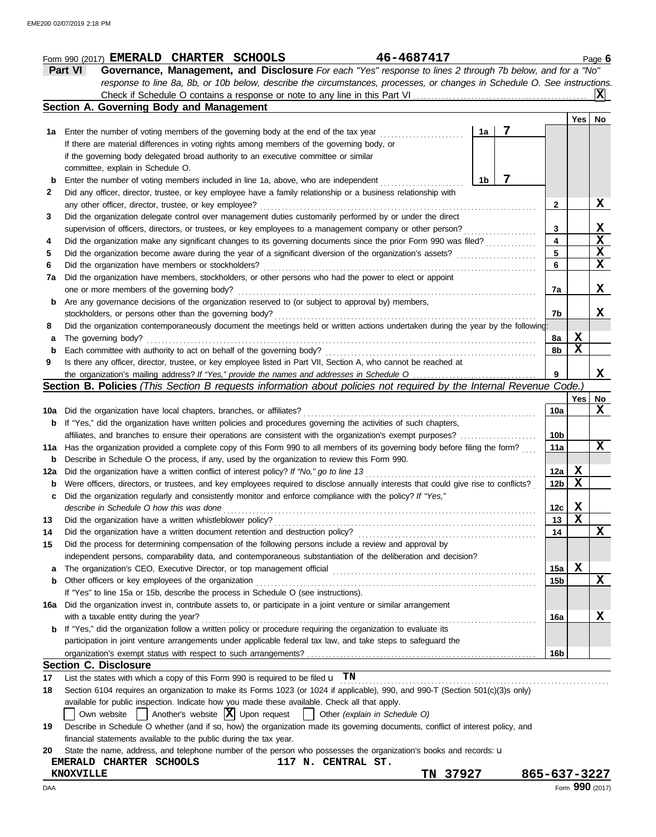|        | Part VI<br>Governance, Management, and Disclosure For each "Yes" response to lines 2 through 7b below, and for a "No"               |                 |                  |                 |
|--------|-------------------------------------------------------------------------------------------------------------------------------------|-----------------|------------------|-----------------|
|        | response to line 8a, 8b, or 10b below, describe the circumstances, processes, or changes in Schedule O. See instructions.           |                 |                  |                 |
|        | Check if Schedule O contains a response or note to any line in this Part VI                                                         |                 |                  |                 |
|        | Section A. Governing Body and Management                                                                                            |                 |                  |                 |
|        |                                                                                                                                     |                 | Yes              | No              |
|        | 7<br>1a<br>1a Enter the number of voting members of the governing body at the end of the tax year                                   |                 |                  |                 |
|        | If there are material differences in voting rights among members of the governing body, or                                          |                 |                  |                 |
|        | if the governing body delegated broad authority to an executive committee or similar                                                |                 |                  |                 |
|        | committee, explain in Schedule O.                                                                                                   |                 |                  |                 |
| b      | 7<br>1 <sub>b</sub><br>Enter the number of voting members included in line 1a, above, who are independent                           |                 |                  |                 |
| 2      | Did any officer, director, trustee, or key employee have a family relationship or a business relationship with                      |                 |                  |                 |
|        | any other officer, director, trustee, or key employee?                                                                              | 2               |                  | x               |
| 3      | Did the organization delegate control over management duties customarily performed by or under the direct                           |                 |                  |                 |
|        | supervision of officers, directors, or trustees, or key employees to a management company or other person?                          | 3               |                  | x               |
| 4      | Did the organization make any significant changes to its governing documents since the prior Form 990 was filed?                    | 4               |                  | X               |
| 5      | Did the organization become aware during the year of a significant diversion of the organization's assets?                          | 5               |                  | X               |
| 6      | Did the organization have members or stockholders?                                                                                  | 6               |                  | X               |
| 7a     | Did the organization have members, stockholders, or other persons who had the power to elect or appoint                             |                 |                  |                 |
|        | one or more members of the governing body?                                                                                          | 7a              |                  | X               |
| b      | Are any governance decisions of the organization reserved to (or subject to approval by) members,                                   |                 |                  |                 |
|        | stockholders, or persons other than the governing body?                                                                             | 7b              |                  | X               |
| 8      | Did the organization contemporaneously document the meetings held or written actions undertaken during the year by the following:   |                 |                  |                 |
| а      | The governing body?                                                                                                                 | 8a              | x                |                 |
| b      | Each committee with authority to act on behalf of the governing body?                                                               | 8b              | X                |                 |
| 9      | Is there any officer, director, trustee, or key employee listed in Part VII, Section A, who cannot be reached at                    |                 |                  |                 |
|        | the organization's mailing address? If "Yes," provide the names and addresses in Schedule O                                         | 9               |                  | x               |
|        | Section B. Policies (This Section B requests information about policies not required by the Internal Revenue Code.)                 |                 |                  |                 |
|        |                                                                                                                                     |                 | Yes              | No              |
| 10a    | Did the organization have local chapters, branches, or affiliates?                                                                  | 10a             |                  | x               |
| b      | If "Yes," did the organization have written policies and procedures governing the activities of such chapters,                      |                 |                  |                 |
|        | affiliates, and branches to ensure their operations are consistent with the organization's exempt purposes?                         | 10 <sub>b</sub> |                  |                 |
| 11a    | Has the organization provided a complete copy of this Form 990 to all members of its governing body before filing the form?         | 11a             |                  | X               |
| b      | Describe in Schedule O the process, if any, used by the organization to review this Form 990.                                       |                 |                  |                 |
| 12a    | Did the organization have a written conflict of interest policy? If "No," go to line 13                                             | 12a             | X                |                 |
| b      | Were officers, directors, or trustees, and key employees required to disclose annually interests that could give rise to conflicts? | 12b             | X                |                 |
| с      | Did the organization regularly and consistently monitor and enforce compliance with the policy? If "Yes,"                           |                 |                  |                 |
|        | describe in Schedule O how this was done                                                                                            | 12c             | X<br>$\mathbf X$ |                 |
| 13     | Did the organization have a written whistleblower policy?                                                                           | 13              |                  | X               |
| 14     | Did the organization have a written document retention and destruction policy?                                                      | 14              |                  |                 |
| 15     | Did the process for determining compensation of the following persons include a review and approval by                              |                 |                  |                 |
|        | independent persons, comparability data, and contemporaneous substantiation of the deliberation and decision?                       |                 | X                |                 |
| a<br>b | The organization's CEO, Executive Director, or top management official<br>Other officers or key employees of the organization       | 15a<br>15b      |                  | X               |
|        | If "Yes" to line 15a or 15b, describe the process in Schedule O (see instructions).                                                 |                 |                  |                 |
| 16a    | Did the organization invest in, contribute assets to, or participate in a joint venture or similar arrangement                      |                 |                  |                 |
|        | with a taxable entity during the year?                                                                                              | 16a             |                  | x               |
| b      | If "Yes," did the organization follow a written policy or procedure requiring the organization to evaluate its                      |                 |                  |                 |
|        | participation in joint venture arrangements under applicable federal tax law, and take steps to safeguard the                       |                 |                  |                 |
|        |                                                                                                                                     | 16b             |                  |                 |
|        | <b>Section C. Disclosure</b>                                                                                                        |                 |                  |                 |
| 17     | List the states with which a copy of this Form 990 is required to be filed $U$ TN                                                   |                 |                  |                 |
| 18     | Section 6104 requires an organization to make its Forms 1023 (or 1024 if applicable), 990, and 990-T (Section 501(c)(3)s only)      |                 |                  |                 |
|        | available for public inspection. Indicate how you made these available. Check all that apply.                                       |                 |                  |                 |
|        | Another's website $ \mathbf{X} $ Upon request<br>Other (explain in Schedule O)<br>Own website                                       |                 |                  |                 |
| 19     | Describe in Schedule O whether (and if so, how) the organization made its governing documents, conflict of interest policy, and     |                 |                  |                 |
|        | financial statements available to the public during the tax year.                                                                   |                 |                  |                 |
| 20     | State the name, address, and telephone number of the person who possesses the organization's books and records: u                   |                 |                  |                 |
|        | 117 N. CENTRAL ST.<br>EMERALD CHARTER SCHOOLS                                                                                       |                 |                  |                 |
|        | 37927<br>865-637-3227<br><b>KNOXVILLE</b><br>TN                                                                                     |                 |                  |                 |
| DAA    |                                                                                                                                     |                 |                  | Form 990 (2017) |

**Form 990 (2017) EMERALD CHARTER SCHOOLS** 46-4687417 Page 6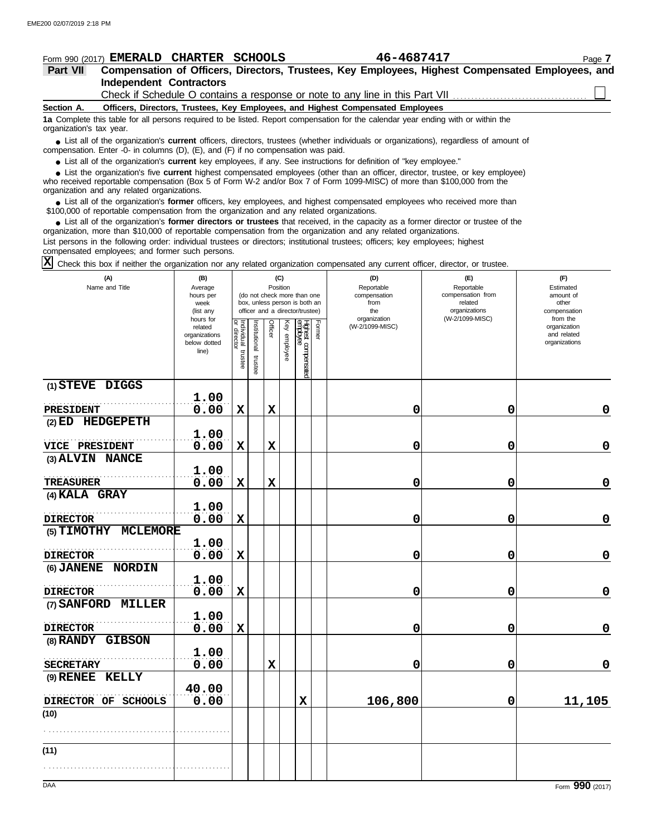### compensation organization compensation from **Section A. Independent Contractors Part VII Compensation of Officers, Directors, Trustees, Key Employees, Highest Compensated Employees, and Form 990 (2017) EMERALD CHARTER SCHOOLS** 46-4687417 Page 7 **Officers, Directors, Trustees, Key Employees, and Highest Compensated Employees 1a** Complete this table for all persons required to be listed. Report compensation for the calendar year ending with or within the ■ List all of the organization's **current** officers, directors, trustees (whether individuals or organizations), regardless of amount of annount of the organization and the studies of amount of compensation. Enter -0- in columns (D), (E), and (F) if no compensation was paid. ● List all of the organization's **current** key employees, if any. See instructions for definition of "key employee." who received reportable compensation (Box 5 of Form W-2 and/or Box 7 of Form 1099-MISC) of more than \$100,000 from the organization and any related organizations. ■ List all of the organization's **former** officers, key employees, and highest compensated employees who received more than<br>00,000 of reportable compensation from the organization and any related organizations \$100,000 of reportable compensation from the organization and any related organizations. ■ List all of the organization's **former directors or trustees** that received, in the capacity as a former director or trustee of the prization more than \$10,000 of reportable compensation from the organization and any re organization, more than \$10,000 of reportable compensation from the organization and any related organizations. List persons in the following order: individual trustees or directors; institutional trustees; officers; key employees; highest compensated employees; and former such persons. Check this box if neither the organization nor any related organization compensated any current officer, director, or trustee. **X (A) (B) (C) (D) (E) (F)** Name and Title **Position Position** related compensation Reportable organizations organization (W-2/1099-MISC) Reportable amount of Estimated from the from **the contract of the contract of the contract of the contract of the contract of the contract of the contra** the (W-2/1099-MISC) organization's tax year. ■ List the organization's five **current** highest compensated employees (other than an officer, director, trustee, or key employee)<br> **•** Persived reportable compensation (Box 5 of Form W-2 and/or Box 7 of Form 1099-MISC) o Check if Schedule O contains a response or note to any line in this Part VII. week hours for Average hours per related (list any officer and a director/trustee) box, unless person is both an (do not check more than one

| (A)<br>Name and Title        | (B)<br>Average<br>hours per<br>week<br>(list any               |                                   |                          | Position    | (C)          | (do not check more than one<br>box, unless person is both an<br>officer and a director/trustee) |        | (D)<br>Reportable<br>compensation<br>from<br>the<br>organization | (E)<br>Reportable<br>compensation from<br>related<br>organizations<br>(W-2/1099-MISC) | (F)<br>Estimated<br>amount of<br>other<br>compensation<br>from the |
|------------------------------|----------------------------------------------------------------|-----------------------------------|--------------------------|-------------|--------------|-------------------------------------------------------------------------------------------------|--------|------------------------------------------------------------------|---------------------------------------------------------------------------------------|--------------------------------------------------------------------|
|                              | hours for<br>related<br>organizations<br>below dotted<br>line) | Individual trustee<br>or director | Institutional<br>trustee | Officer     | Key employee | Highest compensated<br>employee                                                                 | Former | (W-2/1099-MISC)                                                  |                                                                                       | organization<br>and related<br>organizations                       |
| (1) STEVE DIGGS              |                                                                |                                   |                          |             |              |                                                                                                 |        |                                                                  |                                                                                       |                                                                    |
| PRESIDENT                    | 1.00<br>0.00                                                   | $\mathbf x$                       |                          | $\mathbf x$ |              |                                                                                                 |        | 0                                                                | $\mathbf 0$                                                                           | $\mathbf 0$                                                        |
| (2) ED HEDGEPETH             |                                                                |                                   |                          |             |              |                                                                                                 |        |                                                                  |                                                                                       |                                                                    |
| VICE PRESIDENT               | 1.00<br>0.00                                                   | $\mathbf x$                       |                          | X           |              |                                                                                                 |        | 0                                                                | 0                                                                                     | $\mathbf 0$                                                        |
| (3) ALVIN NANCE              |                                                                |                                   |                          |             |              |                                                                                                 |        |                                                                  |                                                                                       |                                                                    |
|                              | 1.00                                                           |                                   |                          |             |              |                                                                                                 |        |                                                                  |                                                                                       |                                                                    |
| <b>TREASURER</b>             | 0.00                                                           | $\mathbf x$                       |                          | $\mathbf x$ |              |                                                                                                 |        | 0                                                                | $\mathbf 0$                                                                           | $\mathbf 0$                                                        |
| (4) KALA GRAY                |                                                                |                                   |                          |             |              |                                                                                                 |        |                                                                  |                                                                                       |                                                                    |
|                              | 1.00                                                           |                                   |                          |             |              |                                                                                                 |        |                                                                  |                                                                                       |                                                                    |
| <b>DIRECTOR</b>              | 0.00                                                           | X                                 |                          |             |              |                                                                                                 |        | 0                                                                | 0                                                                                     | $\mathbf 0$                                                        |
| (5) TIMOTHY MCLEMORE         | 1.00                                                           |                                   |                          |             |              |                                                                                                 |        |                                                                  |                                                                                       |                                                                    |
| <b>DIRECTOR</b>              | 0.00                                                           | X                                 |                          |             |              |                                                                                                 |        | 0                                                                | 0                                                                                     | $\mathbf 0$                                                        |
| (6) JANENE NORDIN            |                                                                |                                   |                          |             |              |                                                                                                 |        |                                                                  |                                                                                       |                                                                    |
| <b>DIRECTOR</b>              | 1.00<br>0.00                                                   | $\mathbf x$                       |                          |             |              |                                                                                                 |        | 0                                                                | $\mathbf 0$                                                                           | $\mathbf 0$                                                        |
| <b>MILLER</b><br>(7) SANFORD |                                                                |                                   |                          |             |              |                                                                                                 |        |                                                                  |                                                                                       |                                                                    |
|                              | 1.00                                                           |                                   |                          |             |              |                                                                                                 |        |                                                                  |                                                                                       |                                                                    |
| <b>DIRECTOR</b>              | 0.00                                                           | $\mathbf x$                       |                          |             |              |                                                                                                 |        | 0                                                                | 0                                                                                     | $\mathbf 0$                                                        |
| (8) RANDY GIBSON             |                                                                |                                   |                          |             |              |                                                                                                 |        |                                                                  |                                                                                       |                                                                    |
|                              | 1.00                                                           |                                   |                          |             |              |                                                                                                 |        |                                                                  |                                                                                       |                                                                    |
| <b>SECRETARY</b>             | 0.00                                                           |                                   |                          | $\mathbf x$ |              |                                                                                                 |        | 0                                                                | 0                                                                                     | $\mathbf 0$                                                        |
| (9) RENEE KELLY              |                                                                |                                   |                          |             |              |                                                                                                 |        |                                                                  |                                                                                       |                                                                    |
|                              | 40.00                                                          |                                   |                          |             |              |                                                                                                 |        |                                                                  |                                                                                       |                                                                    |
| DIRECTOR OF SCHOOLS          | 0.00                                                           |                                   |                          |             |              | $\mathbf x$                                                                                     |        | 106,800                                                          | 0                                                                                     | 11,105                                                             |
| (10)                         |                                                                |                                   |                          |             |              |                                                                                                 |        |                                                                  |                                                                                       |                                                                    |
|                              |                                                                |                                   |                          |             |              |                                                                                                 |        |                                                                  |                                                                                       |                                                                    |
| (11)                         |                                                                |                                   |                          |             |              |                                                                                                 |        |                                                                  |                                                                                       |                                                                    |
|                              |                                                                |                                   |                          |             |              |                                                                                                 |        |                                                                  |                                                                                       |                                                                    |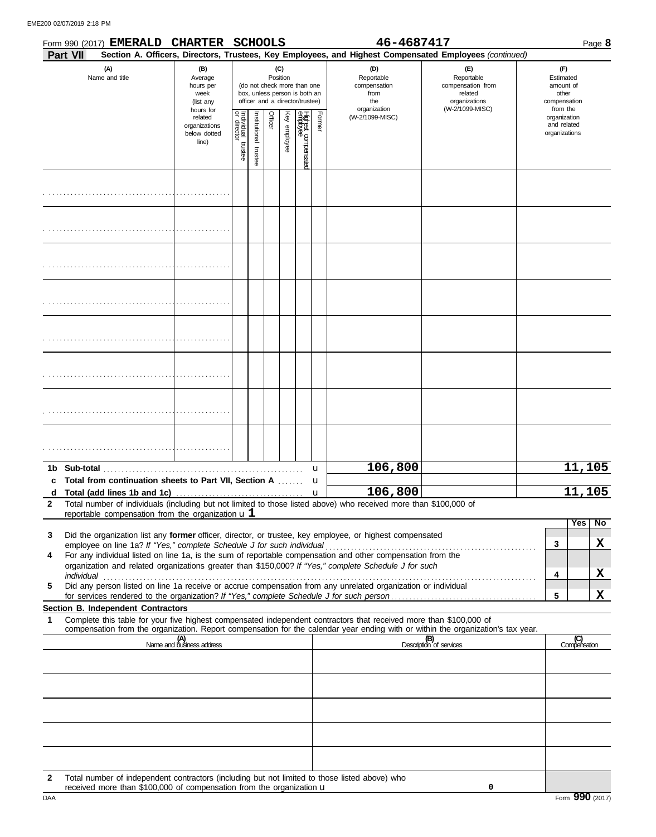|                |          |                       |                                    | Form 990 (2017) EMERALD CHARTER SCHOOLS                       |                                   |                         |         |                 |                                                                                                 |        | 46-4687417                                                                                                         |                                                                                                                                                                                           |                                                                    | Page 8              |
|----------------|----------|-----------------------|------------------------------------|---------------------------------------------------------------|-----------------------------------|-------------------------|---------|-----------------|-------------------------------------------------------------------------------------------------|--------|--------------------------------------------------------------------------------------------------------------------|-------------------------------------------------------------------------------------------------------------------------------------------------------------------------------------------|--------------------------------------------------------------------|---------------------|
|                | Part VII |                       |                                    |                                                               |                                   |                         |         |                 |                                                                                                 |        |                                                                                                                    | Section A. Officers, Directors, Trustees, Key Employees, and Highest Compensated Employees (continued)                                                                                    |                                                                    |                     |
|                |          | (A)<br>Name and title |                                    | (B)<br>Average<br>hours per<br>week<br>(list any<br>hours for |                                   |                         |         | (C)<br>Position | (do not check more than one<br>box, unless person is both an<br>officer and a director/trustee) |        | (D)<br>Reportable<br>compensation<br>from<br>the<br>organization                                                   | (F)<br>Reportable<br>compensation from<br>related<br>organizations<br>(W-2/1099-MISC)                                                                                                     | (F)<br>Estimated<br>amount of<br>other<br>compensation<br>from the |                     |
|                |          |                       |                                    | related<br>organizations<br>below dotted<br>line)             | Individual trustee<br>or director | nstitutional<br>trustee | Officer | Key employee    | Highest compensated<br>employee                                                                 | Former | (W-2/1099-MISC)                                                                                                    |                                                                                                                                                                                           | organization<br>and related<br>organizations                       |                     |
|                |          |                       |                                    |                                                               |                                   |                         |         |                 |                                                                                                 |        |                                                                                                                    |                                                                                                                                                                                           |                                                                    |                     |
|                |          |                       |                                    |                                                               |                                   |                         |         |                 |                                                                                                 |        |                                                                                                                    |                                                                                                                                                                                           |                                                                    |                     |
|                |          |                       |                                    |                                                               |                                   |                         |         |                 |                                                                                                 |        |                                                                                                                    |                                                                                                                                                                                           |                                                                    |                     |
|                |          |                       |                                    |                                                               |                                   |                         |         |                 |                                                                                                 |        |                                                                                                                    |                                                                                                                                                                                           |                                                                    |                     |
|                |          |                       |                                    |                                                               |                                   |                         |         |                 |                                                                                                 |        |                                                                                                                    |                                                                                                                                                                                           |                                                                    |                     |
|                |          |                       |                                    |                                                               |                                   |                         |         |                 |                                                                                                 |        |                                                                                                                    |                                                                                                                                                                                           |                                                                    |                     |
|                |          |                       |                                    |                                                               |                                   |                         |         |                 |                                                                                                 |        |                                                                                                                    |                                                                                                                                                                                           |                                                                    |                     |
|                |          |                       |                                    |                                                               |                                   |                         |         |                 |                                                                                                 |        |                                                                                                                    |                                                                                                                                                                                           |                                                                    |                     |
|                |          |                       |                                    |                                                               |                                   |                         |         |                 |                                                                                                 | u      | 106,800                                                                                                            |                                                                                                                                                                                           |                                                                    | 11,105              |
| $\overline{2}$ |          |                       |                                    | c Total from continuation sheets to Part VII, Section A       |                                   |                         |         |                 |                                                                                                 | u      | Total number of individuals (including but not limited to those listed above) who received more than \$100,000 of  |                                                                                                                                                                                           | 11                                                                 | 105                 |
|                |          |                       |                                    | reportable compensation from the organization $u1$            |                                   |                         |         |                 |                                                                                                 |        |                                                                                                                    |                                                                                                                                                                                           |                                                                    | Yes<br>No           |
| 3              |          |                       |                                    |                                                               |                                   |                         |         |                 |                                                                                                 |        | Did the organization list any former officer, director, or trustee, key employee, or highest compensated           |                                                                                                                                                                                           | 3                                                                  | X                   |
| 4              |          |                       |                                    |                                                               |                                   |                         |         |                 |                                                                                                 |        |                                                                                                                    | employee on line 1a? If "Yes," complete Schedule J for such individual contract contract the successive on line 1a, is the sum of reportable compensation and other compensation from the |                                                                    |                     |
|                |          |                       |                                    |                                                               |                                   |                         |         |                 |                                                                                                 |        | organization and related organizations greater than \$150,000? If "Yes," complete Schedule J for such              |                                                                                                                                                                                           | 4                                                                  | X                   |
| 5              |          |                       |                                    |                                                               |                                   |                         |         |                 |                                                                                                 |        | Did any person listed on line 1a receive or accrue compensation from any unrelated organization or individual      |                                                                                                                                                                                           | $\sqrt{5}$                                                         | X                   |
|                |          |                       | Section B. Independent Contractors |                                                               |                                   |                         |         |                 |                                                                                                 |        |                                                                                                                    |                                                                                                                                                                                           |                                                                    |                     |
| 1              |          |                       |                                    |                                                               |                                   |                         |         |                 |                                                                                                 |        | Complete this table for your five highest compensated independent contractors that received more than \$100,000 of | compensation from the organization. Report compensation for the calendar year ending with or within the organization's tax year.                                                          |                                                                    |                     |
|                |          |                       |                                    | (A)<br>Name and business address                              |                                   |                         |         |                 |                                                                                                 |        |                                                                                                                    | (B)<br>Description of services                                                                                                                                                            |                                                                    | (C)<br>Compensation |
|                |          |                       |                                    |                                                               |                                   |                         |         |                 |                                                                                                 |        |                                                                                                                    |                                                                                                                                                                                           |                                                                    |                     |
|                |          |                       |                                    |                                                               |                                   |                         |         |                 |                                                                                                 |        |                                                                                                                    |                                                                                                                                                                                           |                                                                    |                     |
|                |          |                       |                                    |                                                               |                                   |                         |         |                 |                                                                                                 |        |                                                                                                                    |                                                                                                                                                                                           |                                                                    |                     |
|                |          |                       |                                    |                                                               |                                   |                         |         |                 |                                                                                                 |        |                                                                                                                    |                                                                                                                                                                                           |                                                                    |                     |
|                |          |                       |                                    |                                                               |                                   |                         |         |                 |                                                                                                 |        |                                                                                                                    |                                                                                                                                                                                           |                                                                    |                     |
|                |          |                       |                                    |                                                               |                                   |                         |         |                 |                                                                                                 |        |                                                                                                                    |                                                                                                                                                                                           |                                                                    |                     |
|                |          |                       |                                    |                                                               |                                   |                         |         |                 |                                                                                                 |        |                                                                                                                    |                                                                                                                                                                                           |                                                                    |                     |

**2** Total number of independent contractors (including but not limited to those listed above) who received more than \$100,000 of compensation from the organization u

**0**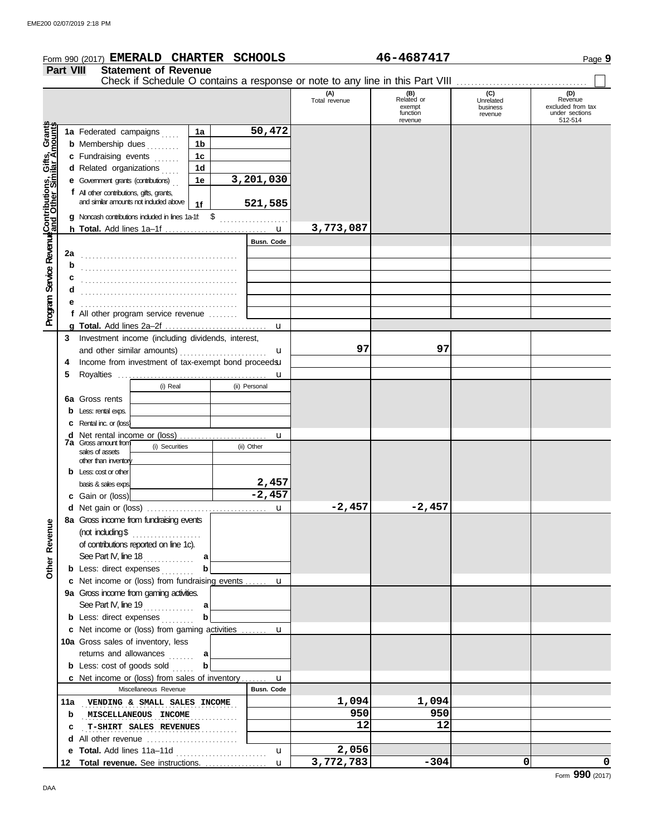|                                                              | <b>Part VIII</b> |                                                                  | Form 990 (2017) EMERALD CHARTER SCHOOLS<br><b>Statement of Revenue</b> |                |            |                   |                                                                               | 46-4687417                                         |                                         |                                                                  | Page 9 |
|--------------------------------------------------------------|------------------|------------------------------------------------------------------|------------------------------------------------------------------------|----------------|------------|-------------------|-------------------------------------------------------------------------------|----------------------------------------------------|-----------------------------------------|------------------------------------------------------------------|--------|
|                                                              |                  |                                                                  |                                                                        |                |            |                   | Check if Schedule O contains a response or note to any line in this Part VIII |                                                    |                                         |                                                                  |        |
|                                                              |                  |                                                                  |                                                                        |                |            |                   | (A)<br>Total revenue                                                          | (B)<br>Related or<br>exempt<br>function<br>revenue | (C)<br>Unrelated<br>business<br>revenue | (D)<br>Revenue<br>excluded from tax<br>under sections<br>512-514 |        |
| <b>Program Service Reverund Contributions, Gifts, Grants</b> |                  | 1a Federated campaigns                                           |                                                                        | 1a             |            | 50,472            |                                                                               |                                                    |                                         |                                                                  |        |
|                                                              |                  | <b>b</b> Membership dues                                         |                                                                        | 1b             |            |                   |                                                                               |                                                    |                                         |                                                                  |        |
|                                                              |                  | c Fundraising events                                             |                                                                        | 1 <sub>c</sub> |            |                   |                                                                               |                                                    |                                         |                                                                  |        |
|                                                              |                  | d Related organizations                                          |                                                                        | 1 <sub>d</sub> |            |                   |                                                                               |                                                    |                                         |                                                                  |        |
|                                                              |                  | <b>e</b> Government grants (contributions)                       |                                                                        | 1e             |            | 3,201,030         |                                                                               |                                                    |                                         |                                                                  |        |
|                                                              |                  | <b>f</b> All other contributions, gifts, grants,                 |                                                                        |                |            |                   |                                                                               |                                                    |                                         |                                                                  |        |
|                                                              |                  |                                                                  | and similar amounts not induded above                                  | 1f             |            | 521,585           |                                                                               |                                                    |                                         |                                                                  |        |
|                                                              |                  |                                                                  | <b>g</b> Noncash contributions included in lines 1a-1f: $$$            |                |            | .                 |                                                                               |                                                    |                                         |                                                                  |        |
|                                                              |                  |                                                                  |                                                                        |                |            |                   | 3,773,087                                                                     |                                                    |                                         |                                                                  |        |
|                                                              |                  |                                                                  |                                                                        |                |            | Busn. Code        |                                                                               |                                                    |                                         |                                                                  |        |
|                                                              | 2a               |                                                                  |                                                                        |                |            |                   |                                                                               |                                                    |                                         |                                                                  |        |
|                                                              | b                |                                                                  |                                                                        |                |            |                   |                                                                               |                                                    |                                         |                                                                  |        |
|                                                              | с                |                                                                  |                                                                        |                |            |                   |                                                                               |                                                    |                                         |                                                                  |        |
|                                                              | d                |                                                                  |                                                                        |                |            |                   |                                                                               |                                                    |                                         |                                                                  |        |
|                                                              | е                |                                                                  |                                                                        |                |            |                   |                                                                               |                                                    |                                         |                                                                  |        |
|                                                              |                  |                                                                  | f All other program service revenue                                    |                |            |                   |                                                                               |                                                    |                                         |                                                                  |        |
|                                                              |                  |                                                                  |                                                                        |                |            | u                 |                                                                               |                                                    |                                         |                                                                  |        |
|                                                              |                  |                                                                  | 3 Investment income (including dividends, interest,                    |                |            |                   |                                                                               |                                                    |                                         |                                                                  |        |
|                                                              |                  |                                                                  | and other similar amounts)                                             |                |            | u                 | 97                                                                            | 97                                                 |                                         |                                                                  |        |
|                                                              | 4                | Income from investment of tax-exempt bond proceedsu              |                                                                        |                |            |                   |                                                                               |                                                    |                                         |                                                                  |        |
|                                                              | 5                |                                                                  |                                                                        |                |            | u                 |                                                                               |                                                    |                                         |                                                                  |        |
|                                                              |                  |                                                                  | (i) Real                                                               |                |            | (ii) Personal     |                                                                               |                                                    |                                         |                                                                  |        |
|                                                              |                  | <b>6a</b> Gross rents                                            |                                                                        |                |            |                   |                                                                               |                                                    |                                         |                                                                  |        |
|                                                              |                  | <b>b</b> Less: rental exps.                                      |                                                                        |                |            |                   |                                                                               |                                                    |                                         |                                                                  |        |
|                                                              |                  | <b>C</b> Rental inc. or (loss)                                   |                                                                        |                |            |                   |                                                                               |                                                    |                                         |                                                                  |        |
|                                                              |                  |                                                                  |                                                                        |                |            | u                 |                                                                               |                                                    |                                         |                                                                  |        |
|                                                              |                  | <b>7a</b> Gross amount from<br>(i) Securities<br>sales of assets |                                                                        |                | (ii) Other |                   |                                                                               |                                                    |                                         |                                                                  |        |
|                                                              |                  | other than inventor                                              |                                                                        |                |            |                   |                                                                               |                                                    |                                         |                                                                  |        |
|                                                              |                  | <b>b</b> Less: $\cos$ or other                                   |                                                                        |                |            | 2,457             |                                                                               |                                                    |                                         |                                                                  |        |
|                                                              |                  | basis & sales exps.                                              |                                                                        |                |            | $-2,457$          |                                                                               |                                                    |                                         |                                                                  |        |
|                                                              |                  | c Gain or (loss)                                                 |                                                                        |                |            |                   | $-2,457$                                                                      | $-2,457$                                           |                                         |                                                                  |        |
|                                                              |                  |                                                                  | 8a Gross income from fundraising events                                |                |            | u                 |                                                                               |                                                    |                                         |                                                                  |        |
|                                                              |                  | (not including \$                                                |                                                                        |                |            |                   |                                                                               |                                                    |                                         |                                                                  |        |
|                                                              |                  |                                                                  | .<br>of contributions reported on line 1c).                            |                |            |                   |                                                                               |                                                    |                                         |                                                                  |        |
| Other Revenue                                                |                  |                                                                  | See Part IV, line 18                                                   | a              |            |                   |                                                                               |                                                    |                                         |                                                                  |        |
|                                                              |                  |                                                                  | <b>b</b> Less: direct expenses                                         | b              |            |                   |                                                                               |                                                    |                                         |                                                                  |        |
|                                                              |                  |                                                                  | c Net income or (loss) from fundraising events                         |                |            | u                 |                                                                               |                                                    |                                         |                                                                  |        |
|                                                              |                  |                                                                  | 9a Gross income from gaming activities.                                |                |            |                   |                                                                               |                                                    |                                         |                                                                  |        |
|                                                              |                  |                                                                  | See Part IV, line 19                                                   | a              |            |                   |                                                                               |                                                    |                                         |                                                                  |        |
|                                                              |                  |                                                                  | <b>b</b> Less: direct expenses                                         | þ              |            |                   |                                                                               |                                                    |                                         |                                                                  |        |
|                                                              |                  |                                                                  | c Net income or (loss) from gaming activities                          |                |            | u                 |                                                                               |                                                    |                                         |                                                                  |        |
|                                                              |                  |                                                                  | 10a Gross sales of inventory, less                                     |                |            |                   |                                                                               |                                                    |                                         |                                                                  |        |
|                                                              |                  |                                                                  | returns and allowances                                                 | a              |            |                   |                                                                               |                                                    |                                         |                                                                  |        |
|                                                              |                  |                                                                  | <b>b</b> Less: cost of goods sold                                      | b              |            |                   |                                                                               |                                                    |                                         |                                                                  |        |
|                                                              |                  |                                                                  | <b>c</b> Net income or (loss) from sales of inventory                  |                |            | u                 |                                                                               |                                                    |                                         |                                                                  |        |
|                                                              |                  |                                                                  | Miscellaneous Revenue                                                  |                |            | <b>Busn. Code</b> |                                                                               |                                                    |                                         |                                                                  |        |
|                                                              |                  |                                                                  | 11a VENDING & SMALL SALES INCOME                                       |                |            |                   | 1,094                                                                         | 1,094                                              |                                         |                                                                  |        |
|                                                              | b                |                                                                  | MISCELLANEOUS INCOME                                                   |                |            |                   | 950                                                                           | 950                                                |                                         |                                                                  |        |
|                                                              | c                |                                                                  | T-SHIRT SALES REVENUES                                                 |                |            |                   | 12                                                                            | 12                                                 |                                         |                                                                  |        |
|                                                              |                  |                                                                  | d All other revenue                                                    |                |            |                   |                                                                               |                                                    |                                         |                                                                  |        |
|                                                              |                  |                                                                  | e Total. Add lines 11a-11d                                             |                |            | u                 | 2,056                                                                         |                                                    |                                         |                                                                  |        |
|                                                              |                  |                                                                  | 12 Total revenue. See instructions.                                    |                |            | u                 | 3,772,783                                                                     | $-304$                                             | 0                                       |                                                                  | 0      |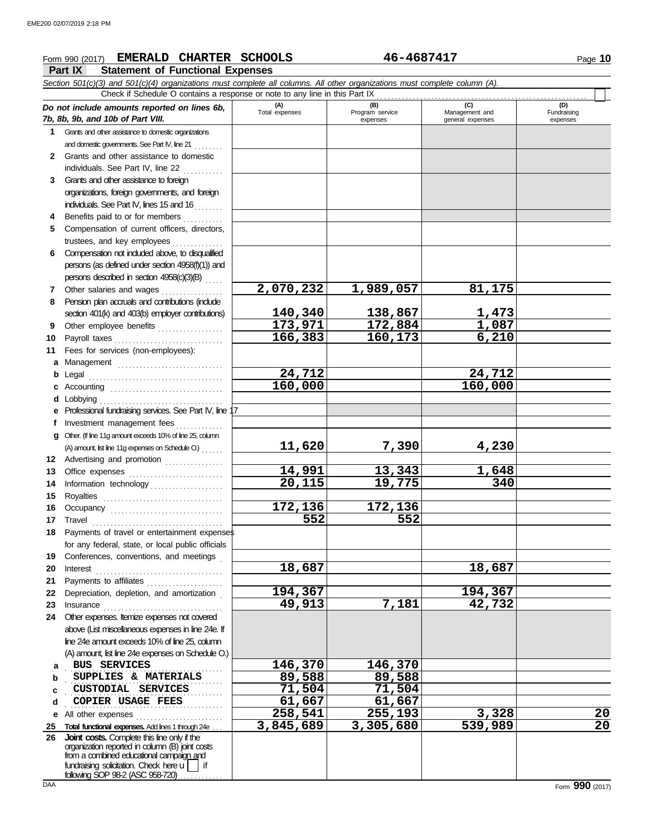# **Form 990 (2017) EMERALD CHARTER SCHOOLS** 46-4687417 Page 10

## **Part IX Statement of Functional Expenses**

|          | $\alpha$                                                                                                                   |                       |                                    |                                           |                                |
|----------|----------------------------------------------------------------------------------------------------------------------------|-----------------------|------------------------------------|-------------------------------------------|--------------------------------|
|          | Section 501(c)(3) and 501(c)(4) organizations must complete all columns. All other organizations must complete column (A). |                       |                                    |                                           |                                |
|          | Check if Schedule O contains a response or note to any line in this Part IX                                                |                       |                                    |                                           |                                |
|          | Do not include amounts reported on lines 6b,<br>7b, 8b, 9b, and 10b of Part VIII.                                          | (A)<br>Total expenses | (B)<br>Program service<br>expenses | (C)<br>Management and<br>general expenses | (D)<br>Fundraising<br>expenses |
|          | 1 Grants and other assistance to domestic organizations                                                                    |                       |                                    |                                           |                                |
|          | and domestic governments. See Part IV, line 21                                                                             |                       |                                    |                                           |                                |
| 2        | Grants and other assistance to domestic                                                                                    |                       |                                    |                                           |                                |
|          | individuals. See Part IV, line 22                                                                                          |                       |                                    |                                           |                                |
| 3        | Grants and other assistance to foreign                                                                                     |                       |                                    |                                           |                                |
|          | organizations, foreign governments, and foreign<br>individuals. See Part IV, lines 15 and 16                               |                       |                                    |                                           |                                |
| 4        | Benefits paid to or for members                                                                                            |                       |                                    |                                           |                                |
| 5.       | Compensation of current officers, directors,                                                                               |                       |                                    |                                           |                                |
|          | trustees, and key employees                                                                                                |                       |                                    |                                           |                                |
| 6        | Compensation not included above, to disqualified                                                                           |                       |                                    |                                           |                                |
|          | persons (as defined under section 4958(f)(1)) and                                                                          |                       |                                    |                                           |                                |
|          | persons described in section 4958(c)(3)(B)                                                                                 |                       |                                    |                                           |                                |
| 7        | Other salaries and wages                                                                                                   | 2,070,232             | 1,989,057                          | 81,175                                    |                                |
| 8        | Pension plan accruals and contributions (include                                                                           |                       |                                    |                                           |                                |
|          | section 401(k) and 403(b) employer contributions)                                                                          | 140,340               | 138,867                            | <u>1,473</u>                              |                                |
| 9        | Other employee benefits                                                                                                    | 173,971               | 172,884                            | 1,087                                     |                                |
| 10       | Payroll taxes                                                                                                              | 166,383               | 160,173                            | 6,210                                     |                                |
| 11       | Fees for services (non-employees):                                                                                         |                       |                                    |                                           |                                |
| a        | Management                                                                                                                 |                       |                                    |                                           |                                |
| b        |                                                                                                                            | 24,712                |                                    | 24,712                                    |                                |
| c        | Accounting                                                                                                                 | 160,000               |                                    | 160,000                                   |                                |
| d        | Lobbying                                                                                                                   |                       |                                    |                                           |                                |
| е        | Professional fundraising services. See Part IV, line 17                                                                    |                       |                                    |                                           |                                |
| f        | Investment management fees                                                                                                 |                       |                                    |                                           |                                |
| a        | Other. (If line 11g amount exceeds 10% of line 25, column                                                                  |                       |                                    |                                           |                                |
|          |                                                                                                                            | 11,620                | 7,390                              | 4,230                                     |                                |
| 12       | Advertising and promotion [11] [11] Advertising and promotion                                                              |                       |                                    |                                           |                                |
| 13       |                                                                                                                            | 14,991                | 13,343                             | 1,648                                     |                                |
| 14       | Information technology                                                                                                     | 20,115                | 19,775                             | 340                                       |                                |
| 15       | Royalties                                                                                                                  |                       |                                    |                                           |                                |
| 16       | Occupancy                                                                                                                  | 172,136               | 172,136                            |                                           |                                |
| 17       |                                                                                                                            | 552                   | 552                                |                                           |                                |
|          | 18 Payments of travel or entertainment expenses                                                                            |                       |                                    |                                           |                                |
|          | for any federal, state, or local public officials                                                                          |                       |                                    |                                           |                                |
| 19       | Conferences, conventions, and meetings                                                                                     |                       |                                    |                                           |                                |
| 20       | Interest                                                                                                                   | 18,687                |                                    | 18,687                                    |                                |
| 21       | Payments to affiliates                                                                                                     |                       |                                    |                                           |                                |
| 22       | Depreciation, depletion, and amortization                                                                                  | 194,367               |                                    | 194,367                                   |                                |
| 23       |                                                                                                                            | 49,913                | 7,181                              | 42,732                                    |                                |
| 24       | Other expenses. Itemize expenses not covered                                                                               |                       |                                    |                                           |                                |
|          | above (List miscellaneous expenses in line 24e. If                                                                         |                       |                                    |                                           |                                |
|          | line 24e amount exceeds 10% of line 25, column                                                                             |                       |                                    |                                           |                                |
|          | (A) amount, list line 24e expenses on Schedule O.)                                                                         |                       |                                    |                                           |                                |
| a        | <b>BUS SERVICES</b>                                                                                                        | 146,370               | 146,370                            |                                           |                                |
| b        | SUPPLIES & MATERIALS                                                                                                       | 89,588                | 89,588                             |                                           |                                |
| c        | CUSTODIAL SERVICES                                                                                                         | 71,504                | 71,504                             |                                           |                                |
| d        | <b>COPIER USAGE FEES</b>                                                                                                   | 61,667                | 61,667                             |                                           |                                |
| е        | All other expenses                                                                                                         | 258,541               | 255,193                            | 3,328                                     | 20<br>20                       |
| 25<br>26 | Total functional expenses. Add lines 1 through 24e<br>Joint costs. Complete this line only if the                          | 3,845,689             | 3,305,680                          | 539,989                                   |                                |
|          | organization reported in column (B) joint costs                                                                            |                       |                                    |                                           |                                |
|          | from a combined educational campaign and                                                                                   |                       |                                    |                                           |                                |
|          | fundraising solicitation. Check here u<br>-if                                                                              |                       |                                    |                                           |                                |

following SOP 98-2 (ASC 958-720) . . . . . . . . . .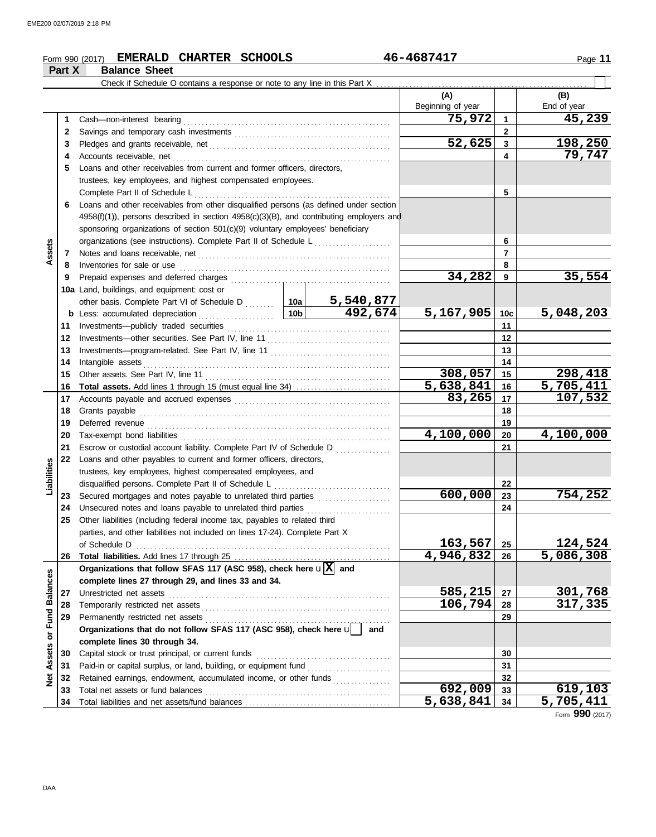# **Form 990 (2017) EMERALD CHARTER SCHOOLS** 46-4687417 Page 11

**Part X Balance Sheet** Check if Schedule O contains a response or note to any line in this Part X **(A) (B)** Beginning of year | | End of year **75,972 45,239** Cash—non-interest bearing . . . . . . . . . . . . . . . . . . . . . . . . . . . . . . . . . . . . . . . . . . . . . . . . . . . . . . . . . **1 1 2 2** Savings and temporary cash investments . . . . . . . . . . . . . . . . . . . . . . . . . . . . . . . . . . . . . . . . . . . **52,625 198,250 3 3** Pledges and grants receivable, net . . . . . . . . . . . . . . . . . . . . . . . . . . . . . . . . . . . . . . . . . . . . . . . . . . **79,747 4 4** Accounts receivable, net . . . . . . . . . . . . . . . . . . . . . . . . . . . . . . . . . . . . . . . . . . . . . . . . . . . . . . . . . . . . **5** Loans and other receivables from current and former officers, directors, trustees, key employees, and highest compensated employees. Complete Part II of Schedule L . . . . . . . . . . . . . . . . **5 6** Loans and other receivables from other disqualified persons (as defined under section 4958(f)(1)), persons described in section 4958(c)(3)(B), and contributing employers and sponsoring organizations of section 501(c)(9) voluntary employees' beneficiary organizations (see instructions). Complete Part II of Schedule L . . . . . . . . . . . . . . . . . . . . . **6 Assets 7 7** Notes and loans receivable, net . . . . . . . . . . . . . . . . . . . . . . . . . . . . . . . . . . . . . . . . . . . . . . . . . . . . . Inventories for sale or use . . . . . . . . . . . . . . . . . . . . . . . . . . . . . . . . . . . . . . . . . . . . . . . . . . . . . . . . . . **8 8 34,282 35,554 9 9** Prepaid expenses and deferred charges . . . . . . . . . . . . . . . . . . . . . . . . . . . . . . . . . . . . . . . . . . . . **10a** Land, buildings, and equipment: cost or other basis. Complete Part VI of Schedule D . . . . . . . . **10a 5,540,877 492,674 5,167,905 5,048,203 10c b** Less: accumulated depreciation . . . . . . . . . . . . . . . . . 10b Investments—publicly traded securities . . . . . . . . . . . . . . . . . . . . . . . . . . . . . . . . . . . . . . . . . . . . . **11 11** Investments—other securities. See Part IV, line 11 . . . . . . . . . . . . . . . . . . . . . . . . . . . . . . . . . . **12 12** Investments—program-related. See Part IV, line 11 . . . . . . . . . . . . . . . . . . . . . . . . . . . . . . . . . **13 13 14** Intangible assets . . . . . . . . . . . . . . . . . . . . . . . . . . . . . . . . . . . . . . . . . . . . . . . . . . . . . . . . . . . . . . . . . . . . **14 308,057 298,418** Other assets. See Part IV, line 11 . . . . . . . . . . . . . . . . . . . . . . . . . . . . . . . . . . . . . . . . . . . . . . . . . . . **15 15 5,638,841 5,705,411 16 16 Total assets.** Add lines 1 through 15 (must equal line 34) ........................... Accounts payable and accrued expenses . . . . . . . . . . . . . . . . . . . . . . . . . . . . . . . . . . . . . . . . . . . **83,265 107,532 17 17 18 18** Grants payable . . . . . . . . . . . . . . . . . . . . . . . . . . . . . . . . . . . . . . . . . . . . . . . . . . . . . . . . . . . . . . . . . . . . . **19** Deferred revenue . . . . . . . . . . . . . . . . . . . . . . . . . . . . . . . . . . . . . . . . . . . . . . . . . . . . . . . . . . . . . . . . . . . **19 4,100,000 4,100,000 20** Tax-exempt bond liabilities . . . . . . . . . . . . . . . . . . . . . . . . . . . . . . . . . . . . . . . . . . . . . . . . . . . . . . . . . . **20** Escrow or custodial account liability. Complete Part IV of Schedule D . . . . . . . . . . . . . . . **21 21 22** Loans and other payables to current and former officers, directors, **Liabilities** trustees, key employees, highest compensated employees, and disqualified persons. Complete Part II of Schedule L .................................. **22 600,000 754,252 23** Secured mortgages and notes payable to unrelated third parties **23** Unsecured notes and loans payable to unrelated third parties **24 24 25** Other liabilities (including federal income tax, payables to related third parties, and other liabilities not included on lines 17-24). Complete Part X **163,567 124,524** of Schedule D . . . . . . . . . . . . . . . . . . . . . . . . . . . . . . . . . . . . . . . . . . . . . . . . . . . . . . . . . . . . . . . . . . . . . . **25 26 4,946,832 5,086,308 Total liabilities.** Add lines 17 through 25 . . . . . . . . . . . . . . . . . . . . . . . . . . . . . . . . . . . . . . . . . . . **26 Organizations that follow SFAS 117 (ASC 958), check here**  $\boldsymbol{\mathsf{u}}[\textbf{X}]$  **and Balances Net Assets or Fund Balances complete lines 27 through 29, and lines 33 and 34. 27** Unrestricted net assets . . . . . . . . . . . . . . . . . . . . . . . . . . . . . . . . . . . . . . . . . . . . . . . . . . . . . . . . . . . . . **585,215 301,768 27** Temporarily restricted net assets . . . . . . . . . . . . . . . . . . . . . . . . . . . . . . . . . . . . . . . . . . . . . . . . . . . . **106,794 317,335 28 28** Net Assets or Fund Permanently restricted net assets . . . . . . . . . . . . . . . . . . . . . . . . . . . . . . . . . . . . . . . . . . . . . . . . . . . **29 29 Organizations that do not follow SFAS 117 (ASC 958), check here** u **and complete lines 30 through 34.** Capital stock or trust principal, or current funds . . . . . . . . . . . . . . . . . . . . . . . . . . . . . . . . . . . . . **30 30** Paid-in or capital surplus, or land, building, or equipment fund ....................... **31 31** Retained earnings, endowment, accumulated income, or other funds ................ **32 32 692,009 619,103** Total net assets or fund balances . . . . . . . . . . . . . . . . . . . . . . . . . . . . . . . . . . . . . . . . . . . . . . . . . . . **33 33 5,638,841 5,705,411 34** Total liabilities and net assets/fund balances ..... **34**

Form **990** (2017)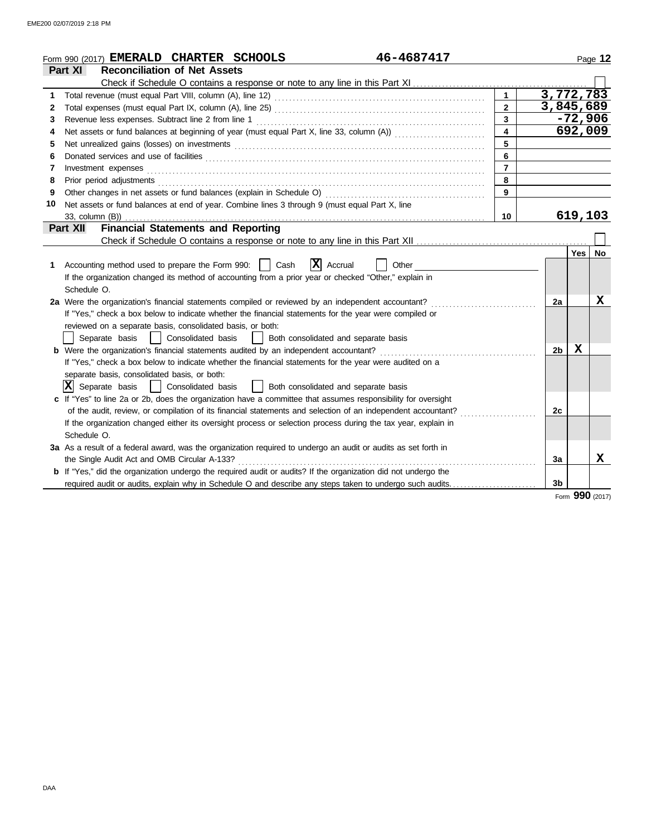|    | 46-4687417<br>Form 990 (2017) EMERALD CHARTER SCHOOLS                                                                 |                         |           |           | Page 12         |
|----|-----------------------------------------------------------------------------------------------------------------------|-------------------------|-----------|-----------|-----------------|
|    | <b>Reconciliation of Net Assets</b><br><b>Part XI</b>                                                                 |                         |           |           |                 |
|    | Check if Schedule O contains a response or note to any line in this Part XI                                           |                         |           |           |                 |
| 1  |                                                                                                                       | $\mathbf{1}$            | 3,772,783 |           |                 |
| 2  |                                                                                                                       | $\mathbf{2}$            | 3,845,689 |           |                 |
| 3  | Revenue less expenses. Subtract line 2 from line 1                                                                    | $\mathbf{3}$            |           | $-72,906$ |                 |
| 4  |                                                                                                                       | $\overline{\mathbf{4}}$ |           | 692,009   |                 |
| 5  |                                                                                                                       | 5                       |           |           |                 |
| 6  |                                                                                                                       | 6                       |           |           |                 |
| 7  | Investment expenses                                                                                                   | $\overline{7}$          |           |           |                 |
| 8  | Prior period adjustments                                                                                              | 8                       |           |           |                 |
| 9  | Other changes in net assets or fund balances (explain in Schedule O)                                                  | 9                       |           |           |                 |
| 10 | Net assets or fund balances at end of year. Combine lines 3 through 9 (must equal Part X, line                        |                         |           |           |                 |
|    | 33, column (B))                                                                                                       | 10                      |           | 619,103   |                 |
|    | <b>Financial Statements and Reporting</b><br>Part XII                                                                 |                         |           |           |                 |
|    |                                                                                                                       |                         |           |           |                 |
|    |                                                                                                                       |                         |           | Yes       | <b>No</b>       |
| 1. | $ \mathbf{X} $ Accrual<br>Accounting method used to prepare the Form 990:<br>Cash<br>Other                            |                         |           |           |                 |
|    | If the organization changed its method of accounting from a prior year or checked "Other," explain in                 |                         |           |           |                 |
|    | Schedule O.                                                                                                           |                         |           |           |                 |
|    | 2a Were the organization's financial statements compiled or reviewed by an independent accountant?                    |                         | 2a        |           | X               |
|    | If "Yes," check a box below to indicate whether the financial statements for the year were compiled or                |                         |           |           |                 |
|    | reviewed on a separate basis, consolidated basis, or both:                                                            |                         |           |           |                 |
|    | Consolidated basis<br>Separate basis<br>Both consolidated and separate basis                                          |                         |           |           |                 |
|    | <b>b</b> Were the organization's financial statements audited by an independent accountant?                           |                         | 2b        | X         |                 |
|    | If "Yes," check a box below to indicate whether the financial statements for the year were audited on a               |                         |           |           |                 |
|    | separate basis, consolidated basis, or both:                                                                          |                         |           |           |                 |
|    | $ \mathbf{X} $ Separate basis<br>Consolidated basis<br>Both consolidated and separate basis                           |                         |           |           |                 |
|    | c If "Yes" to line 2a or 2b, does the organization have a committee that assumes responsibility for oversight         |                         |           |           |                 |
|    | of the audit, review, or compilation of its financial statements and selection of an independent accountant?          |                         | 2с        |           |                 |
|    | If the organization changed either its oversight process or selection process during the tax year, explain in         |                         |           |           |                 |
|    | Schedule O.                                                                                                           |                         |           |           |                 |
|    | 3a As a result of a federal award, was the organization required to undergo an audit or audits as set forth in        |                         |           |           |                 |
|    | the Single Audit Act and OMB Circular A-133?                                                                          |                         | 3a        |           | X               |
|    | <b>b</b> If "Yes," did the organization undergo the required audit or audits? If the organization did not undergo the |                         |           |           |                 |
|    | required audit or audits, explain why in Schedule O and describe any steps taken to undergo such audits               |                         | 3b        |           |                 |
|    |                                                                                                                       |                         |           |           | Form 990 (2017) |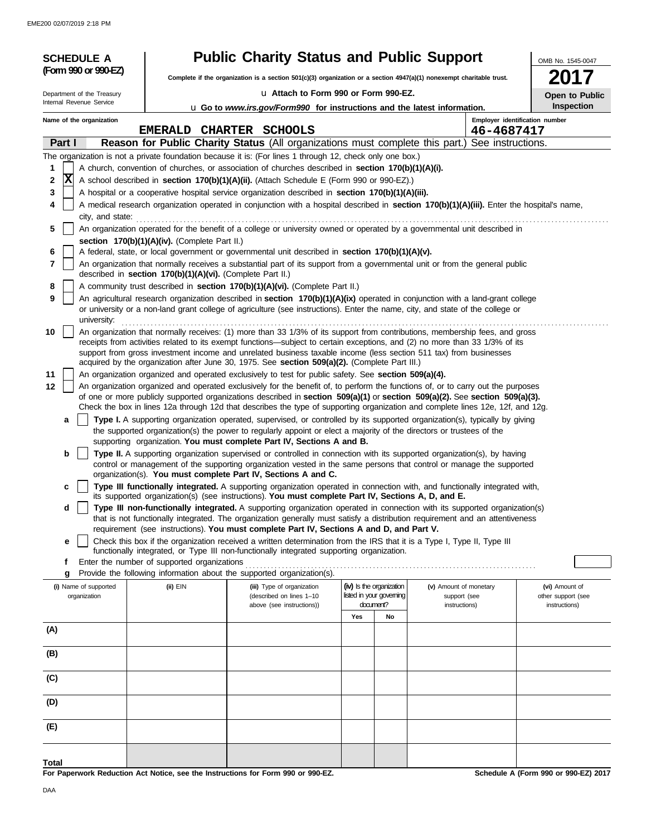EME200 02/07/2019 2:18 PM

| <b>SCHEDULE A</b>                     |                                                            | <b>Public Charity Status and Public Support</b>                                                                                                                                                                                                                                                                              |                                                      |    |                                        |            | OMB No. 1545-0047                    |
|---------------------------------------|------------------------------------------------------------|------------------------------------------------------------------------------------------------------------------------------------------------------------------------------------------------------------------------------------------------------------------------------------------------------------------------------|------------------------------------------------------|----|----------------------------------------|------------|--------------------------------------|
| (Form 990 or 990-EZ)                  |                                                            | Complete if the organization is a section 501(c)(3) organization or a section 4947(a)(1) nonexempt charitable trust.                                                                                                                                                                                                         |                                                      |    |                                        |            |                                      |
| Department of the Treasury            |                                                            | La Attach to Form 990 or Form 990-EZ.                                                                                                                                                                                                                                                                                        |                                                      |    |                                        |            | <b>Open to Public</b>                |
| Internal Revenue Service              |                                                            | Lu Go to www.irs.gov/Form990 for instructions and the latest information.                                                                                                                                                                                                                                                    |                                                      |    |                                        |            | Inspection                           |
| Name of the organization              | EMERALD CHARTER SCHOOLS                                    |                                                                                                                                                                                                                                                                                                                              |                                                      |    |                                        | 46-4687417 | Employer identification number       |
| Part I                                |                                                            | Reason for Public Charity Status (All organizations must complete this part.) See instructions.                                                                                                                                                                                                                              |                                                      |    |                                        |            |                                      |
|                                       |                                                            | The organization is not a private foundation because it is: (For lines 1 through 12, check only one box.)                                                                                                                                                                                                                    |                                                      |    |                                        |            |                                      |
| 1                                     |                                                            | A church, convention of churches, or association of churches described in section 170(b)(1)(A)(i).                                                                                                                                                                                                                           |                                                      |    |                                        |            |                                      |
| $\overline{\mathbf{x}}$<br>2<br>3     |                                                            | A school described in section 170(b)(1)(A)(ii). (Attach Schedule E (Form 990 or 990-EZ).)                                                                                                                                                                                                                                    |                                                      |    |                                        |            |                                      |
| 4                                     |                                                            | A hospital or a cooperative hospital service organization described in section 170(b)(1)(A)(iii).<br>A medical research organization operated in conjunction with a hospital described in section 170(b)(1)(A)(iii). Enter the hospital's name,                                                                              |                                                      |    |                                        |            |                                      |
| city, and state:                      |                                                            |                                                                                                                                                                                                                                                                                                                              |                                                      |    |                                        |            |                                      |
| 5                                     |                                                            | An organization operated for the benefit of a college or university owned or operated by a governmental unit described in                                                                                                                                                                                                    |                                                      |    |                                        |            |                                      |
|                                       | section 170(b)(1)(A)(iv). (Complete Part II.)              |                                                                                                                                                                                                                                                                                                                              |                                                      |    |                                        |            |                                      |
| 6<br>7                                |                                                            | A federal, state, or local government or governmental unit described in section 170(b)(1)(A)(v).<br>An organization that normally receives a substantial part of its support from a governmental unit or from the general public                                                                                             |                                                      |    |                                        |            |                                      |
|                                       | described in section 170(b)(1)(A)(vi). (Complete Part II.) |                                                                                                                                                                                                                                                                                                                              |                                                      |    |                                        |            |                                      |
| 8                                     |                                                            | A community trust described in section 170(b)(1)(A)(vi). (Complete Part II.)                                                                                                                                                                                                                                                 |                                                      |    |                                        |            |                                      |
| 9<br>university:                      |                                                            | An agricultural research organization described in section 170(b)(1)(A)(ix) operated in conjunction with a land-grant college<br>or university or a non-land grant college of agriculture (see instructions). Enter the name, city, and state of the college or                                                              |                                                      |    |                                        |            |                                      |
| 10                                    |                                                            | An organization that normally receives: (1) more than 33 1/3% of its support from contributions, membership fees, and gross                                                                                                                                                                                                  |                                                      |    |                                        |            |                                      |
|                                       |                                                            | receipts from activities related to its exempt functions—subject to certain exceptions, and (2) no more than 33 1/3% of its                                                                                                                                                                                                  |                                                      |    |                                        |            |                                      |
|                                       |                                                            | support from gross investment income and unrelated business taxable income (less section 511 tax) from businesses<br>acquired by the organization after June 30, 1975. See section 509(a)(2). (Complete Part III.)                                                                                                           |                                                      |    |                                        |            |                                      |
| 11                                    |                                                            | An organization organized and operated exclusively to test for public safety. See section 509(a)(4).                                                                                                                                                                                                                         |                                                      |    |                                        |            |                                      |
| 12                                    |                                                            | An organization organized and operated exclusively for the benefit of, to perform the functions of, or to carry out the purposes                                                                                                                                                                                             |                                                      |    |                                        |            |                                      |
|                                       |                                                            | of one or more publicly supported organizations described in section 509(a)(1) or section 509(a)(2). See section 509(a)(3).<br>Check the box in lines 12a through 12d that describes the type of supporting organization and complete lines 12e, 12f, and 12g.                                                               |                                                      |    |                                        |            |                                      |
| a                                     |                                                            | Type I. A supporting organization operated, supervised, or controlled by its supported organization(s), typically by giving<br>the supported organization(s) the power to regularly appoint or elect a majority of the directors or trustees of the<br>supporting organization. You must complete Part IV, Sections A and B. |                                                      |    |                                        |            |                                      |
| b                                     |                                                            | Type II. A supporting organization supervised or controlled in connection with its supported organization(s), by having                                                                                                                                                                                                      |                                                      |    |                                        |            |                                      |
|                                       |                                                            | control or management of the supporting organization vested in the same persons that control or manage the supported                                                                                                                                                                                                         |                                                      |    |                                        |            |                                      |
|                                       |                                                            | organization(s). You must complete Part IV, Sections A and C.<br>Type III functionally integrated. A supporting organization operated in connection with, and functionally integrated with,                                                                                                                                  |                                                      |    |                                        |            |                                      |
| c                                     |                                                            | its supported organization(s) (see instructions). You must complete Part IV, Sections A, D, and E.                                                                                                                                                                                                                           |                                                      |    |                                        |            |                                      |
| d                                     |                                                            | Type III non-functionally integrated. A supporting organization operated in connection with its supported organization(s)                                                                                                                                                                                                    |                                                      |    |                                        |            |                                      |
|                                       |                                                            | that is not functionally integrated. The organization generally must satisfy a distribution requirement and an attentiveness<br>requirement (see instructions). You must complete Part IV, Sections A and D, and Part V.                                                                                                     |                                                      |    |                                        |            |                                      |
| е                                     |                                                            | Check this box if the organization received a written determination from the IRS that it is a Type I, Type II, Type III                                                                                                                                                                                                      |                                                      |    |                                        |            |                                      |
|                                       |                                                            | functionally integrated, or Type III non-functionally integrated supporting organization.                                                                                                                                                                                                                                    |                                                      |    |                                        |            |                                      |
| f<br>g                                | Enter the number of supported organizations                | Provide the following information about the supported organization(s).                                                                                                                                                                                                                                                       |                                                      |    |                                        |            |                                      |
| (i) Name of supported<br>organization | $(ii)$ EIN                                                 | (iii) Type of organization<br>(described on lines 1-10                                                                                                                                                                                                                                                                       | (iv) Is the organization<br>listed in your governing |    | (v) Amount of monetary<br>support (see |            | (vi) Amount of<br>other support (see |
|                                       |                                                            | above (see instructions))                                                                                                                                                                                                                                                                                                    | document?<br>Yes                                     | No | instructions)                          |            | instructions)                        |
| (A)                                   |                                                            |                                                                                                                                                                                                                                                                                                                              |                                                      |    |                                        |            |                                      |
|                                       |                                                            |                                                                                                                                                                                                                                                                                                                              |                                                      |    |                                        |            |                                      |
| (B)                                   |                                                            |                                                                                                                                                                                                                                                                                                                              |                                                      |    |                                        |            |                                      |
| (C)                                   |                                                            |                                                                                                                                                                                                                                                                                                                              |                                                      |    |                                        |            |                                      |
| (D)                                   |                                                            |                                                                                                                                                                                                                                                                                                                              |                                                      |    |                                        |            |                                      |
| (E)                                   |                                                            |                                                                                                                                                                                                                                                                                                                              |                                                      |    |                                        |            |                                      |
| Total                                 |                                                            |                                                                                                                                                                                                                                                                                                                              |                                                      |    |                                        |            |                                      |

**For Paperwork Reduction Act Notice, see the Instructions for Form 990 or 990-EZ.**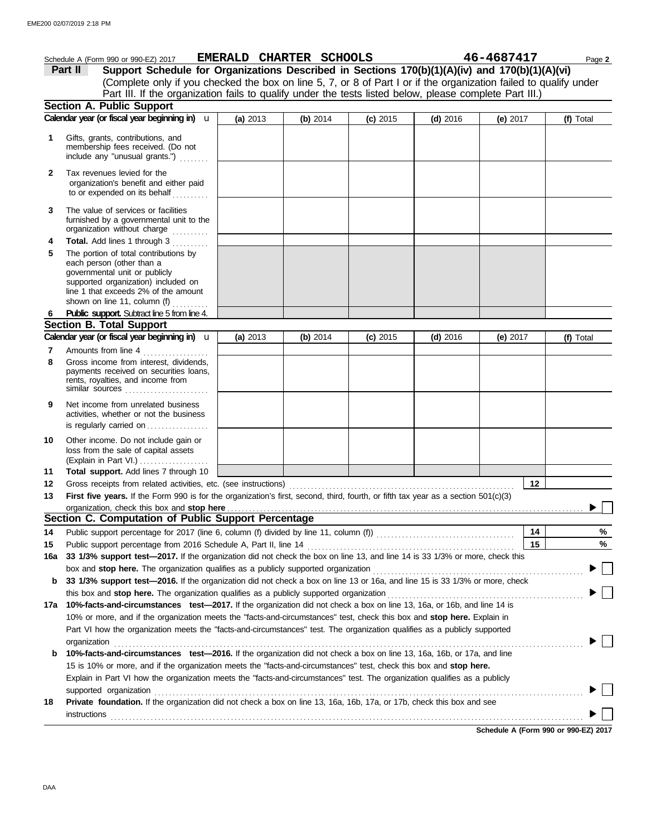|              | Schedule A (Form 990 or 990-EZ) 2017                                                                                                                                                                                  |          | EMERALD CHARTER SCHOOLS |            |            | 46-4687417                          | Page 2    |
|--------------|-----------------------------------------------------------------------------------------------------------------------------------------------------------------------------------------------------------------------|----------|-------------------------|------------|------------|-------------------------------------|-----------|
|              | Support Schedule for Organizations Described in Sections 170(b)(1)(A)(iv) and 170(b)(1)(A)(vi)<br>Part II                                                                                                             |          |                         |            |            |                                     |           |
|              | (Complete only if you checked the box on line 5, 7, or 8 of Part I or if the organization failed to qualify under                                                                                                     |          |                         |            |            |                                     |           |
|              | Part III. If the organization fails to qualify under the tests listed below, please complete Part III.)                                                                                                               |          |                         |            |            |                                     |           |
|              | <b>Section A. Public Support</b>                                                                                                                                                                                      |          |                         |            |            |                                     |           |
|              | Calendar year (or fiscal year beginning in) u                                                                                                                                                                         | (a) 2013 | (b) 2014                | $(c)$ 2015 | $(d)$ 2016 | (e) $2017$                          | (f) Total |
| 1.           | Gifts, grants, contributions, and<br>membership fees received. (Do not<br>include any "unusual grants.")                                                                                                              |          |                         |            |            |                                     |           |
| $\mathbf{2}$ | Tax revenues levied for the<br>organization's benefit and either paid<br>to or expended on its behalf                                                                                                                 |          |                         |            |            |                                     |           |
| 3            | The value of services or facilities<br>furnished by a governmental unit to the<br>organization without charge<br>.                                                                                                    |          |                         |            |            |                                     |           |
| 4            | Total. Add lines 1 through 3                                                                                                                                                                                          |          |                         |            |            |                                     |           |
| 5            | The portion of total contributions by<br>each person (other than a<br>governmental unit or publicly<br>supported organization) included on<br>line 1 that exceeds 2% of the amount<br>shown on line 11, column (f)    |          |                         |            |            |                                     |           |
| 6            | <b>Public support.</b> Subtract line 5 from line 4.                                                                                                                                                                   |          |                         |            |            |                                     |           |
|              | <b>Section B. Total Support</b>                                                                                                                                                                                       |          |                         |            |            |                                     |           |
|              | Calendar year (or fiscal year beginning in) u                                                                                                                                                                         | (a) 2013 | (b) 2014                | $(c)$ 2015 | $(d)$ 2016 | (e) $2017$                          | (f) Total |
| 7<br>8       | Amounts from line 4<br>Gross income from interest, dividends,<br>payments received on securities loans,<br>rents, royalties, and income from<br>similar sources                                                       |          |                         |            |            |                                     |           |
| 9            | Net income from unrelated business<br>activities, whether or not the business<br>is regularly carried on                                                                                                              |          |                         |            |            |                                     |           |
| 10           | Other income. Do not include gain or<br>loss from the sale of capital assets<br>(Explain in Part VI.)                                                                                                                 |          |                         |            |            |                                     |           |
| 11           | Total support. Add lines 7 through 10                                                                                                                                                                                 |          |                         |            |            |                                     |           |
| 12           |                                                                                                                                                                                                                       |          |                         |            |            | 12                                  |           |
| 13           | First five years. If the Form 990 is for the organization's first, second, third, fourth, or fifth tax year as a section 501(c)(3)                                                                                    |          |                         |            |            |                                     |           |
|              | organization, check this box and stop here                                                                                                                                                                            |          |                         |            |            |                                     |           |
|              | Section C. Computation of Public Support Percentage                                                                                                                                                                   |          |                         |            |            |                                     |           |
| 14           |                                                                                                                                                                                                                       |          |                         |            |            | 14                                  | %         |
| 15           |                                                                                                                                                                                                                       |          |                         |            |            | 15                                  | %         |
| 16a          | 33 1/3% support test-2017. If the organization did not check the box on line 13, and line 14 is 33 1/3% or more, check this                                                                                           |          |                         |            |            |                                     |           |
|              | box and stop here. The organization qualifies as a publicly supported organization                                                                                                                                    |          |                         |            |            |                                     |           |
| b            | 33 1/3% support test-2016. If the organization did not check a box on line 13 or 16a, and line 15 is 33 1/3% or more, check                                                                                           |          |                         |            |            |                                     |           |
|              | this box and stop here. The organization qualifies as a publicly supported organization<br>17a 10%-facts-and-circumstances test-2017. If the organization did not check a box on line 13, 16a, or 16b, and line 14 is |          |                         |            |            |                                     |           |
|              | 10% or more, and if the organization meets the "facts-and-circumstances" test, check this box and stop here. Explain in                                                                                               |          |                         |            |            |                                     |           |
|              | Part VI how the organization meets the "facts-and-circumstances" test. The organization qualifies as a publicly supported                                                                                             |          |                         |            |            |                                     |           |
|              | organization                                                                                                                                                                                                          |          |                         |            |            |                                     |           |
| b            | 10%-facts-and-circumstances test-2016. If the organization did not check a box on line 13, 16a, 16b, or 17a, and line                                                                                                 |          |                         |            |            |                                     |           |
|              | 15 is 10% or more, and if the organization meets the "facts-and-circumstances" test, check this box and stop here.                                                                                                    |          |                         |            |            |                                     |           |
|              | Explain in Part VI how the organization meets the "facts-and-circumstances" test. The organization qualifies as a publicly                                                                                            |          |                         |            |            |                                     |           |
|              | supported organization                                                                                                                                                                                                |          |                         |            |            |                                     |           |
| 18           | Private foundation. If the organization did not check a box on line 13, 16a, 16b, 17a, or 17b, check this box and see                                                                                                 |          |                         |            |            |                                     |           |
|              |                                                                                                                                                                                                                       |          |                         |            |            |                                     |           |
|              |                                                                                                                                                                                                                       |          |                         |            |            | Cahadula A (Farm 000 ar 000 EZ) 204 |           |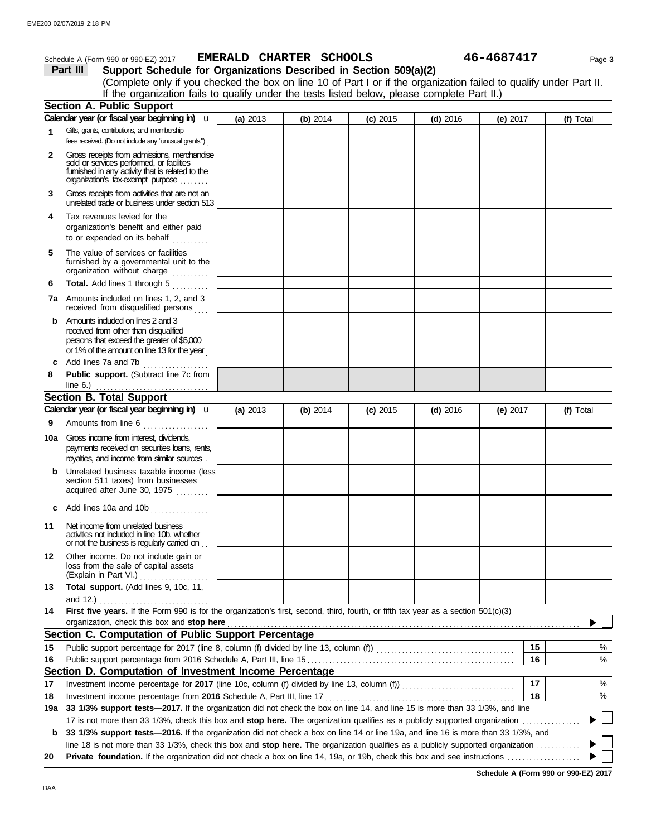|     | Schedule A (Form 990 or 990-EZ) 2017                                                                                                                                                                                                                                 |          | EMERALD CHARTER SCHOOLS |            |            | 46-4687417 | Page 3    |
|-----|----------------------------------------------------------------------------------------------------------------------------------------------------------------------------------------------------------------------------------------------------------------------|----------|-------------------------|------------|------------|------------|-----------|
|     | Support Schedule for Organizations Described in Section 509(a)(2)<br>Part III                                                                                                                                                                                        |          |                         |            |            |            |           |
|     | (Complete only if you checked the box on line 10 of Part I or if the organization failed to qualify under Part II.                                                                                                                                                   |          |                         |            |            |            |           |
|     | If the organization fails to qualify under the tests listed below, please complete Part II.)                                                                                                                                                                         |          |                         |            |            |            |           |
|     | Section A. Public Support                                                                                                                                                                                                                                            |          |                         |            |            |            |           |
|     | Calendar year (or fiscal year beginning in)<br>u                                                                                                                                                                                                                     | (a) 2013 | (b) $2014$              | $(c)$ 2015 | $(d)$ 2016 | (e) $2017$ | (f) Total |
| 1   | Gifts, grants, contributions, and membership                                                                                                                                                                                                                         |          |                         |            |            |            |           |
|     | fees received. (Do not include any "unusual grants.")                                                                                                                                                                                                                |          |                         |            |            |            |           |
| 2   | Gross receipts from admissions, merchandise                                                                                                                                                                                                                          |          |                         |            |            |            |           |
|     | sold or services performed, or facilities                                                                                                                                                                                                                            |          |                         |            |            |            |           |
|     | furnished in any activity that is related to the                                                                                                                                                                                                                     |          |                         |            |            |            |           |
|     | organization's tax-exempt purpose                                                                                                                                                                                                                                    |          |                         |            |            |            |           |
| 3   | Gross receipts from activities that are not an<br>unrelated trade or business under section 513                                                                                                                                                                      |          |                         |            |            |            |           |
|     | Tax revenues levied for the                                                                                                                                                                                                                                          |          |                         |            |            |            |           |
| 4   | organization's benefit and either paid                                                                                                                                                                                                                               |          |                         |            |            |            |           |
|     | to or expended on its behalf                                                                                                                                                                                                                                         |          |                         |            |            |            |           |
|     |                                                                                                                                                                                                                                                                      |          |                         |            |            |            |           |
| 5   | The value of services or facilities<br>furnished by a governmental unit to the                                                                                                                                                                                       |          |                         |            |            |            |           |
|     | organization without charge                                                                                                                                                                                                                                          |          |                         |            |            |            |           |
| 6   | Total. Add lines 1 through 5                                                                                                                                                                                                                                         |          |                         |            |            |            |           |
|     | <b>7a</b> Amounts included on lines 1, 2, and 3                                                                                                                                                                                                                      |          |                         |            |            |            |           |
|     | received from disqualified persons                                                                                                                                                                                                                                   |          |                         |            |            |            |           |
| b   | Amounts included on lines 2 and 3                                                                                                                                                                                                                                    |          |                         |            |            |            |           |
|     | received from other than disqualified                                                                                                                                                                                                                                |          |                         |            |            |            |           |
|     | persons that exceed the greater of \$5,000<br>or 1% of the amount on line 13 for the year                                                                                                                                                                            |          |                         |            |            |            |           |
| c   | Add lines 7a and 7b                                                                                                                                                                                                                                                  |          |                         |            |            |            |           |
| 8   | .<br>Public support. (Subtract line 7c from                                                                                                                                                                                                                          |          |                         |            |            |            |           |
|     | line $6.$ )                                                                                                                                                                                                                                                          |          |                         |            |            |            |           |
|     | <b>Section B. Total Support</b>                                                                                                                                                                                                                                      |          |                         |            |            |            |           |
|     | Calendar year (or fiscal year beginning in) u                                                                                                                                                                                                                        | (a) 2013 | (b) 2014                | $(c)$ 2015 | $(d)$ 2016 | (e) 2017   | (f) Total |
| 9   | Amounts from line 6                                                                                                                                                                                                                                                  |          |                         |            |            |            |           |
|     |                                                                                                                                                                                                                                                                      |          |                         |            |            |            |           |
| 10a | Gross income from interest, dividends,                                                                                                                                                                                                                               |          |                         |            |            |            |           |
|     | payments received on securities loans, rents,<br>royalties, and income from similar sources                                                                                                                                                                          |          |                         |            |            |            |           |
|     |                                                                                                                                                                                                                                                                      |          |                         |            |            |            |           |
| b   | Unrelated business taxable income (less)<br>section 511 taxes) from businesses                                                                                                                                                                                       |          |                         |            |            |            |           |
|     | acquired after June 30, 1975                                                                                                                                                                                                                                         |          |                         |            |            |            |           |
|     |                                                                                                                                                                                                                                                                      |          |                         |            |            |            |           |
| c   | Add lines 10a and 10b<br>.                                                                                                                                                                                                                                           |          |                         |            |            |            |           |
| 11  | Net income from unrelated business                                                                                                                                                                                                                                   |          |                         |            |            |            |           |
|     | activities not included in line 10b, whether                                                                                                                                                                                                                         |          |                         |            |            |            |           |
|     | or not the business is regularly carried on                                                                                                                                                                                                                          |          |                         |            |            |            |           |
| 12  | Other income. Do not include gain or<br>loss from the sale of capital assets                                                                                                                                                                                         |          |                         |            |            |            |           |
|     | (Explain in Part VI.)                                                                                                                                                                                                                                                |          |                         |            |            |            |           |
| 13  | Total support. (Add lines 9, 10c, 11,                                                                                                                                                                                                                                |          |                         |            |            |            |           |
|     | and 12.)                                                                                                                                                                                                                                                             |          |                         |            |            |            |           |
| 14  | First five years. If the Form 990 is for the organization's first, second, third, fourth, or fifth tax year as a section 501(c)(3)                                                                                                                                   |          |                         |            |            |            |           |
|     | organization, check this box and stop here                                                                                                                                                                                                                           |          |                         |            |            |            |           |
|     | Section C. Computation of Public Support Percentage                                                                                                                                                                                                                  |          |                         |            |            |            |           |
| 15  |                                                                                                                                                                                                                                                                      |          |                         |            |            | 15         | %         |
| 16  |                                                                                                                                                                                                                                                                      |          |                         |            |            | 16         | $\%$      |
|     | Section D. Computation of Investment Income Percentage                                                                                                                                                                                                               |          |                         |            |            |            |           |
| 17  |                                                                                                                                                                                                                                                                      |          |                         |            |            | 17         | %         |
| 18  | Investment income percentage from 2016 Schedule A, Part III, line 17                                                                                                                                                                                                 |          |                         |            |            | 18         | %         |
|     | 33 1/3% support tests-2017. If the organization did not check the box on line 14, and line 15 is more than 33 1/3%, and line                                                                                                                                         |          |                         |            |            |            |           |
| 19a |                                                                                                                                                                                                                                                                      |          |                         |            |            |            |           |
|     | 17 is not more than 33 1/3%, check this box and stop here. The organization qualifies as a publicly supported organization                                                                                                                                           |          |                         |            |            |            |           |
| b   | 33 1/3% support tests-2016. If the organization did not check a box on line 14 or line 19a, and line 16 is more than 33 1/3%, and<br>line 18 is not more than 33 1/3%, check this box and stop here. The organization qualifies as a publicly supported organization |          |                         |            |            |            |           |
|     |                                                                                                                                                                                                                                                                      |          |                         |            |            |            |           |

**20 Private foundation.** If the organization did not check a box on line 14, 19a, or 19b, check this box and see instructions . . . . . . . . . . . . . . . . . . . .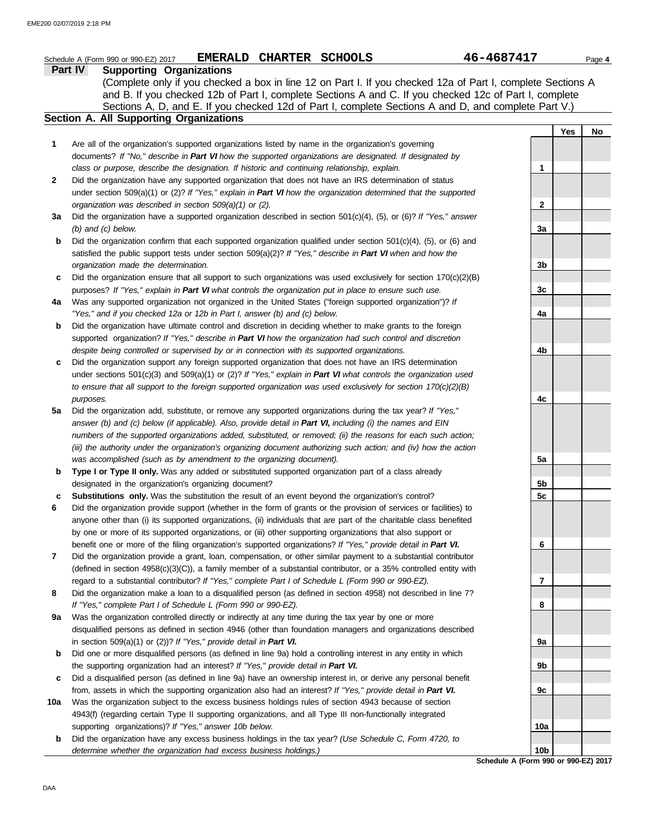|              | EMERALD CHARTER SCHOOLS<br>Schedule A (Form 990 or 990-EZ) 2017                                                                                                                                                                    | 46-4687417      |     | Page 4 |
|--------------|------------------------------------------------------------------------------------------------------------------------------------------------------------------------------------------------------------------------------------|-----------------|-----|--------|
|              | <b>Part IV</b><br><b>Supporting Organizations</b>                                                                                                                                                                                  |                 |     |        |
|              | (Complete only if you checked a box in line 12 on Part I. If you checked 12a of Part I, complete Sections A                                                                                                                        |                 |     |        |
|              | and B. If you checked 12b of Part I, complete Sections A and C. If you checked 12c of Part I, complete                                                                                                                             |                 |     |        |
|              | Sections A, D, and E. If you checked 12d of Part I, complete Sections A and D, and complete Part V.)                                                                                                                               |                 |     |        |
|              | Section A. All Supporting Organizations                                                                                                                                                                                            |                 |     |        |
|              |                                                                                                                                                                                                                                    |                 | Yes | No     |
| 1            | Are all of the organization's supported organizations listed by name in the organization's governing                                                                                                                               |                 |     |        |
|              | documents? If "No," describe in Part VI how the supported organizations are designated. If designated by                                                                                                                           |                 |     |        |
|              | class or purpose, describe the designation. If historic and continuing relationship, explain.                                                                                                                                      | 1               |     |        |
| $\mathbf{2}$ | Did the organization have any supported organization that does not have an IRS determination of status                                                                                                                             |                 |     |        |
|              | under section 509(a)(1) or (2)? If "Yes," explain in Part VI how the organization determined that the supported                                                                                                                    |                 |     |        |
|              | organization was described in section 509(a)(1) or (2).                                                                                                                                                                            | 2               |     |        |
| Зa           | Did the organization have a supported organization described in section 501(c)(4), (5), or (6)? If "Yes," answer                                                                                                                   |                 |     |        |
|              | $(b)$ and $(c)$ below.                                                                                                                                                                                                             | 3a              |     |        |
| b            | Did the organization confirm that each supported organization qualified under section $501(c)(4)$ , $(5)$ , or $(6)$ and                                                                                                           |                 |     |        |
|              | satisfied the public support tests under section 509(a)(2)? If "Yes," describe in Part VI when and how the                                                                                                                         |                 |     |        |
|              | organization made the determination.                                                                                                                                                                                               | 3 <sub>b</sub>  |     |        |
| c            | Did the organization ensure that all support to such organizations was used exclusively for section $170(c)(2)(B)$                                                                                                                 |                 |     |        |
|              | purposes? If "Yes," explain in Part VI what controls the organization put in place to ensure such use.                                                                                                                             | 3 <sub>c</sub>  |     |        |
| 4a           | Was any supported organization not organized in the United States ("foreign supported organization")? If                                                                                                                           |                 |     |        |
|              | "Yes," and if you checked 12a or 12b in Part I, answer (b) and (c) below.                                                                                                                                                          | 4a              |     |        |
| b            | Did the organization have ultimate control and discretion in deciding whether to make grants to the foreign                                                                                                                        |                 |     |        |
|              | supported organization? If "Yes," describe in Part VI how the organization had such control and discretion                                                                                                                         |                 |     |        |
|              | despite being controlled or supervised by or in connection with its supported organizations.                                                                                                                                       | 4b              |     |        |
| c            | Did the organization support any foreign supported organization that does not have an IRS determination                                                                                                                            |                 |     |        |
|              | under sections $501(c)(3)$ and $509(a)(1)$ or $(2)?$ If "Yes," explain in Part VI what controls the organization used                                                                                                              |                 |     |        |
|              | to ensure that all support to the foreign supported organization was used exclusively for section $170(c)(2)(B)$                                                                                                                   |                 |     |        |
|              | purposes.                                                                                                                                                                                                                          | 4c              |     |        |
| 5a           | Did the organization add, substitute, or remove any supported organizations during the tax year? If "Yes,"                                                                                                                         |                 |     |        |
|              | answer (b) and (c) below (if applicable). Also, provide detail in Part VI, including (i) the names and EIN                                                                                                                         |                 |     |        |
|              | numbers of the supported organizations added, substituted, or removed; (ii) the reasons for each such action;                                                                                                                      |                 |     |        |
|              | (iii) the authority under the organization's organizing document authorizing such action; and (iv) how the action                                                                                                                  |                 |     |        |
|              | was accomplished (such as by amendment to the organizing document).<br>Type I or Type II only. Was any added or substituted supported organization part of a class already                                                         | 5a              |     |        |
| b            |                                                                                                                                                                                                                                    |                 |     |        |
|              | designated in the organization's organizing document?                                                                                                                                                                              | 5b<br>5c        |     |        |
| с<br>6       | Substitutions only. Was the substitution the result of an event beyond the organization's control?                                                                                                                                 |                 |     |        |
|              | Did the organization provide support (whether in the form of grants or the provision of services or facilities) to                                                                                                                 |                 |     |        |
|              | anyone other than (i) its supported organizations, (ii) individuals that are part of the charitable class benefited<br>by one or more of its supported organizations, or (iii) other supporting organizations that also support or |                 |     |        |
|              | benefit one or more of the filing organization's supported organizations? If "Yes," provide detail in Part VI.                                                                                                                     | 6               |     |        |
| 7            | Did the organization provide a grant, loan, compensation, or other similar payment to a substantial contributor                                                                                                                    |                 |     |        |
|              | (defined in section $4958(c)(3)(C)$ ), a family member of a substantial contributor, or a 35% controlled entity with                                                                                                               |                 |     |        |
|              | regard to a substantial contributor? If "Yes," complete Part I of Schedule L (Form 990 or 990-EZ).                                                                                                                                 | 7               |     |        |
| 8            | Did the organization make a loan to a disqualified person (as defined in section 4958) not described in line 7?                                                                                                                    |                 |     |        |
|              | If "Yes," complete Part I of Schedule L (Form 990 or 990-EZ).                                                                                                                                                                      | 8               |     |        |
| 9а           | Was the organization controlled directly or indirectly at any time during the tax year by one or more                                                                                                                              |                 |     |        |
|              | disqualified persons as defined in section 4946 (other than foundation managers and organizations described                                                                                                                        |                 |     |        |
|              | in section 509(a)(1) or (2))? If "Yes," provide detail in Part VI.                                                                                                                                                                 | 9а              |     |        |
| b            | Did one or more disqualified persons (as defined in line 9a) hold a controlling interest in any entity in which                                                                                                                    |                 |     |        |
|              | the supporting organization had an interest? If "Yes," provide detail in Part VI.                                                                                                                                                  | 9b              |     |        |
| c            | Did a disqualified person (as defined in line 9a) have an ownership interest in, or derive any personal benefit                                                                                                                    |                 |     |        |
|              | from, assets in which the supporting organization also had an interest? If "Yes," provide detail in Part VI.                                                                                                                       | 9с              |     |        |
| 10a          | Was the organization subject to the excess business holdings rules of section 4943 because of section                                                                                                                              |                 |     |        |
|              | 4943(f) (regarding certain Type II supporting organizations, and all Type III non-functionally integrated                                                                                                                          |                 |     |        |
|              | supporting organizations)? If "Yes," answer 10b below.                                                                                                                                                                             | 10a             |     |        |
| b            | Did the organization have any excess business holdings in the tax year? (Use Schedule C, Form 4720, to                                                                                                                             |                 |     |        |
|              | determine whether the organization had excess business holdings.)                                                                                                                                                                  | 10 <sub>b</sub> |     |        |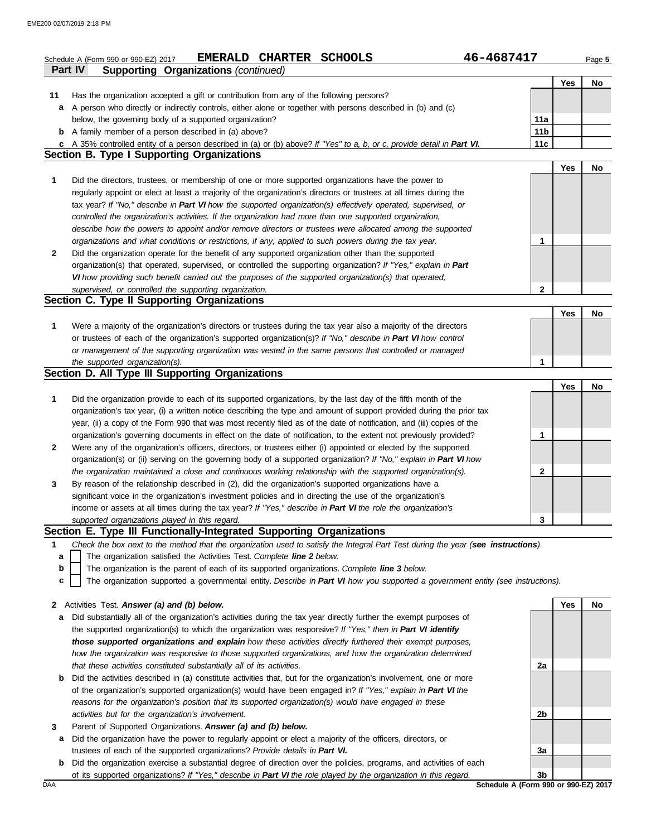|              | 46-4687417<br>EMERALD CHARTER SCHOOLS<br>Schedule A (Form 990 or 990-EZ) 2017                                                                                                                                                    |                 |            | Page 5 |
|--------------|----------------------------------------------------------------------------------------------------------------------------------------------------------------------------------------------------------------------------------|-----------------|------------|--------|
|              | <b>Part IV</b><br><b>Supporting Organizations (continued)</b>                                                                                                                                                                    |                 |            |        |
|              |                                                                                                                                                                                                                                  |                 | Yes        | No     |
| 11           | Has the organization accepted a gift or contribution from any of the following persons?                                                                                                                                          |                 |            |        |
| а            | A person who directly or indirectly controls, either alone or together with persons described in (b) and (c)                                                                                                                     |                 |            |        |
|              | below, the governing body of a supported organization?                                                                                                                                                                           | 11a             |            |        |
|              | <b>b</b> A family member of a person described in (a) above?                                                                                                                                                                     | 11 <sub>b</sub> |            |        |
|              | c A 35% controlled entity of a person described in (a) or (b) above? If "Yes" to a, b, or c, provide detail in Part VI.                                                                                                          | 11c             |            |        |
|              | <b>Section B. Type I Supporting Organizations</b>                                                                                                                                                                                |                 |            |        |
|              |                                                                                                                                                                                                                                  |                 | <b>Yes</b> | No.    |
| 1            | Did the directors, trustees, or membership of one or more supported organizations have the power to                                                                                                                              |                 |            |        |
|              | regularly appoint or elect at least a majority of the organization's directors or trustees at all times during the                                                                                                               |                 |            |        |
|              | tax year? If "No," describe in Part VI how the supported organization(s) effectively operated, supervised, or                                                                                                                    |                 |            |        |
|              | controlled the organization's activities. If the organization had more than one supported organization,                                                                                                                          |                 |            |        |
|              | describe how the powers to appoint and/or remove directors or trustees were allocated among the supported<br>organizations and what conditions or restrictions, if any, applied to such powers during the tax year.              | 1               |            |        |
| $\mathbf{2}$ | Did the organization operate for the benefit of any supported organization other than the supported                                                                                                                              |                 |            |        |
|              | organization(s) that operated, supervised, or controlled the supporting organization? If "Yes," explain in Part                                                                                                                  |                 |            |        |
|              | VI how providing such benefit carried out the purposes of the supported organization(s) that operated,                                                                                                                           |                 |            |        |
|              | supervised, or controlled the supporting organization.                                                                                                                                                                           | 2               |            |        |
|              | Section C. Type II Supporting Organizations                                                                                                                                                                                      |                 |            |        |
|              |                                                                                                                                                                                                                                  |                 | Yes        | No.    |
| 1            | Were a majority of the organization's directors or trustees during the tax year also a majority of the directors                                                                                                                 |                 |            |        |
|              | or trustees of each of the organization's supported organization(s)? If "No," describe in Part VI how control                                                                                                                    |                 |            |        |
|              | or management of the supporting organization was vested in the same persons that controlled or managed                                                                                                                           |                 |            |        |
|              | the supported organization(s).                                                                                                                                                                                                   | 1               |            |        |
|              | Section D. All Type III Supporting Organizations                                                                                                                                                                                 |                 |            |        |
|              |                                                                                                                                                                                                                                  |                 | Yes        | No.    |
| 1            | Did the organization provide to each of its supported organizations, by the last day of the fifth month of the                                                                                                                   |                 |            |        |
|              | organization's tax year, (i) a written notice describing the type and amount of support provided during the prior tax                                                                                                            |                 |            |        |
|              | year, (ii) a copy of the Form 990 that was most recently filed as of the date of notification, and (iii) copies of the                                                                                                           |                 |            |        |
|              | organization's governing documents in effect on the date of notification, to the extent not previously provided?                                                                                                                 | 1               |            |        |
| $\mathbf{2}$ | Were any of the organization's officers, directors, or trustees either (i) appointed or elected by the supported                                                                                                                 |                 |            |        |
|              | organization(s) or (ii) serving on the governing body of a supported organization? If "No," explain in Part VI how                                                                                                               |                 |            |        |
|              | the organization maintained a close and continuous working relationship with the supported organization(s).                                                                                                                      | 2               |            |        |
| 3            | By reason of the relationship described in (2), did the organization's supported organizations have a                                                                                                                            |                 |            |        |
|              | significant voice in the organization's investment policies and in directing the use of the organization's                                                                                                                       |                 |            |        |
|              | income or assets at all times during the tax year? If "Yes," describe in Part VI the role the organization's                                                                                                                     |                 |            |        |
|              | supported organizations played in this regard.                                                                                                                                                                                   | 3               |            |        |
|              | Section E. Type III Functionally-Integrated Supporting Organizations                                                                                                                                                             |                 |            |        |
| 1            | Check the box next to the method that the organization used to satisfy the Integral Part Test during the year (see instructions).                                                                                                |                 |            |        |
| a<br>b       | The organization satisfied the Activities Test. Complete line 2 below.                                                                                                                                                           |                 |            |        |
| c            | The organization is the parent of each of its supported organizations. Complete line 3 below.<br>The organization supported a governmental entity. Describe in Part VI how you supported a government entity (see instructions). |                 |            |        |
|              |                                                                                                                                                                                                                                  |                 |            |        |
| $\mathbf{2}$ | Activities Test. Answer (a) and (b) below.                                                                                                                                                                                       |                 | Yes        | No     |
| а            | Did substantially all of the organization's activities during the tax year directly further the exempt purposes of                                                                                                               |                 |            |        |
|              | the supported organization(s) to which the organization was responsive? If "Yes," then in Part VI identify                                                                                                                       |                 |            |        |
|              | those supported organizations and explain how these activities directly furthered their exempt purposes,                                                                                                                         |                 |            |        |
|              | how the organization was responsive to those supported organizations, and how the organization determined                                                                                                                        |                 |            |        |
|              | that these activities constituted substantially all of its activities.                                                                                                                                                           | 2a              |            |        |
| b            | Did the activities described in (a) constitute activities that, but for the organization's involvement, one or more                                                                                                              |                 |            |        |
|              | of the organization's supported organization(s) would have been engaged in? If "Yes," explain in Part VI the                                                                                                                     |                 |            |        |
|              | reasons for the organization's position that its supported organization(s) would have engaged in these                                                                                                                           |                 |            |        |
|              | activities but for the organization's involvement.                                                                                                                                                                               | 2b              |            |        |
| 3            | Parent of Supported Organizations. Answer (a) and (b) below.                                                                                                                                                                     |                 |            |        |
| а            | Did the organization have the power to regularly appoint or elect a majority of the officers, directors, or                                                                                                                      |                 |            |        |
|              | trustees of each of the supported organizations? Provide details in Part VI.                                                                                                                                                     | 3a              |            |        |

DAA **Schedule A (Form 990 or 990-EZ) 2017 3b**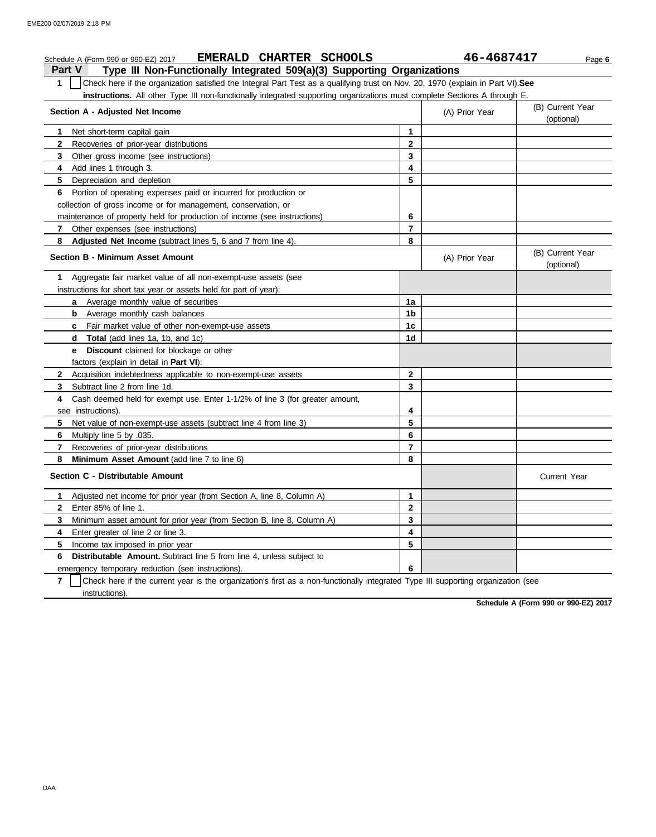| EMERALD CHARTER SCHOOLS<br>Schedule A (Form 990 or 990-EZ) 2017                                                                                 |                | 46-4687417     | Page 6                         |
|-------------------------------------------------------------------------------------------------------------------------------------------------|----------------|----------------|--------------------------------|
| <b>Part V</b><br>Type III Non-Functionally Integrated 509(a)(3) Supporting Organizations                                                        |                |                |                                |
| Check here if the organization satisfied the Integral Part Test as a qualifying trust on Nov. 20, 1970 (explain in Part VI). See<br>$\mathbf 1$ |                |                |                                |
| instructions. All other Type III non-functionally integrated supporting organizations must complete Sections A through E.                       |                |                | (B) Current Year               |
| Section A - Adjusted Net Income                                                                                                                 |                | (A) Prior Year | (optional)                     |
| Net short-term capital gain<br>1.                                                                                                               | 1              |                |                                |
| Recoveries of prior-year distributions<br>$\mathbf{2}$                                                                                          | $\overline{2}$ |                |                                |
| Other gross income (see instructions)<br>3                                                                                                      | 3              |                |                                |
| Add lines 1 through 3.<br>4                                                                                                                     | 4              |                |                                |
| Depreciation and depletion<br>5.                                                                                                                | 5              |                |                                |
| Portion of operating expenses paid or incurred for production or<br>6                                                                           |                |                |                                |
| collection of gross income or for management, conservation, or                                                                                  |                |                |                                |
| maintenance of property held for production of income (see instructions)                                                                        | 6              |                |                                |
| 7<br>Other expenses (see instructions)                                                                                                          | $\overline{7}$ |                |                                |
| <b>Adjusted Net Income</b> (subtract lines 5, 6 and 7 from line 4).<br>8                                                                        | 8              |                |                                |
| <b>Section B - Minimum Asset Amount</b>                                                                                                         |                | (A) Prior Year | (B) Current Year<br>(optional) |
| 1 Aggregate fair market value of all non-exempt-use assets (see                                                                                 |                |                |                                |
| instructions for short tax year or assets held for part of year):                                                                               |                |                |                                |
| <b>a</b> Average monthly value of securities                                                                                                    | 1a             |                |                                |
| <b>b</b> Average monthly cash balances                                                                                                          | 1 <sub>b</sub> |                |                                |
| <b>c</b> Fair market value of other non-exempt-use assets                                                                                       | 1 <sub>c</sub> |                |                                |
| <b>d</b> Total (add lines 1a, 1b, and 1c)                                                                                                       | 1 <sub>d</sub> |                |                                |
| <b>e</b> Discount claimed for blockage or other                                                                                                 |                |                |                                |
| factors (explain in detail in <b>Part VI)</b> :                                                                                                 |                |                |                                |
| Acquisition indebtedness applicable to non-exempt-use assets<br>$\mathbf{2}$                                                                    | $\mathbf{2}$   |                |                                |
| Subtract line 2 from line 1d.<br>3                                                                                                              | 3              |                |                                |
| Cash deemed held for exempt use. Enter 1-1/2% of line 3 (for greater amount,<br>4                                                               |                |                |                                |
| see instructions).                                                                                                                              | 4              |                |                                |
| Net value of non-exempt-use assets (subtract line 4 from line 3)<br>5.                                                                          | 5              |                |                                |
| 6<br>.035. Multiply line 5 by                                                                                                                   | 6              |                |                                |
| Recoveries of prior-year distributions<br>7                                                                                                     | $\overline{7}$ |                |                                |
| Minimum Asset Amount (add line 7 to line 6)<br>8                                                                                                | 8              |                |                                |
| Section C - Distributable Amount                                                                                                                |                |                | <b>Current Year</b>            |
| Adjusted net income for prior year (from Section A, line 8, Column A)<br>1.                                                                     | 1              |                |                                |
| Enter 85% of line 1.<br>$\mathbf{2}$                                                                                                            | $\mathbf{2}$   |                |                                |
| Minimum asset amount for prior year (from Section B, line 8, Column A)<br>3                                                                     | 3              |                |                                |
| Enter greater of line 2 or line 3.<br>4                                                                                                         | 4              |                |                                |
| 5<br>Income tax imposed in prior year                                                                                                           | 5              |                |                                |

**6 Distributable Amount.** Subtract line 5 from line 4, unless subject to emergency temporary reduction (see instructions).

**7** | Check here if the current year is the organization's first as a non-functionally integrated Type III supporting organization (see instructions).

**6**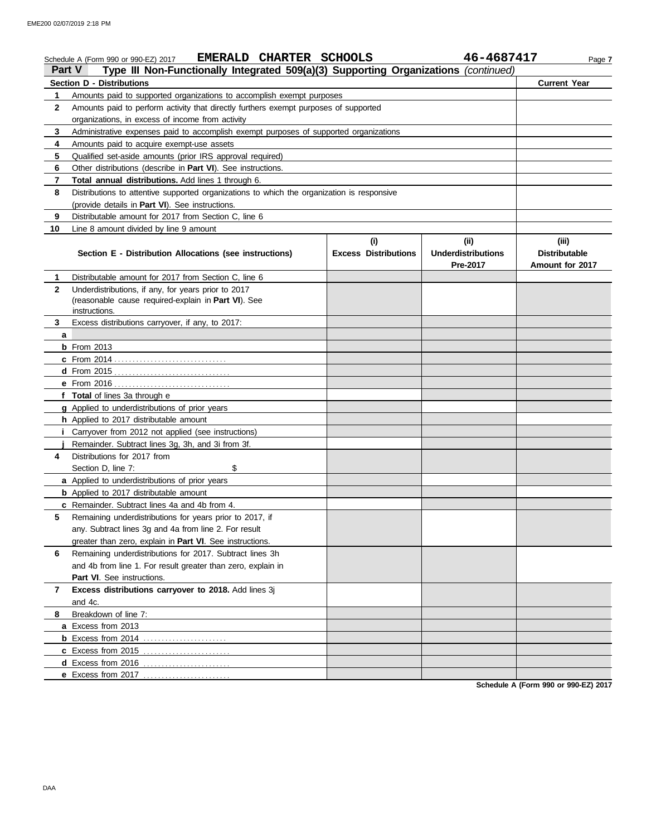|                | EMERALD CHARTER SCHOOLS<br>Schedule A (Form 990 or 990-EZ) 2017                                                                           |                             | 46-4687417                | Page 7               |
|----------------|-------------------------------------------------------------------------------------------------------------------------------------------|-----------------------------|---------------------------|----------------------|
| <b>Part V</b>  | Type III Non-Functionally Integrated 509(a)(3) Supporting Organizations (continued)                                                       |                             |                           |                      |
|                | <b>Section D - Distributions</b>                                                                                                          |                             |                           | <b>Current Year</b>  |
| 1              | Amounts paid to supported organizations to accomplish exempt purposes                                                                     |                             |                           |                      |
| 2              | Amounts paid to perform activity that directly furthers exempt purposes of supported                                                      |                             |                           |                      |
| 3              | organizations, in excess of income from activity<br>Administrative expenses paid to accomplish exempt purposes of supported organizations |                             |                           |                      |
| 4              |                                                                                                                                           |                             |                           |                      |
| 5              | Amounts paid to acquire exempt-use assets<br>Qualified set-aside amounts (prior IRS approval required)                                    |                             |                           |                      |
| 6              | Other distributions (describe in <b>Part VI</b> ). See instructions.                                                                      |                             |                           |                      |
| $\overline{7}$ | <b>Total annual distributions.</b> Add lines 1 through 6.                                                                                 |                             |                           |                      |
| 8              | Distributions to attentive supported organizations to which the organization is responsive                                                |                             |                           |                      |
|                | (provide details in Part VI). See instructions.                                                                                           |                             |                           |                      |
| 9              | Distributable amount for 2017 from Section C, line 6                                                                                      |                             |                           |                      |
| 10             | Line 8 amount divided by line 9 amount                                                                                                    |                             |                           |                      |
|                |                                                                                                                                           | (i)                         | (ii)                      | (iii)                |
|                | Section E - Distribution Allocations (see instructions)                                                                                   | <b>Excess Distributions</b> | <b>Underdistributions</b> | <b>Distributable</b> |
|                |                                                                                                                                           |                             | Pre-2017                  | Amount for 2017      |
| 1              | Distributable amount for 2017 from Section C, line 6                                                                                      |                             |                           |                      |
| $\mathbf{2}$   | Underdistributions, if any, for years prior to 2017                                                                                       |                             |                           |                      |
|                | (reasonable cause required-explain in Part VI). See                                                                                       |                             |                           |                      |
|                | instructions.                                                                                                                             |                             |                           |                      |
| 3              | Excess distributions carryover, if any, to 2017:                                                                                          |                             |                           |                      |
| a              |                                                                                                                                           |                             |                           |                      |
|                | $b$ From 2013                                                                                                                             |                             |                           |                      |
|                | <b>c</b> From 2014                                                                                                                        |                             |                           |                      |
|                |                                                                                                                                           |                             |                           |                      |
|                | e From 2016                                                                                                                               |                             |                           |                      |
|                | f Total of lines 3a through e                                                                                                             |                             |                           |                      |
|                | g Applied to underdistributions of prior years                                                                                            |                             |                           |                      |
|                | h Applied to 2017 distributable amount                                                                                                    |                             |                           |                      |
|                | Carryover from 2012 not applied (see instructions)                                                                                        |                             |                           |                      |
|                | Remainder. Subtract lines 3g, 3h, and 3i from 3f.                                                                                         |                             |                           |                      |
| 4              | Distributions for 2017 from                                                                                                               |                             |                           |                      |
|                | Section D, line 7:<br>\$                                                                                                                  |                             |                           |                      |
|                | a Applied to underdistributions of prior years<br><b>b</b> Applied to 2017 distributable amount                                           |                             |                           |                      |
|                | c Remainder. Subtract lines 4a and 4b from 4.                                                                                             |                             |                           |                      |
| 5              | Remaining underdistributions for years prior to 2017, if                                                                                  |                             |                           |                      |
|                | any. Subtract lines 3g and 4a from line 2. For result                                                                                     |                             |                           |                      |
|                | greater than zero, explain in Part VI. See instructions.                                                                                  |                             |                           |                      |
| 6              | Remaining underdistributions for 2017. Subtract lines 3h                                                                                  |                             |                           |                      |
|                | and 4b from line 1. For result greater than zero, explain in                                                                              |                             |                           |                      |
|                | Part VI. See instructions.                                                                                                                |                             |                           |                      |
| 7              | Excess distributions carryover to 2018. Add lines 3j                                                                                      |                             |                           |                      |
|                | and 4c.                                                                                                                                   |                             |                           |                      |
| 8              | Breakdown of line 7:                                                                                                                      |                             |                           |                      |
|                | a Excess from 2013                                                                                                                        |                             |                           |                      |
|                | <b>b</b> Excess from 2014 $\ldots$                                                                                                        |                             |                           |                      |
|                | c Excess from 2015                                                                                                                        |                             |                           |                      |
|                | d Excess from 2016                                                                                                                        |                             |                           |                      |
|                | e Excess from 2017                                                                                                                        |                             |                           |                      |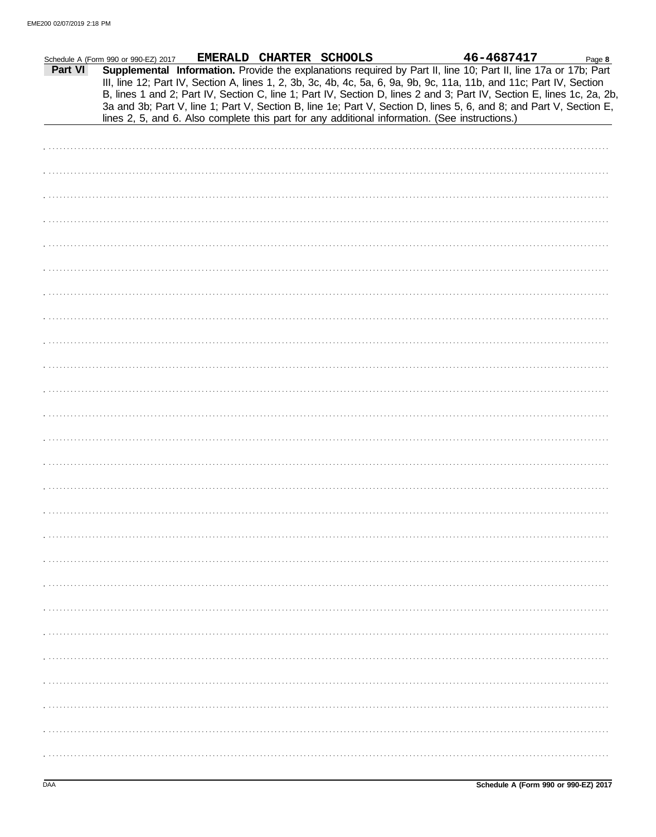| Part VI | Schedule A (Form 990 or 990-EZ) 2017 | EMERALD CHARTER SCHOOLS | lines 2, 5, and 6. Also complete this part for any additional information. (See instructions.) | 46-4687417<br>Supplemental Information. Provide the explanations required by Part II, line 10; Part II, line 17a or 17b; Part<br>III, line 12; Part IV, Section A, lines 1, 2, 3b, 3c, 4b, 4c, 5a, 6, 9a, 9b, 9c, 11a, 11b, and 11c; Part IV, Section<br>B, lines 1 and 2; Part IV, Section C, line 1; Part IV, Section D, lines 2 and 3; Part IV, Section E, lines 1c, 2a, 2b,<br>3a and 3b; Part V, line 1; Part V, Section B, line 1e; Part V, Section D, lines 5, 6, and 8; and Part V, Section E, | Page 8 |
|---------|--------------------------------------|-------------------------|------------------------------------------------------------------------------------------------|--------------------------------------------------------------------------------------------------------------------------------------------------------------------------------------------------------------------------------------------------------------------------------------------------------------------------------------------------------------------------------------------------------------------------------------------------------------------------------------------------------|--------|
|         |                                      |                         |                                                                                                |                                                                                                                                                                                                                                                                                                                                                                                                                                                                                                        |        |
|         |                                      |                         |                                                                                                |                                                                                                                                                                                                                                                                                                                                                                                                                                                                                                        |        |
|         |                                      |                         |                                                                                                |                                                                                                                                                                                                                                                                                                                                                                                                                                                                                                        |        |
|         |                                      |                         |                                                                                                |                                                                                                                                                                                                                                                                                                                                                                                                                                                                                                        |        |
|         |                                      |                         |                                                                                                |                                                                                                                                                                                                                                                                                                                                                                                                                                                                                                        |        |
|         |                                      |                         |                                                                                                |                                                                                                                                                                                                                                                                                                                                                                                                                                                                                                        |        |
|         |                                      |                         |                                                                                                |                                                                                                                                                                                                                                                                                                                                                                                                                                                                                                        |        |
|         |                                      |                         |                                                                                                |                                                                                                                                                                                                                                                                                                                                                                                                                                                                                                        |        |
|         |                                      |                         |                                                                                                |                                                                                                                                                                                                                                                                                                                                                                                                                                                                                                        |        |
|         |                                      |                         |                                                                                                |                                                                                                                                                                                                                                                                                                                                                                                                                                                                                                        |        |
|         |                                      |                         |                                                                                                |                                                                                                                                                                                                                                                                                                                                                                                                                                                                                                        |        |
|         |                                      |                         |                                                                                                |                                                                                                                                                                                                                                                                                                                                                                                                                                                                                                        |        |
|         |                                      |                         |                                                                                                |                                                                                                                                                                                                                                                                                                                                                                                                                                                                                                        |        |
|         |                                      |                         |                                                                                                |                                                                                                                                                                                                                                                                                                                                                                                                                                                                                                        |        |
|         |                                      |                         |                                                                                                |                                                                                                                                                                                                                                                                                                                                                                                                                                                                                                        |        |
|         |                                      |                         |                                                                                                |                                                                                                                                                                                                                                                                                                                                                                                                                                                                                                        |        |
|         |                                      |                         |                                                                                                |                                                                                                                                                                                                                                                                                                                                                                                                                                                                                                        |        |
|         |                                      |                         |                                                                                                |                                                                                                                                                                                                                                                                                                                                                                                                                                                                                                        |        |
|         |                                      |                         |                                                                                                |                                                                                                                                                                                                                                                                                                                                                                                                                                                                                                        |        |
|         |                                      |                         |                                                                                                |                                                                                                                                                                                                                                                                                                                                                                                                                                                                                                        |        |
|         |                                      |                         |                                                                                                |                                                                                                                                                                                                                                                                                                                                                                                                                                                                                                        |        |
|         |                                      |                         |                                                                                                |                                                                                                                                                                                                                                                                                                                                                                                                                                                                                                        |        |
|         |                                      |                         |                                                                                                |                                                                                                                                                                                                                                                                                                                                                                                                                                                                                                        |        |
|         |                                      |                         |                                                                                                |                                                                                                                                                                                                                                                                                                                                                                                                                                                                                                        |        |
|         |                                      |                         |                                                                                                |                                                                                                                                                                                                                                                                                                                                                                                                                                                                                                        |        |
|         |                                      |                         |                                                                                                |                                                                                                                                                                                                                                                                                                                                                                                                                                                                                                        |        |
|         |                                      |                         |                                                                                                |                                                                                                                                                                                                                                                                                                                                                                                                                                                                                                        |        |
|         |                                      |                         |                                                                                                |                                                                                                                                                                                                                                                                                                                                                                                                                                                                                                        |        |
|         |                                      |                         |                                                                                                |                                                                                                                                                                                                                                                                                                                                                                                                                                                                                                        |        |
|         |                                      |                         |                                                                                                |                                                                                                                                                                                                                                                                                                                                                                                                                                                                                                        |        |
|         |                                      |                         |                                                                                                |                                                                                                                                                                                                                                                                                                                                                                                                                                                                                                        |        |
|         |                                      |                         |                                                                                                |                                                                                                                                                                                                                                                                                                                                                                                                                                                                                                        |        |
|         |                                      |                         |                                                                                                |                                                                                                                                                                                                                                                                                                                                                                                                                                                                                                        |        |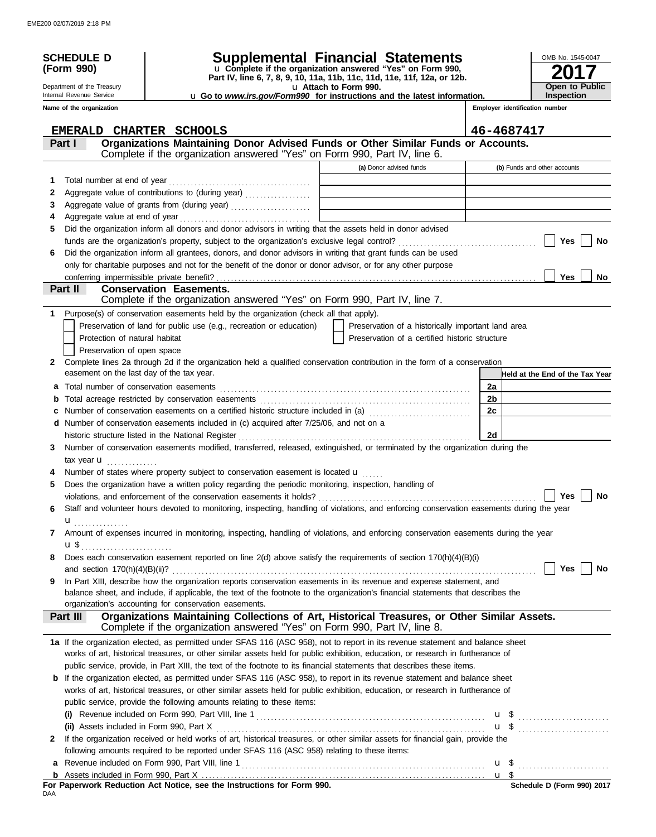|              |                                           |                                                                                                                                                                                                                                                           |                                                                                                   | OMB No. 1545-0047                     |    |
|--------------|-------------------------------------------|-----------------------------------------------------------------------------------------------------------------------------------------------------------------------------------------------------------------------------------------------------------|---------------------------------------------------------------------------------------------------|---------------------------------------|----|
| (Form 990)   | <b>SCHEDULE D</b>                         |                                                                                                                                                                                                                                                           | Supplemental Financial Statements<br>u Complete if the organization answered "Yes" on Form 990,   |                                       |    |
|              | Department of the Treasury                |                                                                                                                                                                                                                                                           | Part IV, line 6, 7, 8, 9, 10, 11a, 11b, 11c, 11d, 11e, 11f, 12a, or 12b.<br>U Attach to Form 990. | <b>Open to Public</b>                 |    |
|              | Internal Revenue Service                  |                                                                                                                                                                                                                                                           | <b>Li Go to www.irs.gov/Form990 for instructions and the latest information.</b>                  | <b>Inspection</b>                     |    |
|              | Name of the organization                  |                                                                                                                                                                                                                                                           |                                                                                                   | Employer identification number        |    |
|              |                                           |                                                                                                                                                                                                                                                           |                                                                                                   |                                       |    |
|              |                                           | EMERALD CHARTER SCHOOLS                                                                                                                                                                                                                                   |                                                                                                   | 46-4687417                            |    |
| Part I       |                                           | Organizations Maintaining Donor Advised Funds or Other Similar Funds or Accounts.<br>Complete if the organization answered "Yes" on Form 990, Part IV, line 6.                                                                                            |                                                                                                   |                                       |    |
|              |                                           |                                                                                                                                                                                                                                                           | (a) Donor advised funds                                                                           | (b) Funds and other accounts          |    |
| 1            | Total number at end of year               |                                                                                                                                                                                                                                                           |                                                                                                   |                                       |    |
| 2            |                                           | Aggregate value of contributions to (during year)                                                                                                                                                                                                         |                                                                                                   |                                       |    |
| 3            |                                           |                                                                                                                                                                                                                                                           |                                                                                                   |                                       |    |
| 4            |                                           |                                                                                                                                                                                                                                                           |                                                                                                   |                                       |    |
| 5            |                                           | Did the organization inform all donors and donor advisors in writing that the assets held in donor advised                                                                                                                                                |                                                                                                   |                                       |    |
|              |                                           |                                                                                                                                                                                                                                                           |                                                                                                   | Yes                                   | No |
| 6            |                                           | Did the organization inform all grantees, donors, and donor advisors in writing that grant funds can be used                                                                                                                                              |                                                                                                   |                                       |    |
|              |                                           | only for charitable purposes and not for the benefit of the donor or donor advisor, or for any other purpose                                                                                                                                              |                                                                                                   | Yes                                   | No |
| Part II      |                                           | <b>Conservation Easements.</b>                                                                                                                                                                                                                            |                                                                                                   |                                       |    |
|              |                                           | Complete if the organization answered "Yes" on Form 990, Part IV, line 7.                                                                                                                                                                                 |                                                                                                   |                                       |    |
|              |                                           | 1 Purpose(s) of conservation easements held by the organization (check all that apply).                                                                                                                                                                   |                                                                                                   |                                       |    |
|              |                                           | Preservation of land for public use (e.g., recreation or education)                                                                                                                                                                                       | Preservation of a historically important land area                                                |                                       |    |
|              | Protection of natural habitat             |                                                                                                                                                                                                                                                           | Preservation of a certified historic structure                                                    |                                       |    |
|              | Preservation of open space                |                                                                                                                                                                                                                                                           |                                                                                                   |                                       |    |
| $\mathbf{2}$ | easement on the last day of the tax year. | Complete lines 2a through 2d if the organization held a qualified conservation contribution in the form of a conservation                                                                                                                                 |                                                                                                   |                                       |    |
|              |                                           |                                                                                                                                                                                                                                                           |                                                                                                   | Held at the End of the Tax Year<br>2a |    |
| a<br>b       |                                           |                                                                                                                                                                                                                                                           |                                                                                                   | 2 <sub>b</sub>                        |    |
|              |                                           | Number of conservation easements on a certified historic structure included in (a) [[[[[[[[[[[[[[[[[[[[[[[[[]]]]]]]                                                                                                                                       |                                                                                                   | 2c                                    |    |
|              |                                           | d Number of conservation easements included in (c) acquired after 7/25/06, and not on a                                                                                                                                                                   |                                                                                                   |                                       |    |
|              |                                           | historic structure listed in the National Register                                                                                                                                                                                                        |                                                                                                   | 2d                                    |    |
| 3            |                                           | Number of conservation easements modified, transferred, released, extinguished, or terminated by the organization during the                                                                                                                              |                                                                                                   |                                       |    |
|              | tax year $\blacksquare$                   |                                                                                                                                                                                                                                                           |                                                                                                   |                                       |    |
|              |                                           | Number of states where property subject to conservation easement is located <b>u</b>                                                                                                                                                                      |                                                                                                   |                                       |    |
| 5            |                                           | Does the organization have a written policy regarding the periodic monitoring, inspection, handling of                                                                                                                                                    |                                                                                                   | Yes                                   | No |
| 6            |                                           | Staff and volunteer hours devoted to monitoring, inspecting, handling of violations, and enforcing conservation easements during the year                                                                                                                 |                                                                                                   |                                       |    |
|              | <u>u</u>                                  |                                                                                                                                                                                                                                                           |                                                                                                   |                                       |    |
| 7            |                                           | Amount of expenses incurred in monitoring, inspecting, handling of violations, and enforcing conservation easements during the year                                                                                                                       |                                                                                                   |                                       |    |
|              | $U$ \$                                    |                                                                                                                                                                                                                                                           |                                                                                                   |                                       |    |
| 8            |                                           | Does each conservation easement reported on line 2(d) above satisfy the requirements of section 170(h)(4)(B)(i)                                                                                                                                           |                                                                                                   |                                       |    |
|              |                                           |                                                                                                                                                                                                                                                           |                                                                                                   | Yes                                   | No |
| 9            |                                           | In Part XIII, describe how the organization reports conservation easements in its revenue and expense statement, and<br>balance sheet, and include, if applicable, the text of the footnote to the organization's financial statements that describes the |                                                                                                   |                                       |    |
|              |                                           | organization's accounting for conservation easements.                                                                                                                                                                                                     |                                                                                                   |                                       |    |
| Part III     |                                           | Organizations Maintaining Collections of Art, Historical Treasures, or Other Similar Assets.                                                                                                                                                              |                                                                                                   |                                       |    |
|              |                                           | Complete if the organization answered "Yes" on Form 990, Part IV, line 8.                                                                                                                                                                                 |                                                                                                   |                                       |    |
|              |                                           | 1a If the organization elected, as permitted under SFAS 116 (ASC 958), not to report in its revenue statement and balance sheet                                                                                                                           |                                                                                                   |                                       |    |
|              |                                           | works of art, historical treasures, or other similar assets held for public exhibition, education, or research in furtherance of                                                                                                                          |                                                                                                   |                                       |    |
|              |                                           | public service, provide, in Part XIII, the text of the footnote to its financial statements that describes these items.                                                                                                                                   |                                                                                                   |                                       |    |
|              |                                           | <b>b</b> If the organization elected, as permitted under SFAS 116 (ASC 958), to report in its revenue statement and balance sheet                                                                                                                         |                                                                                                   |                                       |    |
|              |                                           | works of art, historical treasures, or other similar assets held for public exhibition, education, or research in furtherance of                                                                                                                          |                                                                                                   |                                       |    |
|              |                                           | public service, provide the following amounts relating to these items:                                                                                                                                                                                    |                                                                                                   |                                       |    |
|              |                                           |                                                                                                                                                                                                                                                           |                                                                                                   |                                       |    |
| 2            |                                           | If the organization received or held works of art, historical treasures, or other similar assets for financial gain, provide the                                                                                                                          |                                                                                                   |                                       |    |
|              |                                           | following amounts required to be reported under SFAS 116 (ASC 958) relating to these items:                                                                                                                                                               |                                                                                                   |                                       |    |
| а            |                                           |                                                                                                                                                                                                                                                           |                                                                                                   |                                       |    |
|              |                                           |                                                                                                                                                                                                                                                           |                                                                                                   |                                       |    |

**For Paperwork Reduction Act Notice, see the Instructions for Form 990.**<br><sub>DAA</sub>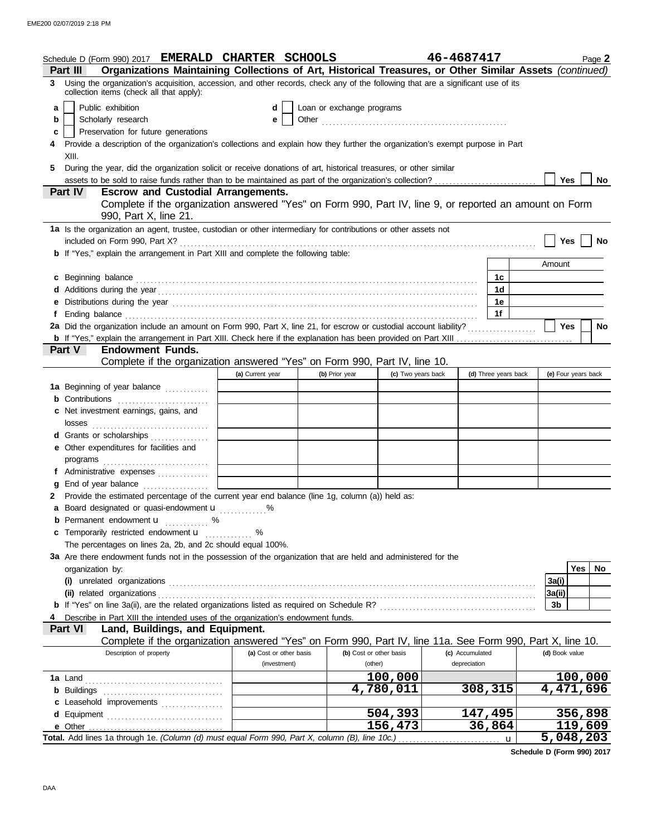|   | Schedule D (Form 990) 2017 EMERALD CHARTER SCHOOLS                                                                                                                                                                             |                         |                           |                         | 46-4687417           | Page 2               |
|---|--------------------------------------------------------------------------------------------------------------------------------------------------------------------------------------------------------------------------------|-------------------------|---------------------------|-------------------------|----------------------|----------------------|
|   | Organizations Maintaining Collections of Art, Historical Treasures, or Other Similar Assets (continued)<br>Part III                                                                                                            |                         |                           |                         |                      |                      |
|   | 3 Using the organization's acquisition, accession, and other records, check any of the following that are a significant use of its<br>collection items (check all that apply):                                                 |                         |                           |                         |                      |                      |
| a | Public exhibition                                                                                                                                                                                                              | d                       | Loan or exchange programs |                         |                      |                      |
| b | Scholarly research                                                                                                                                                                                                             | е                       |                           |                         |                      |                      |
| c | Preservation for future generations                                                                                                                                                                                            |                         |                           |                         |                      |                      |
|   | 4 Provide a description of the organization's collections and explain how they further the organization's exempt purpose in Part                                                                                               |                         |                           |                         |                      |                      |
|   | XIII.<br>During the year, did the organization solicit or receive donations of art, historical treasures, or other similar                                                                                                     |                         |                           |                         |                      |                      |
| 5 |                                                                                                                                                                                                                                |                         |                           |                         |                      | Yes<br>No            |
|   | <b>Part IV</b><br><b>Escrow and Custodial Arrangements.</b>                                                                                                                                                                    |                         |                           |                         |                      |                      |
|   | Complete if the organization answered "Yes" on Form 990, Part IV, line 9, or reported an amount on Form                                                                                                                        |                         |                           |                         |                      |                      |
|   | 990, Part X, line 21.                                                                                                                                                                                                          |                         |                           |                         |                      |                      |
|   | 1a Is the organization an agent, trustee, custodian or other intermediary for contributions or other assets not                                                                                                                |                         |                           |                         |                      |                      |
|   |                                                                                                                                                                                                                                |                         |                           |                         |                      | Yes<br>No            |
|   | b If "Yes," explain the arrangement in Part XIII and complete the following table:                                                                                                                                             |                         |                           |                         |                      |                      |
|   |                                                                                                                                                                                                                                |                         |                           |                         |                      | Amount               |
|   | c Beginning balance expressions and contact the contract of the contract of the contract of the contract of the contract of the contract of the contract of the contract of the contract of the contract of the contract of th |                         |                           |                         | 1c                   |                      |
|   |                                                                                                                                                                                                                                |                         |                           |                         | 1 <sub>d</sub>       |                      |
|   | e Distributions during the year manufactured contains and the year manufactured with the year manufactured with the state of the state of the state of the state of the state of the state of the state of the state of the st |                         |                           |                         | 1e                   |                      |
|   |                                                                                                                                                                                                                                |                         |                           |                         | 1f                   |                      |
|   |                                                                                                                                                                                                                                |                         |                           |                         |                      | Yes<br>No            |
|   |                                                                                                                                                                                                                                |                         |                           |                         |                      |                      |
|   | <b>Endowment Funds.</b><br><b>Part V</b>                                                                                                                                                                                       |                         |                           |                         |                      |                      |
|   | Complete if the organization answered "Yes" on Form 990, Part IV, line 10.                                                                                                                                                     |                         |                           |                         |                      |                      |
|   |                                                                                                                                                                                                                                | (a) Current year        | (b) Prior year            | (c) Two years back      | (d) Three years back | (e) Four years back  |
|   | 1a Beginning of year balance                                                                                                                                                                                                   |                         |                           |                         |                      |                      |
|   | <b>b</b> Contributions <b>contributions</b>                                                                                                                                                                                    |                         |                           |                         |                      |                      |
|   | c Net investment earnings, gains, and                                                                                                                                                                                          |                         |                           |                         |                      |                      |
|   |                                                                                                                                                                                                                                |                         |                           |                         |                      |                      |
|   | d Grants or scholarships                                                                                                                                                                                                       |                         |                           |                         |                      |                      |
|   | e Other expenditures for facilities and                                                                                                                                                                                        |                         |                           |                         |                      |                      |
|   |                                                                                                                                                                                                                                |                         |                           |                         |                      |                      |
|   | f Administrative expenses                                                                                                                                                                                                      |                         |                           |                         |                      |                      |
|   | g End of year balance                                                                                                                                                                                                          |                         |                           |                         |                      |                      |
|   | 2 Provide the estimated percentage of the current year end balance (line 1g, column (a)) held as:                                                                                                                              |                         |                           |                         |                      |                      |
|   | a Board designated or quasi-endowment u                                                                                                                                                                                        |                         |                           |                         |                      |                      |
|   | <b>b</b> Permanent endowment <b>u</b> %                                                                                                                                                                                        |                         |                           |                         |                      |                      |
|   | c Temporarily restricted endowment u  %                                                                                                                                                                                        |                         |                           |                         |                      |                      |
|   | The percentages on lines 2a, 2b, and 2c should equal 100%.                                                                                                                                                                     |                         |                           |                         |                      |                      |
|   | 3a Are there endowment funds not in the possession of the organization that are held and administered for the                                                                                                                  |                         |                           |                         |                      |                      |
|   | organization by:                                                                                                                                                                                                               |                         |                           |                         |                      | Yes $ $<br>No.       |
|   |                                                                                                                                                                                                                                |                         |                           |                         |                      | 3a(i)                |
|   |                                                                                                                                                                                                                                |                         |                           |                         |                      | 3a(ii)               |
|   |                                                                                                                                                                                                                                |                         |                           |                         |                      | 3b                   |
|   | 4 Describe in Part XIII the intended uses of the organization's endowment funds.                                                                                                                                               |                         |                           |                         |                      |                      |
|   | Land, Buildings, and Equipment.<br><b>Part VI</b>                                                                                                                                                                              |                         |                           |                         |                      |                      |
|   | Complete if the organization answered "Yes" on Form 990, Part IV, line 11a. See Form 990, Part X, line 10.                                                                                                                     |                         |                           |                         |                      |                      |
|   | Description of property                                                                                                                                                                                                        | (a) Cost or other basis |                           | (b) Cost or other basis | (c) Accumulated      | (d) Book value       |
|   |                                                                                                                                                                                                                                | (investment)            |                           | (other)                 | depreciation         |                      |
|   |                                                                                                                                                                                                                                |                         |                           | 100,000                 |                      | 100,000              |
|   |                                                                                                                                                                                                                                |                         |                           | 4,780,011               | 308,315              | 4,471,696            |
|   | c Leasehold improvements                                                                                                                                                                                                       |                         |                           |                         |                      |                      |
|   |                                                                                                                                                                                                                                |                         |                           | 504,393                 | 147,495              | 356,898              |
|   |                                                                                                                                                                                                                                |                         |                           | 156,473                 | 36,864               | 119,609<br>5,048,203 |
|   | Total. Add lines 1a through 1e. (Column (d) must equal Form 990, Part X, column (B), line 10c.)                                                                                                                                |                         |                           |                         | u                    |                      |

**Schedule D (Form 990) 2017**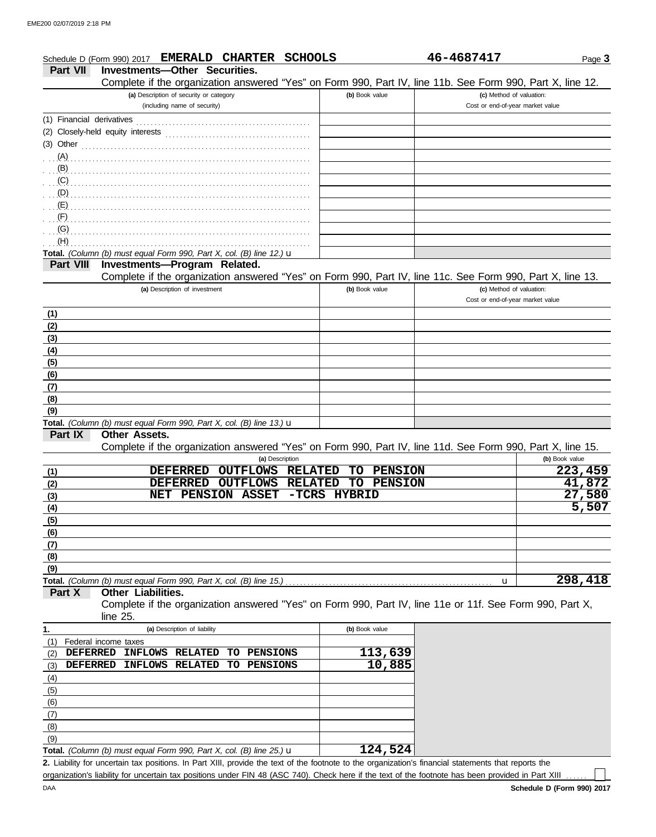|                        | Schedule D (Form 990) 2017 EMERALD CHARTER SCHOOLS                                                                                                    |                      | 46-4687417                       | Page 3         |
|------------------------|-------------------------------------------------------------------------------------------------------------------------------------------------------|----------------------|----------------------------------|----------------|
| <b>Part VII</b>        | <b>Investments-Other Securities.</b>                                                                                                                  |                      |                                  |                |
|                        | Complete if the organization answered "Yes" on Form 990, Part IV, line 11b. See Form 990, Part X, line 12.<br>(a) Description of security or category | (b) Book value       | (c) Method of valuation:         |                |
|                        | (including name of security)                                                                                                                          |                      | Cost or end-of-year market value |                |
|                        |                                                                                                                                                       |                      |                                  |                |
|                        |                                                                                                                                                       |                      |                                  |                |
|                        |                                                                                                                                                       |                      |                                  |                |
|                        |                                                                                                                                                       |                      |                                  |                |
|                        |                                                                                                                                                       |                      |                                  |                |
|                        | $(C)$ . The contract of the contract of the contract of the contract of the contract of the contract of the contract of the contract of $(C)$         |                      |                                  |                |
|                        |                                                                                                                                                       |                      |                                  |                |
|                        |                                                                                                                                                       |                      |                                  |                |
| (F)                    |                                                                                                                                                       |                      |                                  |                |
| (G)                    |                                                                                                                                                       |                      |                                  |                |
| (H)                    |                                                                                                                                                       |                      |                                  |                |
|                        | Total. (Column (b) must equal Form 990, Part X, col. (B) line 12.) u                                                                                  |                      |                                  |                |
| <b>Part VIII</b>       | Investments-Program Related.                                                                                                                          |                      |                                  |                |
|                        | Complete if the organization answered "Yes" on Form 990, Part IV, line 11c. See Form 990, Part X, line 13.                                            |                      |                                  |                |
|                        | (a) Description of investment                                                                                                                         | (b) Book value       | (c) Method of valuation:         |                |
|                        |                                                                                                                                                       |                      | Cost or end-of-year market value |                |
| (1)                    |                                                                                                                                                       |                      |                                  |                |
| (2)                    |                                                                                                                                                       |                      |                                  |                |
| (3)                    |                                                                                                                                                       |                      |                                  |                |
| (4)                    |                                                                                                                                                       |                      |                                  |                |
| (5)                    |                                                                                                                                                       |                      |                                  |                |
| (6)                    |                                                                                                                                                       |                      |                                  |                |
| (7)                    |                                                                                                                                                       |                      |                                  |                |
| (8)                    |                                                                                                                                                       |                      |                                  |                |
| (9)                    |                                                                                                                                                       |                      |                                  |                |
|                        | Total. (Column (b) must equal Form 990, Part X, col. (B) line 13.) u                                                                                  |                      |                                  |                |
| Part IX                | <b>Other Assets.</b>                                                                                                                                  |                      |                                  |                |
|                        | Complete if the organization answered "Yes" on Form 990, Part IV, line 11d. See Form 990, Part X, line 15.                                            |                      |                                  |                |
|                        | (a) Description                                                                                                                                       |                      |                                  | (b) Book value |
| (1)                    | <b>DEFERRED</b><br><b>OUTFLOWS RELATED</b>                                                                                                            | TO<br><b>PENSION</b> |                                  | 223,459        |
| (2)                    | <b>OUTFLOWS</b><br><b>RELATED</b><br><b>DEFERRED</b>                                                                                                  | TO<br><b>PENSION</b> |                                  | 41,872         |
| (3)                    | NET PENSION ASSET                                                                                                                                     | -TCRS HYBRID         |                                  | 27,580         |
| (4)                    |                                                                                                                                                       |                      |                                  | 5,507          |
| (5)                    |                                                                                                                                                       |                      |                                  |                |
| (6)                    |                                                                                                                                                       |                      |                                  |                |
| (7)                    |                                                                                                                                                       |                      |                                  |                |
| (8)                    |                                                                                                                                                       |                      |                                  |                |
| (9)                    | Total. (Column (b) must equal Form 990, Part X, col. (B) line 15.)                                                                                    |                      |                                  | 298,418        |
| Part X                 | <b>Other Liabilities.</b>                                                                                                                             |                      | u                                |                |
|                        | Complete if the organization answered "Yes" on Form 990, Part IV, line 11e or 11f. See Form 990, Part X,                                              |                      |                                  |                |
|                        | line $25$ .                                                                                                                                           |                      |                                  |                |
| 1.                     | (a) Description of liability                                                                                                                          | (b) Book value       |                                  |                |
| (1)                    | Federal income taxes                                                                                                                                  |                      |                                  |                |
| (2)                    | <b>INFLOWS RELATED</b><br><b>PENSIONS</b><br><b>DEFERRED</b><br>TO                                                                                    | 113,639              |                                  |                |
| <b>DEFERRED</b><br>(3) | <b>PENSIONS</b><br>INFLOWS RELATED<br>TO                                                                                                              | 10,885               |                                  |                |
| (4)                    |                                                                                                                                                       |                      |                                  |                |
| (5)                    |                                                                                                                                                       |                      |                                  |                |
| (6)                    |                                                                                                                                                       |                      |                                  |                |
| (7)                    |                                                                                                                                                       |                      |                                  |                |
| (8)                    |                                                                                                                                                       |                      |                                  |                |
|                        |                                                                                                                                                       |                      |                                  |                |
|                        |                                                                                                                                                       |                      |                                  |                |
| (9)                    | Total. (Column (b) must equal Form 990, Part X, col. (B) line 25.) u                                                                                  | 124,524              |                                  |                |

Liability for uncertain tax positions. In Part XIII, provide the text of the footnote to the organization's financial statements that reports the **2.** organization's liability for uncertain tax positions under FIN 48 (ASC 740). Check here if the text of the footnote has been provided in Part XIII ..

 $\Box$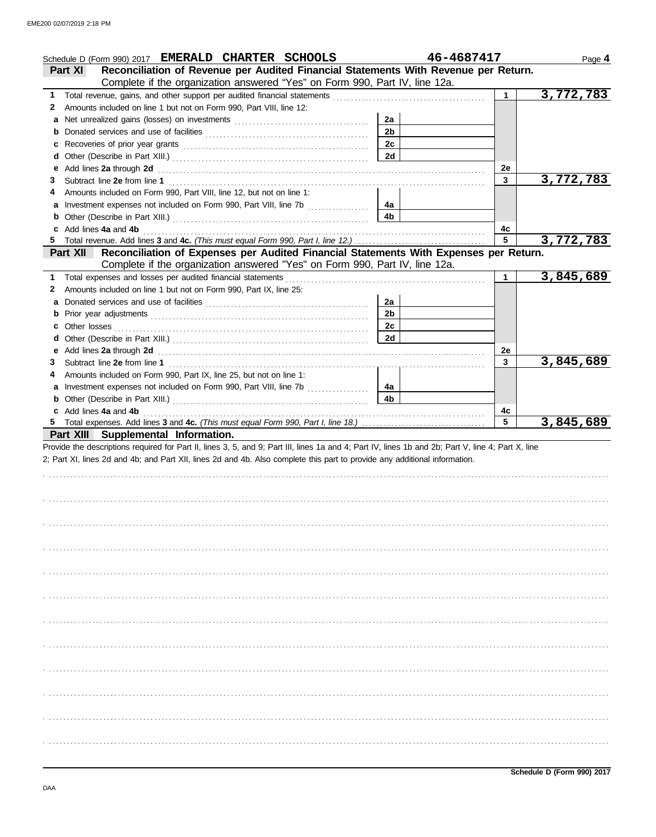|   | Schedule D (Form 990) 2017 EMERALD CHARTER SCHOOLS                                                                                                 | 46-4687417     |              | Page 4    |
|---|----------------------------------------------------------------------------------------------------------------------------------------------------|----------------|--------------|-----------|
|   | Reconciliation of Revenue per Audited Financial Statements With Revenue per Return.<br><b>Part XI</b>                                              |                |              |           |
|   | Complete if the organization answered "Yes" on Form 990, Part IV, line 12a.                                                                        |                |              |           |
| 1 |                                                                                                                                                    |                | $\mathbf{1}$ | 3,772,783 |
| 2 | Amounts included on line 1 but not on Form 990, Part VIII, line 12:                                                                                |                |              |           |
| a |                                                                                                                                                    | 2a             |              |           |
| b |                                                                                                                                                    | 2 <sub>b</sub> |              |           |
| c |                                                                                                                                                    | 2c             |              |           |
| d |                                                                                                                                                    | 2d             |              |           |
| е | Add lines 2a through 2d                                                                                                                            |                | 2e           |           |
| 3 |                                                                                                                                                    |                | 3            | 3,772,783 |
| 4 | Amounts included on Form 990, Part VIII, line 12, but not on line 1:                                                                               |                |              |           |
| а |                                                                                                                                                    | 4a             |              |           |
| b |                                                                                                                                                    | 4b             |              |           |
|   | Add lines 4a and 4b                                                                                                                                |                | 4c           |           |
| 5 |                                                                                                                                                    |                | 5            | 3,772,783 |
|   | Reconciliation of Expenses per Audited Financial Statements With Expenses per Return.<br><b>Part XII</b>                                           |                |              |           |
|   | Complete if the organization answered "Yes" on Form 990, Part IV, line 12a.                                                                        |                |              |           |
| 1 | Total expenses and losses per audited financial statements                                                                                         |                | 1            | 3,845,689 |
| 2 | Amounts included on line 1 but not on Form 990, Part IX, line 25:                                                                                  |                |              |           |
| a |                                                                                                                                                    | 2a             |              |           |
| b |                                                                                                                                                    | 2 <sub>b</sub> |              |           |
| c | Other losses                                                                                                                                       | 2c             |              |           |
| d |                                                                                                                                                    | 2d             |              |           |
| е | Add lines 2a through 2d                                                                                                                            |                | 2e           |           |
| 3 |                                                                                                                                                    |                | 3            | 3,845,689 |
| 4 | Amounts included on Form 990, Part IX, line 25, but not on line 1:                                                                                 |                |              |           |
| a | Investment expenses not included on Form 990, Part VIII, line 7b [[[[[[[[[[[[[[[[[[[[[[[[]]]]]]]]]                                                 | 4a             |              |           |
| b |                                                                                                                                                    | 4b             |              |           |
|   |                                                                                                                                                    |                |              |           |
|   |                                                                                                                                                    |                |              |           |
|   | Add lines 4a and 4b                                                                                                                                |                | 4c           |           |
| 5 |                                                                                                                                                    |                | 5            | 3,845,689 |
|   | Part XIII Supplemental Information.                                                                                                                |                |              |           |
|   | Provide the descriptions required for Part II, lines 3, 5, and 9; Part III, lines 1a and 4; Part IV, lines 1b and 2b; Part V, line 4; Part X, line |                |              |           |
|   | 2; Part XI, lines 2d and 4b; and Part XII, lines 2d and 4b. Also complete this part to provide any additional information.                         |                |              |           |
|   |                                                                                                                                                    |                |              |           |
|   |                                                                                                                                                    |                |              |           |
|   |                                                                                                                                                    |                |              |           |
|   |                                                                                                                                                    |                |              |           |
|   |                                                                                                                                                    |                |              |           |
|   |                                                                                                                                                    |                |              |           |
|   |                                                                                                                                                    |                |              |           |
|   |                                                                                                                                                    |                |              |           |
|   |                                                                                                                                                    |                |              |           |
|   |                                                                                                                                                    |                |              |           |
|   |                                                                                                                                                    |                |              |           |
|   |                                                                                                                                                    |                |              |           |
|   |                                                                                                                                                    |                |              |           |
|   |                                                                                                                                                    |                |              |           |
|   |                                                                                                                                                    |                |              |           |
|   |                                                                                                                                                    |                |              |           |
|   |                                                                                                                                                    |                |              |           |
|   |                                                                                                                                                    |                |              |           |
|   |                                                                                                                                                    |                |              |           |
|   |                                                                                                                                                    |                |              |           |
|   |                                                                                                                                                    |                |              |           |
|   |                                                                                                                                                    |                |              |           |
|   |                                                                                                                                                    |                |              |           |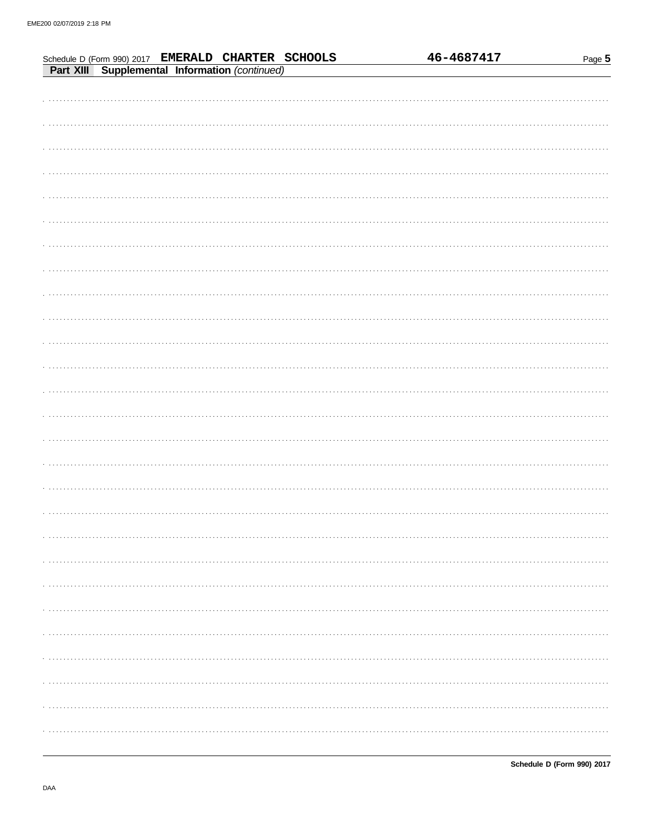|                                                                                                      |  | 46-4687417 | Page 5 |
|------------------------------------------------------------------------------------------------------|--|------------|--------|
| Schedule D (Form 990) 2017 EMERALD CHARTER SCHOOLS<br>Part XIII Supplemental Information (continued) |  |            |        |
|                                                                                                      |  |            |        |
|                                                                                                      |  |            |        |
|                                                                                                      |  |            |        |
|                                                                                                      |  |            |        |
|                                                                                                      |  |            |        |
|                                                                                                      |  |            |        |
|                                                                                                      |  |            |        |
|                                                                                                      |  |            |        |
|                                                                                                      |  |            |        |
|                                                                                                      |  |            |        |
|                                                                                                      |  |            |        |
|                                                                                                      |  |            |        |
|                                                                                                      |  |            |        |
|                                                                                                      |  |            |        |
|                                                                                                      |  |            |        |
|                                                                                                      |  |            |        |
|                                                                                                      |  |            |        |
|                                                                                                      |  |            |        |
|                                                                                                      |  |            |        |
|                                                                                                      |  |            |        |
|                                                                                                      |  |            |        |
|                                                                                                      |  |            |        |
|                                                                                                      |  |            |        |
|                                                                                                      |  |            |        |
|                                                                                                      |  |            |        |
|                                                                                                      |  |            |        |
|                                                                                                      |  |            |        |
|                                                                                                      |  |            |        |
|                                                                                                      |  |            |        |
|                                                                                                      |  |            |        |
|                                                                                                      |  |            |        |
|                                                                                                      |  |            |        |
|                                                                                                      |  |            |        |
|                                                                                                      |  |            |        |
|                                                                                                      |  |            |        |
|                                                                                                      |  |            |        |
|                                                                                                      |  |            |        |
|                                                                                                      |  |            |        |
|                                                                                                      |  |            |        |
|                                                                                                      |  |            |        |
|                                                                                                      |  |            |        |
|                                                                                                      |  |            |        |
|                                                                                                      |  |            |        |
|                                                                                                      |  |            |        |
|                                                                                                      |  |            |        |
|                                                                                                      |  |            |        |
|                                                                                                      |  |            |        |
|                                                                                                      |  |            |        |
|                                                                                                      |  |            |        |
|                                                                                                      |  |            |        |
|                                                                                                      |  |            |        |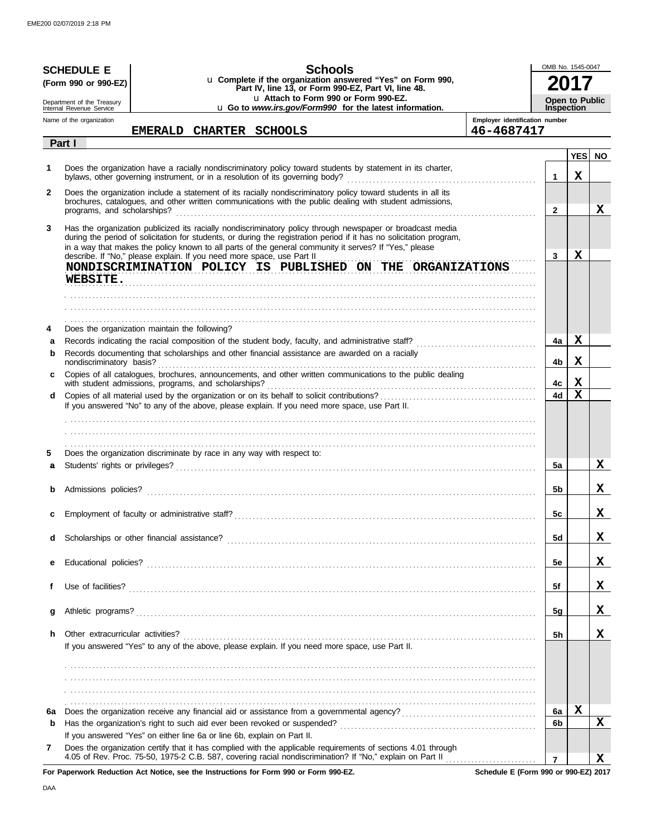| <b>SCHEDULE E</b>                           |                                                                                                                                                                                                                                                                                                                                                                                                                                           | <b>Schools</b><br>Lu Complete if the organization answered "Yes" on Form 990,                   |  |  |  |                                              |                                                                                                                                      |                                                                                                           | OMB No. 1545-0047                          |             |           |
|---------------------------------------------|-------------------------------------------------------------------------------------------------------------------------------------------------------------------------------------------------------------------------------------------------------------------------------------------------------------------------------------------------------------------------------------------------------------------------------------------|-------------------------------------------------------------------------------------------------|--|--|--|----------------------------------------------|--------------------------------------------------------------------------------------------------------------------------------------|-----------------------------------------------------------------------------------------------------------|--------------------------------------------|-------------|-----------|
| (Form 990 or 990-EZ)                        |                                                                                                                                                                                                                                                                                                                                                                                                                                           | Part IV, line 13, or Form 990-EZ, Part VI, line 48.                                             |  |  |  |                                              |                                                                                                                                      |                                                                                                           |                                            |             |           |
|                                             | Department of the Treasury<br>Internal Revenue Service                                                                                                                                                                                                                                                                                                                                                                                    | U Attach to Form 990 or Form 990-EZ.<br>u Go to www.irs.gov/Form990 for the latest information. |  |  |  |                                              |                                                                                                                                      |                                                                                                           | <b>Open to Public</b><br><b>Inspection</b> |             |           |
| Name of the organization<br>CHARTER SCHOOLS |                                                                                                                                                                                                                                                                                                                                                                                                                                           |                                                                                                 |  |  |  | Employer identification number<br>46-4687417 |                                                                                                                                      |                                                                                                           |                                            |             |           |
|                                             | Part I                                                                                                                                                                                                                                                                                                                                                                                                                                    | <b>EMERALD</b>                                                                                  |  |  |  |                                              |                                                                                                                                      |                                                                                                           |                                            |             |           |
|                                             |                                                                                                                                                                                                                                                                                                                                                                                                                                           |                                                                                                 |  |  |  |                                              |                                                                                                                                      |                                                                                                           |                                            | <b>YES</b>  | <b>NO</b> |
| 1                                           | Does the organization have a racially nondiscriminatory policy toward students by statement in its charter,                                                                                                                                                                                                                                                                                                                               |                                                                                                 |  |  |  |                                              |                                                                                                                                      |                                                                                                           | 1                                          | X           |           |
| $\mathbf{2}$                                | Does the organization include a statement of its racially nondiscriminatory policy toward students in all its<br>brochures, catalogues, and other written communications with the public dealing with student admissions,<br>programs, and scholarships?                                                                                                                                                                                  |                                                                                                 |  |  |  |                                              |                                                                                                                                      | $\mathbf{2}$                                                                                              |                                            | X           |           |
| 3                                           | Has the organization publicized its racially nondiscriminatory policy through newspaper or broadcast media<br>during the period of solicitation for students, or during the registration period if it has no solicitation program,<br>in a way that makes the policy known to all parts of the general community it serves? If "Yes," please<br>describe. If "No," please explain. If you need more space, use Part II<br><b>WEBSITE.</b> |                                                                                                 |  |  |  |                                              | describe. If "No," please explain. If you need more space, use Part II<br>NONDISCRIMINATION POLICY IS PUBLISHED ON THE ORGANIZATIONS |                                                                                                           | 3                                          | X           |           |
| 4                                           | Does the organization maintain the following?                                                                                                                                                                                                                                                                                                                                                                                             |                                                                                                 |  |  |  |                                              |                                                                                                                                      |                                                                                                           |                                            |             |           |
| a                                           |                                                                                                                                                                                                                                                                                                                                                                                                                                           |                                                                                                 |  |  |  |                                              |                                                                                                                                      |                                                                                                           | 4a                                         | X           |           |
| b                                           | Records documenting that scholarships and other financial assistance are awarded on a racially<br>nondiscriminatory basis?                                                                                                                                                                                                                                                                                                                |                                                                                                 |  |  |  | 4b                                           | X                                                                                                                                    |                                                                                                           |                                            |             |           |
| c                                           | with student admissions, programs, and scholarships?                                                                                                                                                                                                                                                                                                                                                                                      |                                                                                                 |  |  |  |                                              | Copies of all catalogues, brochures, announcements, and other written communications to the public dealing                           |                                                                                                           | 4c                                         | X           |           |
| d                                           | If you answered "No" to any of the above, please explain. If you need more space, use Part II.                                                                                                                                                                                                                                                                                                                                            |                                                                                                 |  |  |  |                                              |                                                                                                                                      |                                                                                                           | 4d                                         | $\mathbf x$ |           |
| 5                                           | Does the organization discriminate by race in any way with respect to:                                                                                                                                                                                                                                                                                                                                                                    |                                                                                                 |  |  |  |                                              |                                                                                                                                      |                                                                                                           |                                            |             |           |
| a                                           |                                                                                                                                                                                                                                                                                                                                                                                                                                           |                                                                                                 |  |  |  |                                              |                                                                                                                                      |                                                                                                           | 5a                                         |             | X         |
|                                             |                                                                                                                                                                                                                                                                                                                                                                                                                                           |                                                                                                 |  |  |  |                                              |                                                                                                                                      |                                                                                                           | 5b                                         |             | X         |
|                                             | Employment of faculty or administrative staff?                                                                                                                                                                                                                                                                                                                                                                                            |                                                                                                 |  |  |  | 5c                                           |                                                                                                                                      | X                                                                                                         |                                            |             |           |
| d                                           |                                                                                                                                                                                                                                                                                                                                                                                                                                           |                                                                                                 |  |  |  |                                              |                                                                                                                                      |                                                                                                           | 5d                                         |             | X         |
| е                                           |                                                                                                                                                                                                                                                                                                                                                                                                                                           |                                                                                                 |  |  |  |                                              |                                                                                                                                      |                                                                                                           | <b>5e</b>                                  |             | X         |
| f                                           |                                                                                                                                                                                                                                                                                                                                                                                                                                           |                                                                                                 |  |  |  |                                              |                                                                                                                                      |                                                                                                           | 5f                                         |             | X         |
| g                                           |                                                                                                                                                                                                                                                                                                                                                                                                                                           |                                                                                                 |  |  |  |                                              |                                                                                                                                      |                                                                                                           | 5g                                         |             | X         |
| h                                           | Other extracurricular activities?<br>If you answered "Yes" to any of the above, please explain. If you need more space, use Part II.                                                                                                                                                                                                                                                                                                      |                                                                                                 |  |  |  |                                              |                                                                                                                                      |                                                                                                           | 5h                                         |             | x         |
|                                             |                                                                                                                                                                                                                                                                                                                                                                                                                                           |                                                                                                 |  |  |  |                                              |                                                                                                                                      |                                                                                                           |                                            |             |           |
| 6a                                          |                                                                                                                                                                                                                                                                                                                                                                                                                                           |                                                                                                 |  |  |  |                                              |                                                                                                                                      |                                                                                                           | 6a                                         | X           |           |
| b<br>7                                      | If you answered "Yes" on either line 6a or line 6b, explain on Part II.<br>Does the organization certify that it has complied with the applicable requirements of sections 4.01 through                                                                                                                                                                                                                                                   |                                                                                                 |  |  |  |                                              |                                                                                                                                      | 4.05 of Rev. Proc. 75-50, 1975-2 C.B. 587, covering racial nondiscrimination? If "No," explain on Part II | 6b                                         |             | X         |
|                                             |                                                                                                                                                                                                                                                                                                                                                                                                                                           |                                                                                                 |  |  |  |                                              |                                                                                                                                      |                                                                                                           | $\overline{7}$                             |             | X         |

**For Paperwork Reduction Act Notice, see the Instructions for Form 990 or Form 990-EZ.**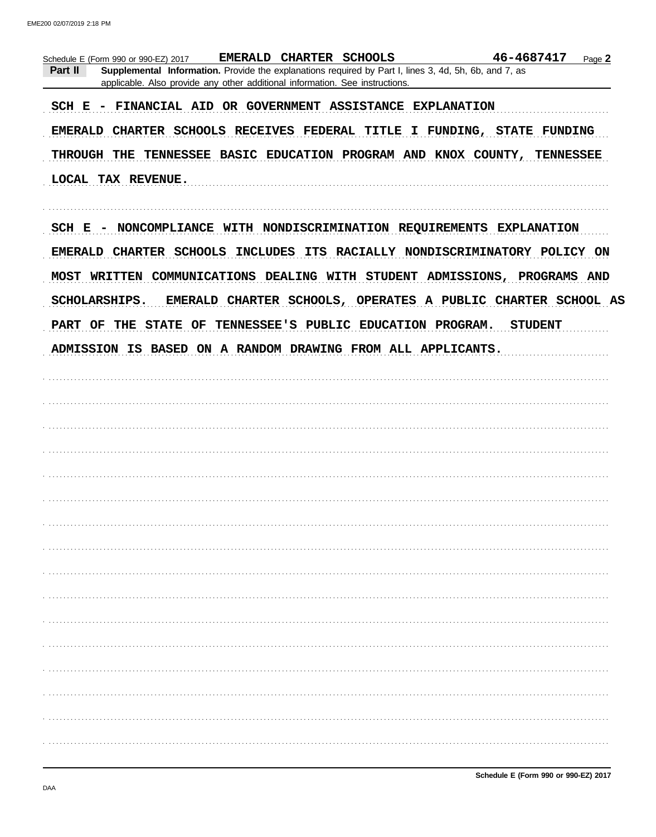| EMERALD CHARTER SCHOOLS<br>Schedule E (Form 990 or 990-EZ) 2017                                                  | 46-4687417<br>Page 2 |
|------------------------------------------------------------------------------------------------------------------|----------------------|
| Part II<br>Supplemental Information. Provide the explanations required by Part I, lines 3, 4d, 5h, 6b, and 7, as |                      |
| applicable. Also provide any other additional information. See instructions.                                     |                      |
| SCH E - FINANCIAL AID OR GOVERNMENT ASSISTANCE EXPLANATION                                                       |                      |
| EMERALD CHARTER SCHOOLS RECEIVES FEDERAL TITLE I FUNDING, STATE FUNDING                                          |                      |
| THROUGH THE TENNESSEE BASIC EDUCATION PROGRAM AND KNOX COUNTY, TENNESSEE                                         |                      |
| LOCAL TAX REVENUE.                                                                                               |                      |
|                                                                                                                  |                      |
| SCH E - NONCOMPLIANCE WITH NONDISCRIMINATION REQUIREMENTS EXPLANATION                                            |                      |
| EMERALD CHARTER SCHOOLS INCLUDES ITS RACIALLY NONDISCRIMINATORY POLICY ON                                        |                      |
| MOST WRITTEN COMMUNICATIONS DEALING WITH STUDENT ADMISSIONS, PROGRAMS AND                                        |                      |
| EMERALD CHARTER SCHOOLS, OPERATES A PUBLIC CHARTER SCHOOL AS<br><b>SCHOLARSHIPS.</b>                             |                      |
| PART OF THE STATE OF TENNESSEE'S PUBLIC EDUCATION PROGRAM.                                                       | <b>STUDENT</b>       |
| ADMISSION IS BASED ON A RANDOM DRAWING FROM ALL APPLICANTS.                                                      |                      |
|                                                                                                                  |                      |
|                                                                                                                  |                      |
|                                                                                                                  |                      |
|                                                                                                                  |                      |
|                                                                                                                  |                      |
|                                                                                                                  |                      |
|                                                                                                                  |                      |
|                                                                                                                  |                      |
|                                                                                                                  |                      |
|                                                                                                                  |                      |
|                                                                                                                  |                      |
|                                                                                                                  |                      |
|                                                                                                                  |                      |
|                                                                                                                  |                      |
|                                                                                                                  |                      |
|                                                                                                                  |                      |
|                                                                                                                  |                      |
|                                                                                                                  |                      |
|                                                                                                                  |                      |
|                                                                                                                  |                      |
|                                                                                                                  |                      |
|                                                                                                                  |                      |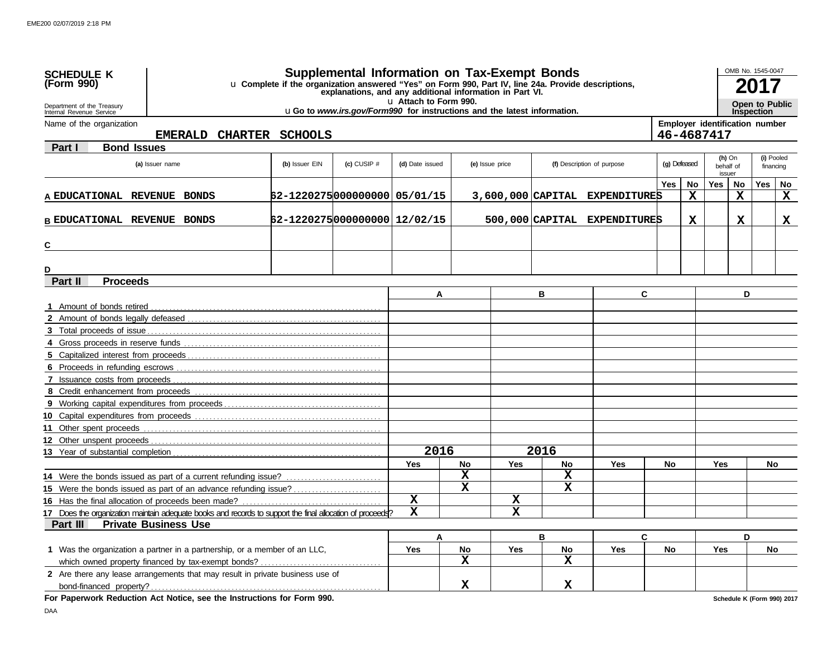| U Attach to Form 990.<br><b>Open to Public</b><br>Department of the Treasury<br><b>uGo to www.irs.gov/Form990 for instructions and the latest information.</b><br><b>Inspection</b><br>Internal Revenue Service<br>Employer identification number<br>Name of the organization<br>46-4687417<br><b>EMERALD</b><br><b>CHARTER</b><br><b>SCHOOLS</b><br><b>Bond Issues</b><br>Part I<br>$(h)$ On<br>(i) Pooled<br>(c) CUSIP $#$<br>(g) Defeased<br>(a) Issuer name<br>(b) Issuer EIN<br>(d) Date issued<br>(f) Description of purpose<br>(e) Issue price<br>behalf of<br>financing<br>issuer<br>Yes<br><b>No</b><br>Yes<br><b>Yes</b><br>No<br>No<br>$\mathbf x$<br>$\mathbf X$<br>62-1220275 000000000  05/01/15<br>$\mathbf x$<br>3,600,000 CAPITAL<br>A EDUCATIONAL REVENUE BONDS<br><b>EXPENDITURES</b><br>62-1220275 000000000  12/02/15<br>500,000 CAPITAL EXPENDITURES<br>x<br><b>B EDUCATIONAL REVENUE BONDS</b><br>x<br>X<br>C<br>Part II<br><b>Proceeds</b><br>в<br>C<br>D<br>A<br>1 Amount of bonds retired<br>3<br>4<br>5<br>Proceeds in refunding escrows<br>6<br><b>7</b> Issuance costs from proceeds<br>8 Credit enhancement from proceeds<br>11 Other spent proceeds<br><b>12</b> Other unspent proceeds<br>2016<br>2016<br>Yes<br>No<br>Yes<br>No<br>Yes<br>No<br>Yes<br>No<br>$\mathbf x$<br>X<br>$\mathbf x$<br>X<br>15 Were the bonds issued as part of an advance refunding issue?<br>$\mathbf x$<br>х<br>X<br><b>x</b><br>17 Does the organization maintain adequate books and records to support the final allocation of proceeds?<br><b>Private Business Use</b><br>Part III<br>B<br>C<br>D<br>Α<br><b>No</b><br>1 Was the organization a partner in a partnership, or a member of an LLC,<br>No<br>Yes<br>No<br>Yes<br>Yes<br>No<br>Yes<br>X<br>X<br>which owned property financed by tax-exempt bonds?<br>2 Are there any lease arrangements that may result in private business use of<br>X<br>X<br>For Paperwork Reduction Act Notice, see the Instructions for Form 990.<br>Schedule K (Form 990) 2017 | <b>Supplemental Information on Tax-Exempt Bonds</b><br><b>SCHEDULE K</b><br>U Complete if the organization answered "Yes" on Form 990, Part IV, line 24a. Provide descriptions, and any additional information in Part VI.<br>(Form 990) |  |  |  |  |  |  |  |  | OMB No. 1545-0047 |  |  |  |  |
|-----------------------------------------------------------------------------------------------------------------------------------------------------------------------------------------------------------------------------------------------------------------------------------------------------------------------------------------------------------------------------------------------------------------------------------------------------------------------------------------------------------------------------------------------------------------------------------------------------------------------------------------------------------------------------------------------------------------------------------------------------------------------------------------------------------------------------------------------------------------------------------------------------------------------------------------------------------------------------------------------------------------------------------------------------------------------------------------------------------------------------------------------------------------------------------------------------------------------------------------------------------------------------------------------------------------------------------------------------------------------------------------------------------------------------------------------------------------------------------------------------------------------------------------------------------------------------------------------------------------------------------------------------------------------------------------------------------------------------------------------------------------------------------------------------------------------------------------------------------------------------------------------------------------------------------------------------------------------------------------------------------------------------------|------------------------------------------------------------------------------------------------------------------------------------------------------------------------------------------------------------------------------------------|--|--|--|--|--|--|--|--|-------------------|--|--|--|--|
|                                                                                                                                                                                                                                                                                                                                                                                                                                                                                                                                                                                                                                                                                                                                                                                                                                                                                                                                                                                                                                                                                                                                                                                                                                                                                                                                                                                                                                                                                                                                                                                                                                                                                                                                                                                                                                                                                                                                                                                                                                   |                                                                                                                                                                                                                                          |  |  |  |  |  |  |  |  |                   |  |  |  |  |
|                                                                                                                                                                                                                                                                                                                                                                                                                                                                                                                                                                                                                                                                                                                                                                                                                                                                                                                                                                                                                                                                                                                                                                                                                                                                                                                                                                                                                                                                                                                                                                                                                                                                                                                                                                                                                                                                                                                                                                                                                                   |                                                                                                                                                                                                                                          |  |  |  |  |  |  |  |  |                   |  |  |  |  |
|                                                                                                                                                                                                                                                                                                                                                                                                                                                                                                                                                                                                                                                                                                                                                                                                                                                                                                                                                                                                                                                                                                                                                                                                                                                                                                                                                                                                                                                                                                                                                                                                                                                                                                                                                                                                                                                                                                                                                                                                                                   |                                                                                                                                                                                                                                          |  |  |  |  |  |  |  |  |                   |  |  |  |  |
|                                                                                                                                                                                                                                                                                                                                                                                                                                                                                                                                                                                                                                                                                                                                                                                                                                                                                                                                                                                                                                                                                                                                                                                                                                                                                                                                                                                                                                                                                                                                                                                                                                                                                                                                                                                                                                                                                                                                                                                                                                   |                                                                                                                                                                                                                                          |  |  |  |  |  |  |  |  |                   |  |  |  |  |
|                                                                                                                                                                                                                                                                                                                                                                                                                                                                                                                                                                                                                                                                                                                                                                                                                                                                                                                                                                                                                                                                                                                                                                                                                                                                                                                                                                                                                                                                                                                                                                                                                                                                                                                                                                                                                                                                                                                                                                                                                                   |                                                                                                                                                                                                                                          |  |  |  |  |  |  |  |  |                   |  |  |  |  |
|                                                                                                                                                                                                                                                                                                                                                                                                                                                                                                                                                                                                                                                                                                                                                                                                                                                                                                                                                                                                                                                                                                                                                                                                                                                                                                                                                                                                                                                                                                                                                                                                                                                                                                                                                                                                                                                                                                                                                                                                                                   |                                                                                                                                                                                                                                          |  |  |  |  |  |  |  |  |                   |  |  |  |  |
|                                                                                                                                                                                                                                                                                                                                                                                                                                                                                                                                                                                                                                                                                                                                                                                                                                                                                                                                                                                                                                                                                                                                                                                                                                                                                                                                                                                                                                                                                                                                                                                                                                                                                                                                                                                                                                                                                                                                                                                                                                   |                                                                                                                                                                                                                                          |  |  |  |  |  |  |  |  |                   |  |  |  |  |
|                                                                                                                                                                                                                                                                                                                                                                                                                                                                                                                                                                                                                                                                                                                                                                                                                                                                                                                                                                                                                                                                                                                                                                                                                                                                                                                                                                                                                                                                                                                                                                                                                                                                                                                                                                                                                                                                                                                                                                                                                                   |                                                                                                                                                                                                                                          |  |  |  |  |  |  |  |  |                   |  |  |  |  |
|                                                                                                                                                                                                                                                                                                                                                                                                                                                                                                                                                                                                                                                                                                                                                                                                                                                                                                                                                                                                                                                                                                                                                                                                                                                                                                                                                                                                                                                                                                                                                                                                                                                                                                                                                                                                                                                                                                                                                                                                                                   |                                                                                                                                                                                                                                          |  |  |  |  |  |  |  |  |                   |  |  |  |  |
|                                                                                                                                                                                                                                                                                                                                                                                                                                                                                                                                                                                                                                                                                                                                                                                                                                                                                                                                                                                                                                                                                                                                                                                                                                                                                                                                                                                                                                                                                                                                                                                                                                                                                                                                                                                                                                                                                                                                                                                                                                   |                                                                                                                                                                                                                                          |  |  |  |  |  |  |  |  |                   |  |  |  |  |
|                                                                                                                                                                                                                                                                                                                                                                                                                                                                                                                                                                                                                                                                                                                                                                                                                                                                                                                                                                                                                                                                                                                                                                                                                                                                                                                                                                                                                                                                                                                                                                                                                                                                                                                                                                                                                                                                                                                                                                                                                                   |                                                                                                                                                                                                                                          |  |  |  |  |  |  |  |  |                   |  |  |  |  |
|                                                                                                                                                                                                                                                                                                                                                                                                                                                                                                                                                                                                                                                                                                                                                                                                                                                                                                                                                                                                                                                                                                                                                                                                                                                                                                                                                                                                                                                                                                                                                                                                                                                                                                                                                                                                                                                                                                                                                                                                                                   |                                                                                                                                                                                                                                          |  |  |  |  |  |  |  |  |                   |  |  |  |  |
|                                                                                                                                                                                                                                                                                                                                                                                                                                                                                                                                                                                                                                                                                                                                                                                                                                                                                                                                                                                                                                                                                                                                                                                                                                                                                                                                                                                                                                                                                                                                                                                                                                                                                                                                                                                                                                                                                                                                                                                                                                   |                                                                                                                                                                                                                                          |  |  |  |  |  |  |  |  |                   |  |  |  |  |
|                                                                                                                                                                                                                                                                                                                                                                                                                                                                                                                                                                                                                                                                                                                                                                                                                                                                                                                                                                                                                                                                                                                                                                                                                                                                                                                                                                                                                                                                                                                                                                                                                                                                                                                                                                                                                                                                                                                                                                                                                                   |                                                                                                                                                                                                                                          |  |  |  |  |  |  |  |  |                   |  |  |  |  |
|                                                                                                                                                                                                                                                                                                                                                                                                                                                                                                                                                                                                                                                                                                                                                                                                                                                                                                                                                                                                                                                                                                                                                                                                                                                                                                                                                                                                                                                                                                                                                                                                                                                                                                                                                                                                                                                                                                                                                                                                                                   |                                                                                                                                                                                                                                          |  |  |  |  |  |  |  |  |                   |  |  |  |  |
|                                                                                                                                                                                                                                                                                                                                                                                                                                                                                                                                                                                                                                                                                                                                                                                                                                                                                                                                                                                                                                                                                                                                                                                                                                                                                                                                                                                                                                                                                                                                                                                                                                                                                                                                                                                                                                                                                                                                                                                                                                   |                                                                                                                                                                                                                                          |  |  |  |  |  |  |  |  |                   |  |  |  |  |
|                                                                                                                                                                                                                                                                                                                                                                                                                                                                                                                                                                                                                                                                                                                                                                                                                                                                                                                                                                                                                                                                                                                                                                                                                                                                                                                                                                                                                                                                                                                                                                                                                                                                                                                                                                                                                                                                                                                                                                                                                                   |                                                                                                                                                                                                                                          |  |  |  |  |  |  |  |  |                   |  |  |  |  |
|                                                                                                                                                                                                                                                                                                                                                                                                                                                                                                                                                                                                                                                                                                                                                                                                                                                                                                                                                                                                                                                                                                                                                                                                                                                                                                                                                                                                                                                                                                                                                                                                                                                                                                                                                                                                                                                                                                                                                                                                                                   |                                                                                                                                                                                                                                          |  |  |  |  |  |  |  |  |                   |  |  |  |  |
|                                                                                                                                                                                                                                                                                                                                                                                                                                                                                                                                                                                                                                                                                                                                                                                                                                                                                                                                                                                                                                                                                                                                                                                                                                                                                                                                                                                                                                                                                                                                                                                                                                                                                                                                                                                                                                                                                                                                                                                                                                   |                                                                                                                                                                                                                                          |  |  |  |  |  |  |  |  |                   |  |  |  |  |
|                                                                                                                                                                                                                                                                                                                                                                                                                                                                                                                                                                                                                                                                                                                                                                                                                                                                                                                                                                                                                                                                                                                                                                                                                                                                                                                                                                                                                                                                                                                                                                                                                                                                                                                                                                                                                                                                                                                                                                                                                                   |                                                                                                                                                                                                                                          |  |  |  |  |  |  |  |  |                   |  |  |  |  |
|                                                                                                                                                                                                                                                                                                                                                                                                                                                                                                                                                                                                                                                                                                                                                                                                                                                                                                                                                                                                                                                                                                                                                                                                                                                                                                                                                                                                                                                                                                                                                                                                                                                                                                                                                                                                                                                                                                                                                                                                                                   |                                                                                                                                                                                                                                          |  |  |  |  |  |  |  |  |                   |  |  |  |  |
|                                                                                                                                                                                                                                                                                                                                                                                                                                                                                                                                                                                                                                                                                                                                                                                                                                                                                                                                                                                                                                                                                                                                                                                                                                                                                                                                                                                                                                                                                                                                                                                                                                                                                                                                                                                                                                                                                                                                                                                                                                   |                                                                                                                                                                                                                                          |  |  |  |  |  |  |  |  |                   |  |  |  |  |
|                                                                                                                                                                                                                                                                                                                                                                                                                                                                                                                                                                                                                                                                                                                                                                                                                                                                                                                                                                                                                                                                                                                                                                                                                                                                                                                                                                                                                                                                                                                                                                                                                                                                                                                                                                                                                                                                                                                                                                                                                                   |                                                                                                                                                                                                                                          |  |  |  |  |  |  |  |  |                   |  |  |  |  |
|                                                                                                                                                                                                                                                                                                                                                                                                                                                                                                                                                                                                                                                                                                                                                                                                                                                                                                                                                                                                                                                                                                                                                                                                                                                                                                                                                                                                                                                                                                                                                                                                                                                                                                                                                                                                                                                                                                                                                                                                                                   |                                                                                                                                                                                                                                          |  |  |  |  |  |  |  |  |                   |  |  |  |  |
|                                                                                                                                                                                                                                                                                                                                                                                                                                                                                                                                                                                                                                                                                                                                                                                                                                                                                                                                                                                                                                                                                                                                                                                                                                                                                                                                                                                                                                                                                                                                                                                                                                                                                                                                                                                                                                                                                                                                                                                                                                   |                                                                                                                                                                                                                                          |  |  |  |  |  |  |  |  |                   |  |  |  |  |
|                                                                                                                                                                                                                                                                                                                                                                                                                                                                                                                                                                                                                                                                                                                                                                                                                                                                                                                                                                                                                                                                                                                                                                                                                                                                                                                                                                                                                                                                                                                                                                                                                                                                                                                                                                                                                                                                                                                                                                                                                                   |                                                                                                                                                                                                                                          |  |  |  |  |  |  |  |  |                   |  |  |  |  |
|                                                                                                                                                                                                                                                                                                                                                                                                                                                                                                                                                                                                                                                                                                                                                                                                                                                                                                                                                                                                                                                                                                                                                                                                                                                                                                                                                                                                                                                                                                                                                                                                                                                                                                                                                                                                                                                                                                                                                                                                                                   |                                                                                                                                                                                                                                          |  |  |  |  |  |  |  |  |                   |  |  |  |  |
|                                                                                                                                                                                                                                                                                                                                                                                                                                                                                                                                                                                                                                                                                                                                                                                                                                                                                                                                                                                                                                                                                                                                                                                                                                                                                                                                                                                                                                                                                                                                                                                                                                                                                                                                                                                                                                                                                                                                                                                                                                   |                                                                                                                                                                                                                                          |  |  |  |  |  |  |  |  |                   |  |  |  |  |
|                                                                                                                                                                                                                                                                                                                                                                                                                                                                                                                                                                                                                                                                                                                                                                                                                                                                                                                                                                                                                                                                                                                                                                                                                                                                                                                                                                                                                                                                                                                                                                                                                                                                                                                                                                                                                                                                                                                                                                                                                                   |                                                                                                                                                                                                                                          |  |  |  |  |  |  |  |  |                   |  |  |  |  |
|                                                                                                                                                                                                                                                                                                                                                                                                                                                                                                                                                                                                                                                                                                                                                                                                                                                                                                                                                                                                                                                                                                                                                                                                                                                                                                                                                                                                                                                                                                                                                                                                                                                                                                                                                                                                                                                                                                                                                                                                                                   |                                                                                                                                                                                                                                          |  |  |  |  |  |  |  |  |                   |  |  |  |  |
|                                                                                                                                                                                                                                                                                                                                                                                                                                                                                                                                                                                                                                                                                                                                                                                                                                                                                                                                                                                                                                                                                                                                                                                                                                                                                                                                                                                                                                                                                                                                                                                                                                                                                                                                                                                                                                                                                                                                                                                                                                   |                                                                                                                                                                                                                                          |  |  |  |  |  |  |  |  |                   |  |  |  |  |
|                                                                                                                                                                                                                                                                                                                                                                                                                                                                                                                                                                                                                                                                                                                                                                                                                                                                                                                                                                                                                                                                                                                                                                                                                                                                                                                                                                                                                                                                                                                                                                                                                                                                                                                                                                                                                                                                                                                                                                                                                                   |                                                                                                                                                                                                                                          |  |  |  |  |  |  |  |  |                   |  |  |  |  |
|                                                                                                                                                                                                                                                                                                                                                                                                                                                                                                                                                                                                                                                                                                                                                                                                                                                                                                                                                                                                                                                                                                                                                                                                                                                                                                                                                                                                                                                                                                                                                                                                                                                                                                                                                                                                                                                                                                                                                                                                                                   |                                                                                                                                                                                                                                          |  |  |  |  |  |  |  |  |                   |  |  |  |  |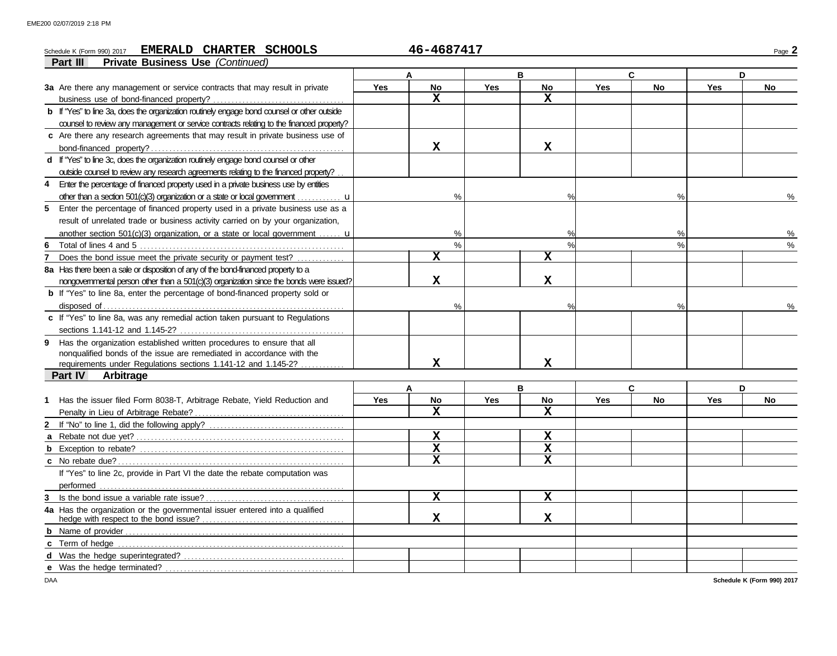|            | EMERALD CHARTER SCHOOLS<br>Schedule K (Form 990) 2017                                       |            | 46-4687417   |            |               |            |      |            | Page 2                     |
|------------|---------------------------------------------------------------------------------------------|------------|--------------|------------|---------------|------------|------|------------|----------------------------|
|            | Private Business Use (Continued)<br>Part III                                                |            |              |            |               |            |      |            |                            |
|            |                                                                                             |            | A            |            | в             |            | C    |            | D                          |
|            | 3a Are there any management or service contracts that may result in private                 | <b>Yes</b> | <b>No</b>    | <b>Yes</b> | No            | <b>Yes</b> | No   | <b>Yes</b> | No                         |
|            |                                                                                             |            | X            |            | x             |            |      |            |                            |
|            | b If "Yes" to line 3a, does the organization routinely engage bond counsel or other outside |            |              |            |               |            |      |            |                            |
|            | counsel to review any management or service contracts relating to the financed property?    |            |              |            |               |            |      |            |                            |
|            | c Are there any research agreements that may result in private business use of              |            |              |            |               |            |      |            |                            |
|            |                                                                                             |            | X            |            | X             |            |      |            |                            |
|            | d If "Yes" to line 3c, does the organization routinely engage bond counsel or other         |            |              |            |               |            |      |            |                            |
|            | outside counsel to review any research agreements relating to the financed property?.       |            |              |            |               |            |      |            |                            |
|            | 4 Enter the percentage of financed property used in a private business use by entities      |            |              |            |               |            |      |            |                            |
|            |                                                                                             |            | ℅            |            |               |            | ℅    |            | %                          |
|            | 5 Enter the percentage of financed property used in a private business use as a             |            |              |            |               |            |      |            |                            |
|            | result of unrelated trade or business activity carried on by your organization,             |            |              |            |               |            |      |            |                            |
|            | another section 501(c)(3) organization, or a state or local government $\mathbf{u}$         |            | ℅            |            |               |            | %    |            | %                          |
| 6          |                                                                                             |            | $\%$         |            | $\frac{0}{0}$ |            | $\%$ |            | $\%$                       |
|            | Does the bond issue meet the private security or payment test?                              |            | $\mathbf x$  |            | $\mathbf X$   |            |      |            |                            |
|            | 8a Has there been a sale or disposition of any of the bond-financed property to a           |            |              |            |               |            |      |            |                            |
|            | nongovernmental person other than a 501(c)(3) organization since the bonds were issued?     |            | $\mathbf x$  |            | $\mathbf X$   |            |      |            |                            |
|            | <b>b</b> If "Yes" to line 8a, enter the percentage of bond-financed property sold or        |            |              |            |               |            |      |            |                            |
|            |                                                                                             |            | ℅            |            |               |            | ℅    |            | %                          |
|            | c If "Yes" to line 8a, was any remedial action taken pursuant to Regulations                |            |              |            |               |            |      |            |                            |
|            |                                                                                             |            |              |            |               |            |      |            |                            |
|            | 9 Has the organization established written procedures to ensure that all                    |            |              |            |               |            |      |            |                            |
|            | nonqualified bonds of the issue are remediated in accordance with the                       |            |              |            |               |            |      |            |                            |
|            | requirements under Regulations sections 1.141-12 and 1.145-2?                               |            | X            |            | X             |            |      |            |                            |
|            | Part IV<br>Arbitrage                                                                        |            |              |            |               |            |      |            |                            |
|            |                                                                                             |            | A            |            | B             |            | C    |            | D                          |
|            | 1 Has the issuer filed Form 8038-T, Arbitrage Rebate, Yield Reduction and                   | Yes        | No           | <b>Yes</b> | No            | Yes        | No   | <b>Yes</b> | No                         |
|            |                                                                                             |            | $\mathbf x$  |            | X             |            |      |            |                            |
|            |                                                                                             |            |              |            |               |            |      |            |                            |
|            |                                                                                             |            | $\mathbf x$  |            | $\mathbf X$   |            |      |            |                            |
|            |                                                                                             |            | $\mathbf x$  |            | $\mathbf x$   |            |      |            |                            |
|            |                                                                                             |            | $\mathbf{x}$ |            | $\mathbf x$   |            |      |            |                            |
|            | If "Yes" to line 2c, provide in Part VI the date the rebate computation was                 |            |              |            |               |            |      |            |                            |
|            |                                                                                             |            |              |            |               |            |      |            |                            |
|            |                                                                                             |            | $\mathbf x$  |            | X             |            |      |            |                            |
|            | 4a Has the organization or the governmental issuer entered into a qualified                 |            | X            |            | X             |            |      |            |                            |
|            |                                                                                             |            |              |            |               |            |      |            |                            |
|            |                                                                                             |            |              |            |               |            |      |            |                            |
|            |                                                                                             |            |              |            |               |            |      |            |                            |
|            |                                                                                             |            |              |            |               |            |      |            |                            |
| <b>DAA</b> |                                                                                             |            |              |            |               |            |      |            | Schedule K (Form 990) 2017 |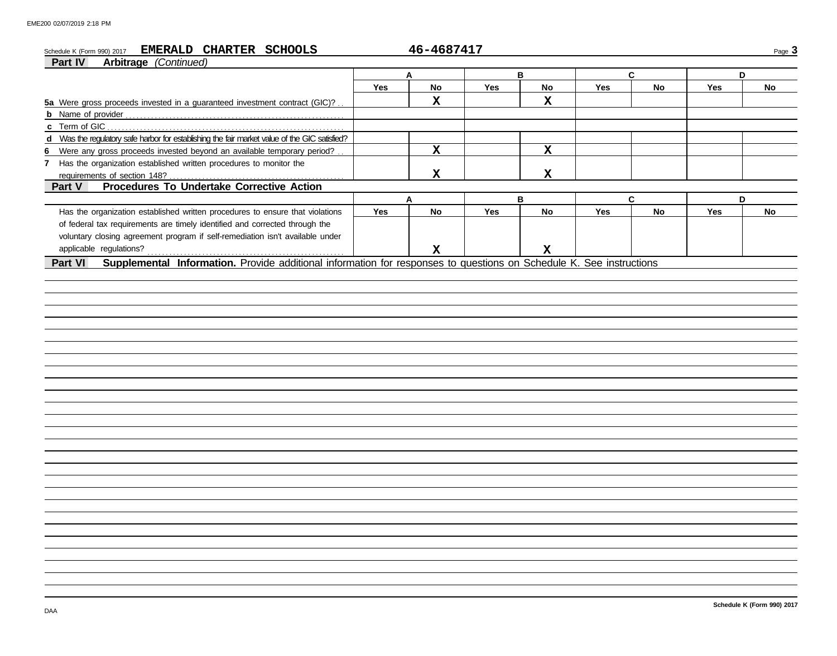| EMERALD CHARTER SCHOOLS<br>Schedule K (Form 990) 2017<br>Part IV<br>Arbitrage (Continued)                                      |            | 46-4687417  |     |             |     |           |     | Page $3$  |
|--------------------------------------------------------------------------------------------------------------------------------|------------|-------------|-----|-------------|-----|-----------|-----|-----------|
|                                                                                                                                | Α          |             | В   |             | C   |           | D   |           |
|                                                                                                                                | Yes        | <b>No</b>   | Yes | No          | Yes | No        | Yes | <b>No</b> |
| 5a Were gross proceeds invested in a guaranteed investment contract (GIC)?                                                     |            | $\mathbf x$ |     | $\mathbf X$ |     |           |     |           |
|                                                                                                                                |            |             |     |             |     |           |     |           |
|                                                                                                                                |            |             |     |             |     |           |     |           |
| d Was the regulatory safe harbor for establishing the fair market value of the GIC satisfied?                                  |            |             |     |             |     |           |     |           |
| Were any gross proceeds invested beyond an available temporary period?<br>6                                                    |            | $\mathbf x$ |     | $\mathbf x$ |     |           |     |           |
| 7 Has the organization established written procedures to monitor the                                                           |            |             |     |             |     |           |     |           |
| requirements of section 148?                                                                                                   |            | X           |     | $\mathbf X$ |     |           |     |           |
| Procedures To Undertake Corrective Action<br>Part V                                                                            |            |             |     |             |     |           |     |           |
|                                                                                                                                |            | A           |     | в           |     | C         |     | D         |
| Has the organization established written procedures to ensure that violations                                                  | <b>Yes</b> | <b>No</b>   | Yes | No          | Yes | <b>No</b> | Yes | <b>No</b> |
| of federal tax requirements are timely identified and corrected through the                                                    |            |             |     |             |     |           |     |           |
| voluntary closing agreement program if self-remediation isn't available under                                                  |            |             |     |             |     |           |     |           |
| applicable regulations?                                                                                                        |            | X           |     | X           |     |           |     |           |
| Supplemental Information. Provide additional information for responses to questions on Schedule K. See instructions<br>Part VI |            |             |     |             |     |           |     |           |
|                                                                                                                                |            |             |     |             |     |           |     |           |
|                                                                                                                                |            |             |     |             |     |           |     |           |
|                                                                                                                                |            |             |     |             |     |           |     |           |
|                                                                                                                                |            |             |     |             |     |           |     |           |
|                                                                                                                                |            |             |     |             |     |           |     |           |
|                                                                                                                                |            |             |     |             |     |           |     |           |
|                                                                                                                                |            |             |     |             |     |           |     |           |
|                                                                                                                                |            |             |     |             |     |           |     |           |
|                                                                                                                                |            |             |     |             |     |           |     |           |
|                                                                                                                                |            |             |     |             |     |           |     |           |
|                                                                                                                                |            |             |     |             |     |           |     |           |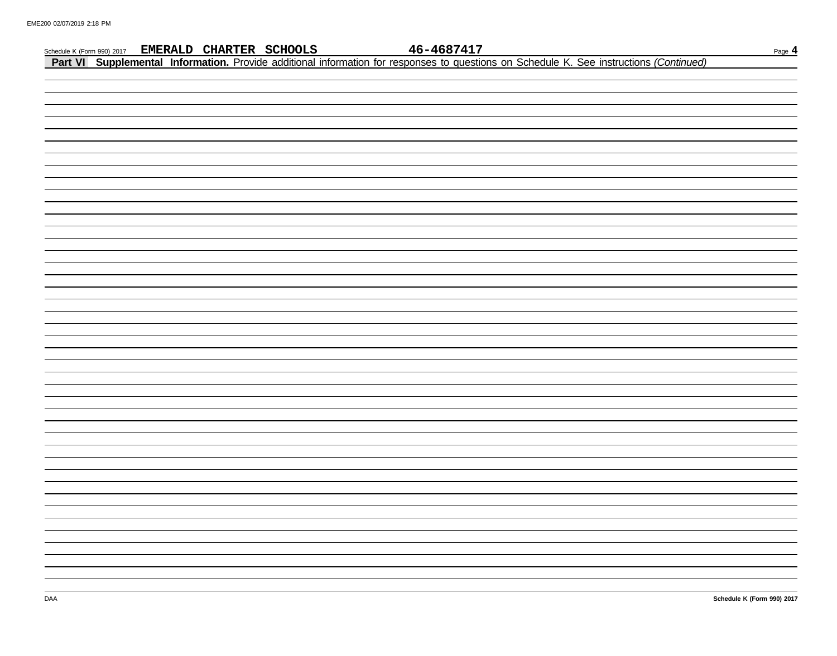|  |  |  | Schedule K (Form 990) 2017 EMERALD CHARTER SCHOOLS 46-4687417<br>Part VI Supplemental Information. Provide additional information for responses to questions on Schedule K. See instructions (Continued) | Page 4 |
|--|--|--|----------------------------------------------------------------------------------------------------------------------------------------------------------------------------------------------------------|--------|
|  |  |  |                                                                                                                                                                                                          |        |
|  |  |  |                                                                                                                                                                                                          |        |
|  |  |  |                                                                                                                                                                                                          |        |
|  |  |  |                                                                                                                                                                                                          |        |
|  |  |  |                                                                                                                                                                                                          |        |
|  |  |  |                                                                                                                                                                                                          |        |
|  |  |  |                                                                                                                                                                                                          |        |
|  |  |  |                                                                                                                                                                                                          |        |
|  |  |  |                                                                                                                                                                                                          |        |
|  |  |  |                                                                                                                                                                                                          |        |
|  |  |  |                                                                                                                                                                                                          |        |
|  |  |  |                                                                                                                                                                                                          |        |
|  |  |  |                                                                                                                                                                                                          |        |
|  |  |  |                                                                                                                                                                                                          |        |
|  |  |  |                                                                                                                                                                                                          |        |
|  |  |  |                                                                                                                                                                                                          |        |
|  |  |  |                                                                                                                                                                                                          |        |
|  |  |  |                                                                                                                                                                                                          |        |
|  |  |  |                                                                                                                                                                                                          |        |
|  |  |  |                                                                                                                                                                                                          |        |
|  |  |  |                                                                                                                                                                                                          |        |
|  |  |  |                                                                                                                                                                                                          |        |
|  |  |  |                                                                                                                                                                                                          |        |
|  |  |  |                                                                                                                                                                                                          |        |
|  |  |  |                                                                                                                                                                                                          |        |
|  |  |  |                                                                                                                                                                                                          |        |
|  |  |  |                                                                                                                                                                                                          |        |
|  |  |  |                                                                                                                                                                                                          |        |
|  |  |  |                                                                                                                                                                                                          |        |
|  |  |  |                                                                                                                                                                                                          |        |
|  |  |  |                                                                                                                                                                                                          |        |
|  |  |  |                                                                                                                                                                                                          |        |
|  |  |  |                                                                                                                                                                                                          |        |
|  |  |  |                                                                                                                                                                                                          |        |
|  |  |  |                                                                                                                                                                                                          |        |
|  |  |  |                                                                                                                                                                                                          |        |
|  |  |  |                                                                                                                                                                                                          |        |
|  |  |  |                                                                                                                                                                                                          |        |
|  |  |  |                                                                                                                                                                                                          |        |
|  |  |  |                                                                                                                                                                                                          |        |
|  |  |  |                                                                                                                                                                                                          |        |
|  |  |  |                                                                                                                                                                                                          |        |
|  |  |  |                                                                                                                                                                                                          |        |
|  |  |  |                                                                                                                                                                                                          |        |
|  |  |  |                                                                                                                                                                                                          |        |
|  |  |  |                                                                                                                                                                                                          |        |
|  |  |  |                                                                                                                                                                                                          |        |